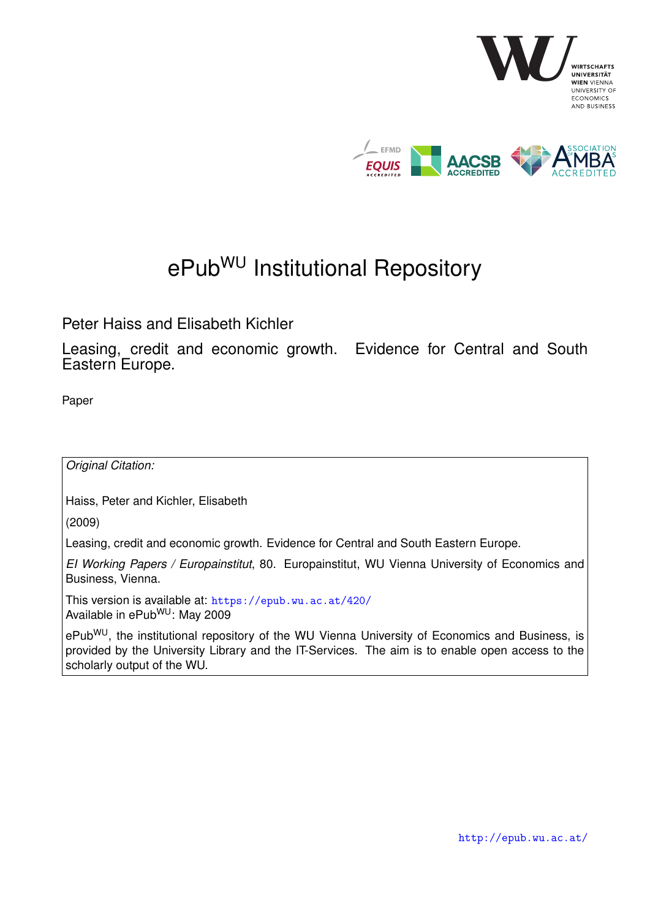

# ePub<sup>WU</sup> Institutional Repository

Peter Haiss and Elisabeth Kichler

Leasing, credit and economic growth. Evidence for Central and South Eastern Europe.

Paper

*Original Citation:*

Haiss, Peter and Kichler, Elisabeth

(2009)

Leasing, credit and economic growth. Evidence for Central and South Eastern Europe.

*EI Working Papers / Europainstitut*, 80. Europainstitut, WU Vienna University of Economics and Business, Vienna.

This version is available at: <https://epub.wu.ac.at/420/> Available in ePub<sup>WU</sup>: May 2009

ePub<sup>WU</sup>, the institutional repository of the WU Vienna University of Economics and Business, is provided by the University Library and the IT-Services. The aim is to enable open access to the scholarly output of the WU.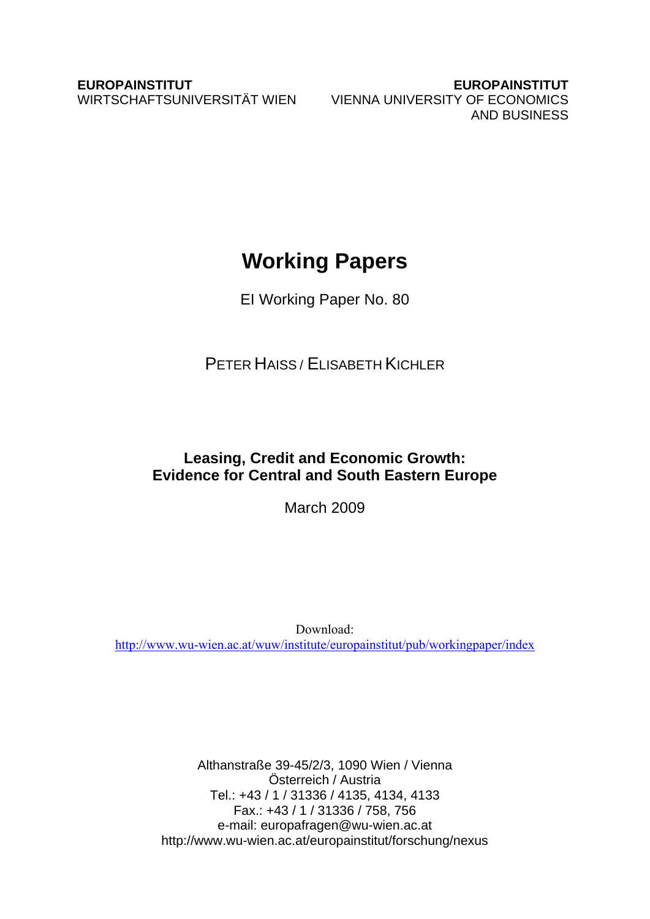**EUROPAINSTITUT EUROPAINSTITUT**  WIRTSCHAFTSUNIVERSITÄT WIEN VIENNA UNIVERSITY OF ECONOMICS AND BUSINESS

# **Working Papers**

EI Working Paper No. 80

PETER HAISS / ELISABETH KICHLER

## **Leasing, Credit and Economic Growth: Evidence for Central and South Eastern Europe**

March 2009

Download: http://www.wu-wien.ac.at/wuw/institute/europainstitut/pub/workingpaper/index

> Althanstraße 39-45/2/3, 1090 Wien / Vienna Österreich / Austria Tel.: +43 / 1 / 31336 / 4135, 4134, 4133 Fax.: +43 / 1 / 31336 / 758, 756 e-mail: europafragen@wu-wien.ac.at http://www.wu-wien.ac.at/europainstitut/forschung/nexus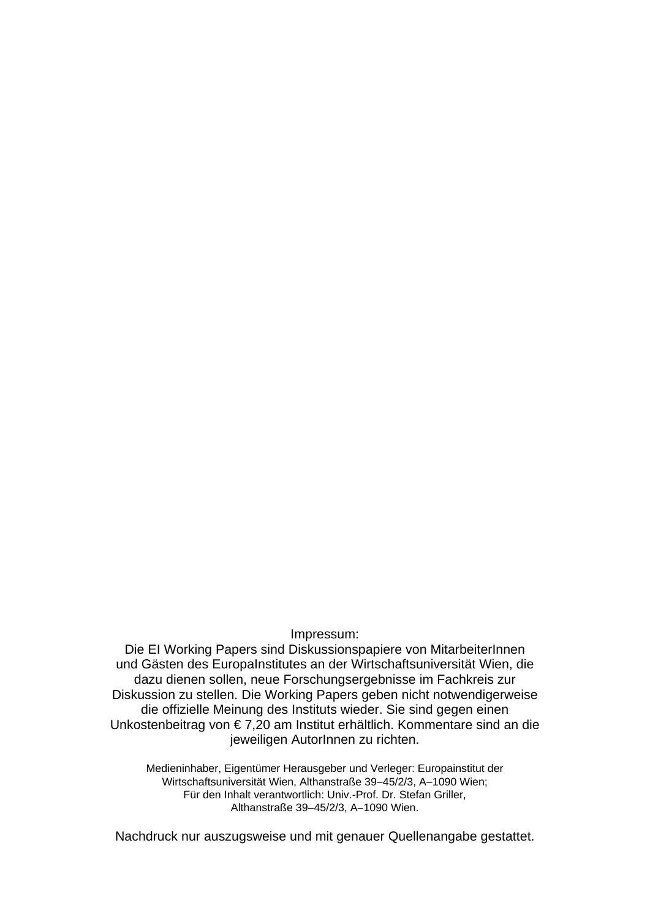Impressum:

Die EI Working Papers sind Diskussionspapiere von MitarbeiterInnen und Gästen des EuropaInstitutes an der Wirtschaftsuniversität Wien, die dazu dienen sollen, neue Forschungsergebnisse im Fachkreis zur Diskussion zu stellen. Die Working Papers geben nicht notwendigerweise die offizielle Meinung des Instituts wieder. Sie sind gegen einen Unkostenbeitrag von € 7,20 am Institut erhältlich. Kommentare sind an die jeweiligen AutorInnen zu richten.

Medieninhaber, Eigentümer Herausgeber und Verleger: Europainstitut der Wirtschaftsuniversität Wien, Althanstraße 39−45/2/3, A−1090 Wien; Für den Inhalt verantwortlich: Univ.-Prof. Dr. Stefan Griller, Althanstraße 39−45/2/3, A−1090 Wien.

Nachdruck nur auszugsweise und mit genauer Quellenangabe gestattet.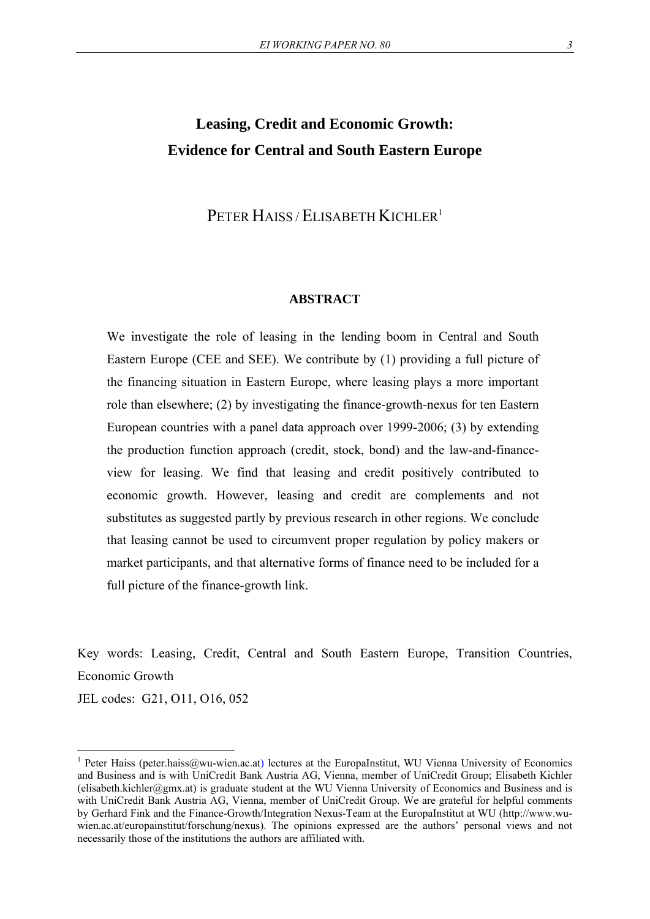## **Leasing, Credit and Economic Growth: Evidence for Central and South Eastern Europe**

## PETER HAISS / ELISABETH KICHLER<sup>1</sup>

#### **ABSTRACT**

We investigate the role of leasing in the lending boom in Central and South Eastern Europe (CEE and SEE). We contribute by (1) providing a full picture of the financing situation in Eastern Europe, where leasing plays a more important role than elsewhere; (2) by investigating the finance-growth-nexus for ten Eastern European countries with a panel data approach over 1999-2006; (3) by extending the production function approach (credit, stock, bond) and the law-and-financeview for leasing. We find that leasing and credit positively contributed to economic growth. However, leasing and credit are complements and not substitutes as suggested partly by previous research in other regions. We conclude that leasing cannot be used to circumvent proper regulation by policy makers or market participants, and that alternative forms of finance need to be included for a full picture of the finance-growth link.

Key words: Leasing, Credit, Central and South Eastern Europe, Transition Countries, Economic Growth

JEL codes: G21, O11, O16, 052

<sup>&</sup>lt;sup>1</sup> Peter Haiss (peter.haiss@wu-wien.ac.at) lectures at the EuropaInstitut, WU Vienna University of Economics and Business and is with UniCredit Bank Austria AG, Vienna, member of UniCredit Group; Elisabeth Kichler (elisabeth.kichler@gmx.at) is graduate student at the WU Vienna University of Economics and Business and is with UniCredit Bank Austria AG, Vienna, member of UniCredit Group. We are grateful for helpful comments by Gerhard Fink and the Finance-Growth/Integration Nexus-Team at the EuropaInstitut at WU (http://www.wuwien.ac.at/europainstitut/forschung/nexus). The opinions expressed are the authors' personal views and not necessarily those of the institutions the authors are affiliated with.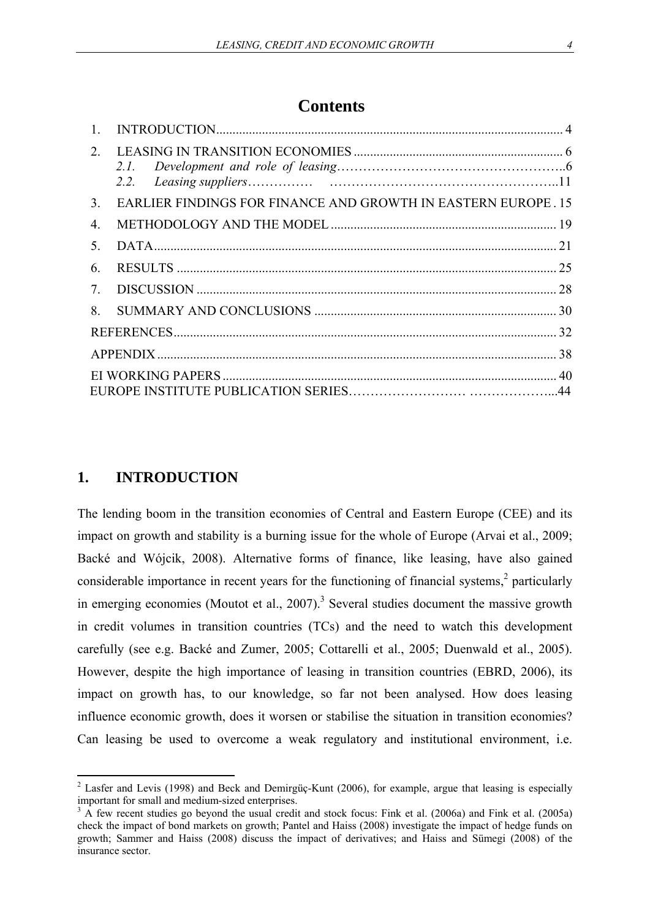## **Contents**

| $2^{\circ}$      |                                                               |  |
|------------------|---------------------------------------------------------------|--|
|                  |                                                               |  |
| 3 <sub>1</sub>   | EARLIER FINDINGS FOR FINANCE AND GROWTH IN EASTERN EUROPE. 15 |  |
| $\overline{4}$ . |                                                               |  |
| $5^{\circ}$      |                                                               |  |
| 6                |                                                               |  |
| 7.               |                                                               |  |
| 8.               |                                                               |  |
|                  |                                                               |  |
|                  |                                                               |  |
|                  |                                                               |  |
|                  |                                                               |  |

## **1. INTRODUCTION**

The lending boom in the transition economies of Central and Eastern Europe (CEE) and its impact on growth and stability is a burning issue for the whole of Europe (Arvai et al., 2009; Backé and Wójcik, 2008). Alternative forms of finance, like leasing, have also gained considerable importance in recent years for the functioning of financial systems, $2$  particularly in emerging economies (Moutot et al.,  $2007$ ).<sup>3</sup> Several studies document the massive growth in credit volumes in transition countries (TCs) and the need to watch this development carefully (see e.g. Backé and Zumer, 2005; Cottarelli et al., 2005; Duenwald et al., 2005). However, despite the high importance of leasing in transition countries (EBRD, 2006), its impact on growth has, to our knowledge, so far not been analysed. How does leasing influence economic growth, does it worsen or stabilise the situation in transition economies? Can leasing be used to overcome a weak regulatory and institutional environment, i.e.

<sup>&</sup>lt;sup>2</sup> Lasfer and Levis (1998) and Beck and Demirgüç-Kunt (2006), for example, argue that leasing is especially important for small and medium-sized enterprises.

<sup>&</sup>lt;sup>3</sup> A few recent studies go beyond the usual credit and stock focus: Fink et al. (2006a) and Fink et al. (2005a) check the impact of bond markets on growth; Pantel and Haiss (2008) investigate the impact of hedge funds on growth; Sammer and Haiss (2008) discuss the ímpact of derivatives; and Haiss and Sümegi (2008) of the insurance sector.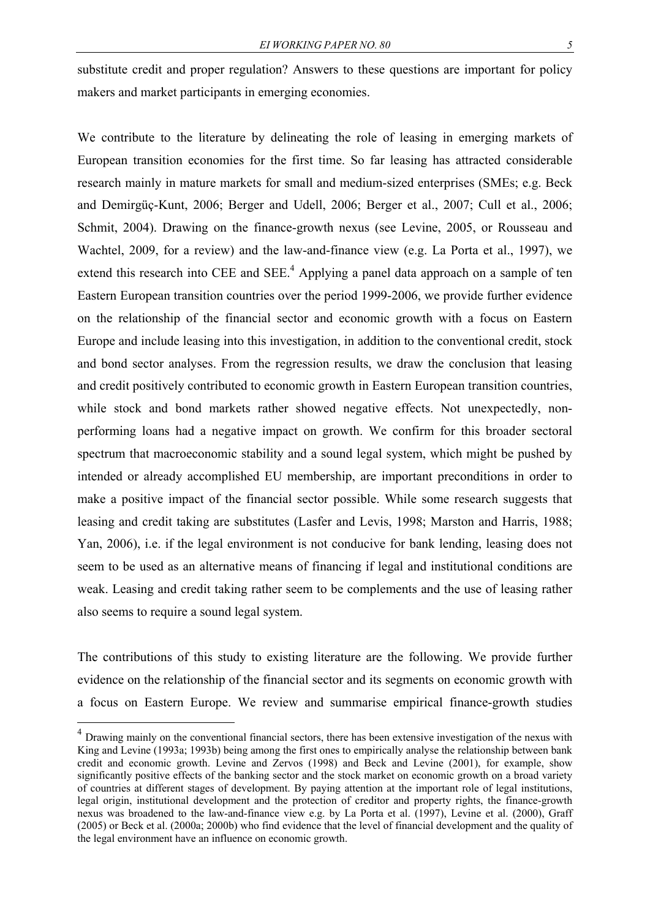substitute credit and proper regulation? Answers to these questions are important for policy makers and market participants in emerging economies.

We contribute to the literature by delineating the role of leasing in emerging markets of European transition economies for the first time. So far leasing has attracted considerable research mainly in mature markets for small and medium-sized enterprises (SMEs; e.g. Beck and Demirgüç-Kunt, 2006; Berger and Udell, 2006; Berger et al., 2007; Cull et al., 2006; Schmit, 2004). Drawing on the finance-growth nexus (see Levine, 2005, or Rousseau and Wachtel, 2009, for a review) and the law-and-finance view (e.g. La Porta et al., 1997), we extend this research into CEE and SEE. $<sup>4</sup>$  Applying a panel data approach on a sample of ten</sup> Eastern European transition countries over the period 1999-2006, we provide further evidence on the relationship of the financial sector and economic growth with a focus on Eastern Europe and include leasing into this investigation, in addition to the conventional credit, stock and bond sector analyses. From the regression results, we draw the conclusion that leasing and credit positively contributed to economic growth in Eastern European transition countries, while stock and bond markets rather showed negative effects. Not unexpectedly, nonperforming loans had a negative impact on growth. We confirm for this broader sectoral spectrum that macroeconomic stability and a sound legal system, which might be pushed by intended or already accomplished EU membership, are important preconditions in order to make a positive impact of the financial sector possible. While some research suggests that leasing and credit taking are substitutes (Lasfer and Levis, 1998; Marston and Harris, 1988; Yan, 2006), i.e. if the legal environment is not conducive for bank lending, leasing does not seem to be used as an alternative means of financing if legal and institutional conditions are weak. Leasing and credit taking rather seem to be complements and the use of leasing rather also seems to require a sound legal system.

The contributions of this study to existing literature are the following. We provide further evidence on the relationship of the financial sector and its segments on economic growth with a focus on Eastern Europe. We review and summarise empirical finance-growth studies

<sup>&</sup>lt;sup>4</sup> Drawing mainly on the conventional financial sectors, there has been extensive investigation of the nexus with King and Levine (1993a; 1993b) being among the first ones to empirically analyse the relationship between bank credit and economic growth. Levine and Zervos (1998) and Beck and Levine (2001), for example, show significantly positive effects of the banking sector and the stock market on economic growth on a broad variety of countries at different stages of development. By paying attention at the important role of legal institutions, legal origin, institutional development and the protection of creditor and property rights, the finance-growth nexus was broadened to the law-and-finance view e.g. by La Porta et al. (1997), Levine et al. (2000), Graff (2005) or Beck et al. (2000a; 2000b) who find evidence that the level of financial development and the quality of the legal environment have an influence on economic growth.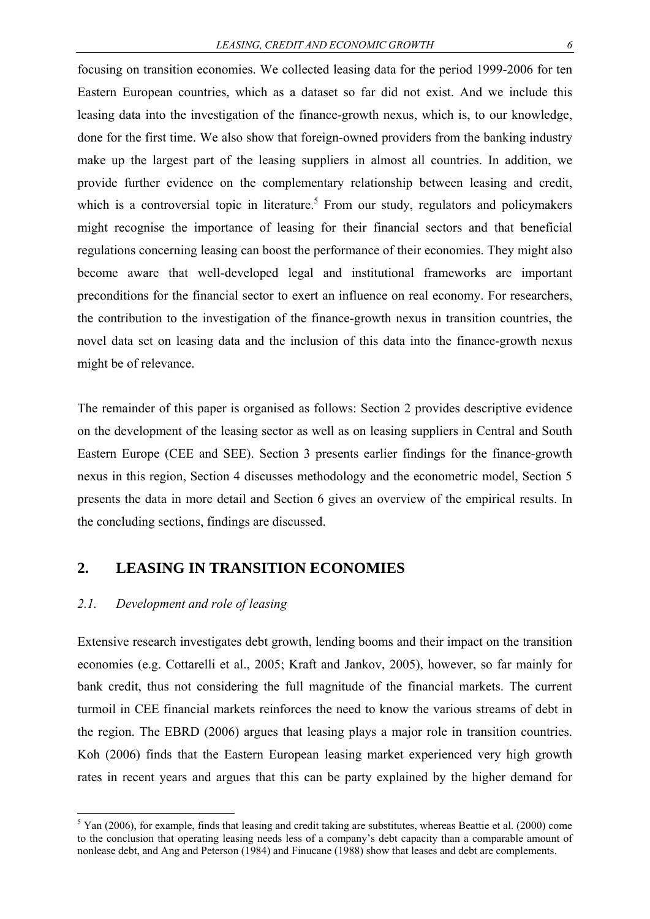focusing on transition economies. We collected leasing data for the period 1999-2006 for ten Eastern European countries, which as a dataset so far did not exist. And we include this leasing data into the investigation of the finance-growth nexus, which is, to our knowledge, done for the first time. We also show that foreign-owned providers from the banking industry make up the largest part of the leasing suppliers in almost all countries. In addition, we provide further evidence on the complementary relationship between leasing and credit, which is a controversial topic in literature.<sup>5</sup> From our study, regulators and policymakers might recognise the importance of leasing for their financial sectors and that beneficial regulations concerning leasing can boost the performance of their economies. They might also become aware that well-developed legal and institutional frameworks are important preconditions for the financial sector to exert an influence on real economy. For researchers, the contribution to the investigation of the finance-growth nexus in transition countries, the novel data set on leasing data and the inclusion of this data into the finance-growth nexus might be of relevance.

The remainder of this paper is organised as follows: Section 2 provides descriptive evidence on the development of the leasing sector as well as on leasing suppliers in Central and South Eastern Europe (CEE and SEE). Section 3 presents earlier findings for the finance-growth nexus in this region, Section 4 discusses methodology and the econometric model, Section 5 presents the data in more detail and Section 6 gives an overview of the empirical results. In the concluding sections, findings are discussed.

#### **2. LEASING IN TRANSITION ECONOMIES**

#### *2.1. Development and role of leasing*

1

Extensive research investigates debt growth, lending booms and their impact on the transition economies (e.g. Cottarelli et al., 2005; Kraft and Jankov, 2005), however, so far mainly for bank credit, thus not considering the full magnitude of the financial markets. The current turmoil in CEE financial markets reinforces the need to know the various streams of debt in the region. The EBRD (2006) argues that leasing plays a major role in transition countries. Koh (2006) finds that the Eastern European leasing market experienced very high growth rates in recent years and argues that this can be party explained by the higher demand for

 $5$  Yan (2006), for example, finds that leasing and credit taking are substitutes, whereas Beattie et al. (2000) come to the conclusion that operating leasing needs less of a company's debt capacity than a comparable amount of nonlease debt, and Ang and Peterson (1984) and Finucane (1988) show that leases and debt are complements.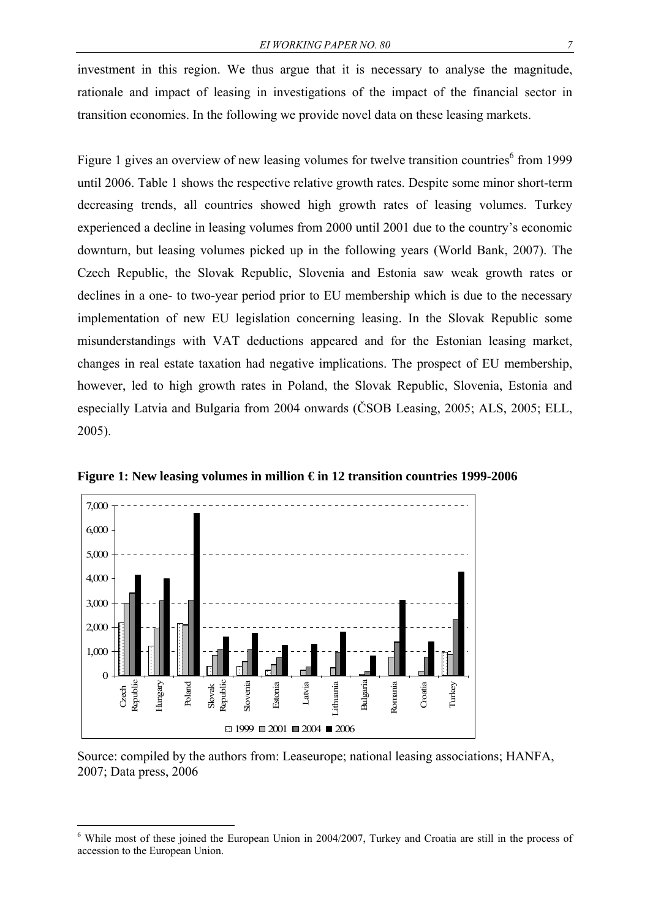investment in this region. We thus argue that it is necessary to analyse the magnitude, rationale and impact of leasing in investigations of the impact of the financial sector in transition economies. In the following we provide novel data on these leasing markets.

Figure 1 gives an overview of new leasing volumes for twelve transition countries<sup>6</sup> from 1999 until 2006. Table 1 shows the respective relative growth rates. Despite some minor short-term decreasing trends, all countries showed high growth rates of leasing volumes. Turkey experienced a decline in leasing volumes from 2000 until 2001 due to the country's economic downturn, but leasing volumes picked up in the following years (World Bank, 2007). The Czech Republic, the Slovak Republic, Slovenia and Estonia saw weak growth rates or declines in a one- to two-year period prior to EU membership which is due to the necessary implementation of new EU legislation concerning leasing. In the Slovak Republic some misunderstandings with VAT deductions appeared and for the Estonian leasing market, changes in real estate taxation had negative implications. The prospect of EU membership, however, led to high growth rates in Poland, the Slovak Republic, Slovenia, Estonia and especially Latvia and Bulgaria from 2004 onwards (ČSOB Leasing, 2005; ALS, 2005; ELL, 2005).



**Figure 1: New leasing volumes in million € in 12 transition countries 1999-2006** 

Source: compiled by the authors from: Leaseurope; national leasing associations; HANFA, 2007; Data press, 2006

<sup>&</sup>lt;sup>6</sup> While most of these joined the European Union in 2004/2007, Turkey and Croatia are still in the process of accession to the European Union.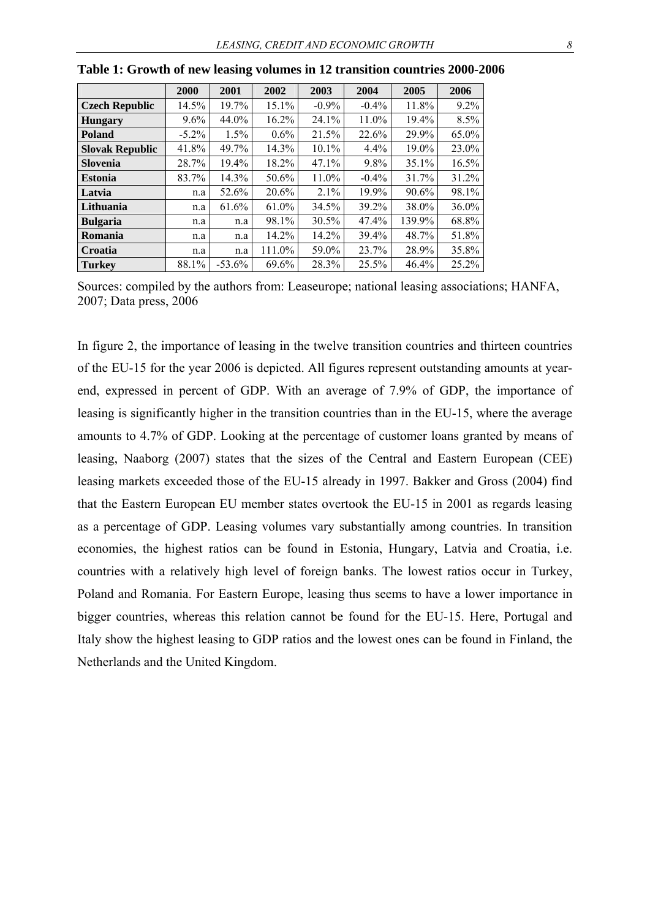|                        | 2000     | 2001     | 2002    | 2003     | 2004     | 2005   | 2006     |
|------------------------|----------|----------|---------|----------|----------|--------|----------|
| <b>Czech Republic</b>  | 14.5%    | 19.7%    | 15.1%   | $-0.9\%$ | $-0.4\%$ | 11.8%  | $9.2\%$  |
| <b>Hungary</b>         | $9.6\%$  | 44.0%    | 16.2%   | 24.1%    | 11.0%    | 19.4%  | 8.5%     |
| <b>Poland</b>          | $-5.2\%$ | 1.5%     | $0.6\%$ | 21.5%    | 22.6%    | 29.9%  | 65.0%    |
| <b>Slovak Republic</b> | 41.8%    | 49.7%    | 14.3%   | $10.1\%$ | 4.4%     | 19.0%  | 23.0%    |
| <b>Slovenia</b>        | 28.7%    | 19.4%    | 18.2%   | 47.1%    | 9.8%     | 35.1%  | 16.5%    |
| <b>Estonia</b>         | 83.7%    | 14.3%    | 50.6%   | 11.0%    | $-0.4\%$ | 31.7%  | 31.2%    |
| Latvia                 | n.a      | 52.6%    | 20.6%   | 2.1%     | 19.9%    | 90.6%  | 98.1%    |
| Lithuania              | n.a      | 61.6%    | 61.0%   | 34.5%    | 39.2%    | 38.0%  | $36.0\%$ |
| <b>Bulgaria</b>        | n.a      | n.a      | 98.1%   | 30.5%    | 47.4%    | 139.9% | 68.8%    |
| Romania                | n.a      | n.a      | 14.2%   | 14.2%    | 39.4%    | 48.7%  | 51.8%    |
| Croatia                | n.a      | n.a      | 111.0%  | 59.0%    | 23.7%    | 28.9%  | 35.8%    |
| <b>Turkey</b>          | 88.1%    | $-53.6%$ | 69.6%   | 28.3%    | 25.5%    | 46.4%  | 25.2%    |

**Table 1: Growth of new leasing volumes in 12 transition countries 2000-2006** 

Sources: compiled by the authors from: Leaseurope; national leasing associations; HANFA, 2007; Data press, 2006

In figure 2, the importance of leasing in the twelve transition countries and thirteen countries of the EU-15 for the year 2006 is depicted. All figures represent outstanding amounts at yearend, expressed in percent of GDP. With an average of 7.9% of GDP, the importance of leasing is significantly higher in the transition countries than in the EU-15, where the average amounts to 4.7% of GDP. Looking at the percentage of customer loans granted by means of leasing, Naaborg (2007) states that the sizes of the Central and Eastern European (CEE) leasing markets exceeded those of the EU-15 already in 1997. Bakker and Gross (2004) find that the Eastern European EU member states overtook the EU-15 in 2001 as regards leasing as a percentage of GDP. Leasing volumes vary substantially among countries. In transition economies, the highest ratios can be found in Estonia, Hungary, Latvia and Croatia, i.e. countries with a relatively high level of foreign banks. The lowest ratios occur in Turkey, Poland and Romania. For Eastern Europe, leasing thus seems to have a lower importance in bigger countries, whereas this relation cannot be found for the EU-15. Here, Portugal and Italy show the highest leasing to GDP ratios and the lowest ones can be found in Finland, the Netherlands and the United Kingdom.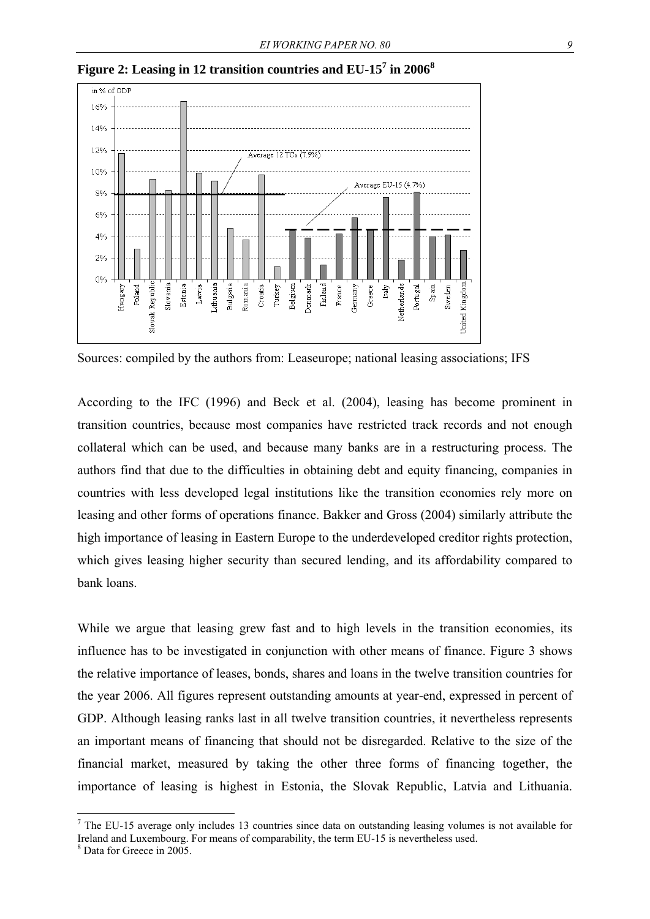

**Figure 2: Leasing in 12 transition countries and EU-15<sup>7</sup> in 2006<sup>8</sup>**

Sources: compiled by the authors from: Leaseurope; national leasing associations; IFS

According to the IFC (1996) and Beck et al. (2004), leasing has become prominent in transition countries, because most companies have restricted track records and not enough collateral which can be used, and because many banks are in a restructuring process. The authors find that due to the difficulties in obtaining debt and equity financing, companies in countries with less developed legal institutions like the transition economies rely more on leasing and other forms of operations finance. Bakker and Gross (2004) similarly attribute the high importance of leasing in Eastern Europe to the underdeveloped creditor rights protection, which gives leasing higher security than secured lending, and its affordability compared to bank loans.

While we argue that leasing grew fast and to high levels in the transition economies, its influence has to be investigated in conjunction with other means of finance. Figure 3 shows the relative importance of leases, bonds, shares and loans in the twelve transition countries for the year 2006. All figures represent outstanding amounts at year-end, expressed in percent of GDP. Although leasing ranks last in all twelve transition countries, it nevertheless represents an important means of financing that should not be disregarded. Relative to the size of the financial market, measured by taking the other three forms of financing together, the importance of leasing is highest in Estonia, the Slovak Republic, Latvia and Lithuania.

<sup>&</sup>lt;sup>7</sup> The EU-15 average only includes 13 countries since data on outstanding leasing volumes is not available for Ireland and Luxembourg. For means of comparability, the term EU-15 is nevertheless used.

<sup>8</sup> Data for Greece in 2005.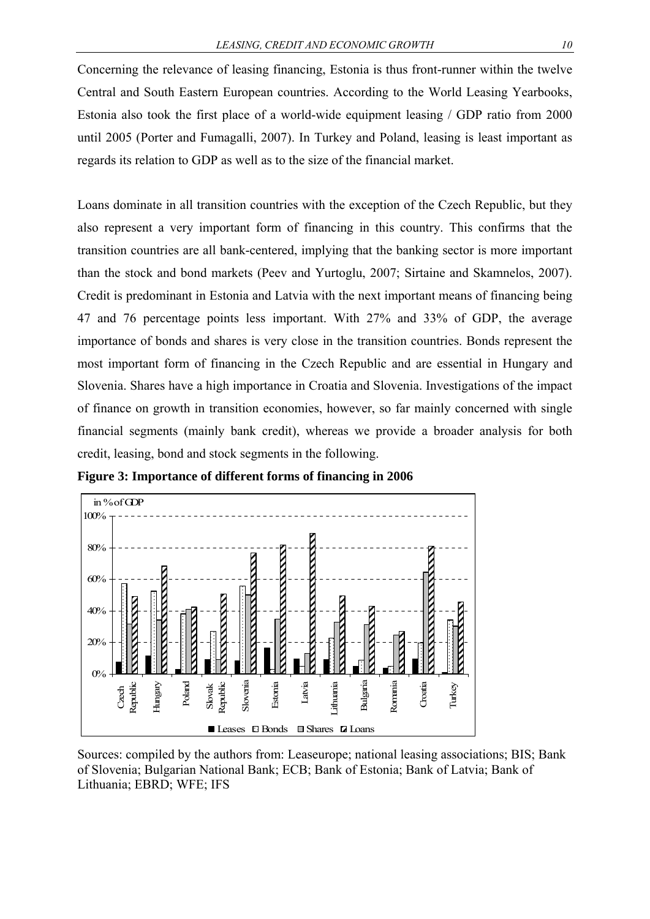Concerning the relevance of leasing financing, Estonia is thus front-runner within the twelve Central and South Eastern European countries. According to the World Leasing Yearbooks, Estonia also took the first place of a world-wide equipment leasing / GDP ratio from 2000 until 2005 (Porter and Fumagalli, 2007). In Turkey and Poland, leasing is least important as regards its relation to GDP as well as to the size of the financial market.

Loans dominate in all transition countries with the exception of the Czech Republic, but they also represent a very important form of financing in this country. This confirms that the transition countries are all bank-centered, implying that the banking sector is more important than the stock and bond markets (Peev and Yurtoglu, 2007; Sirtaine and Skamnelos, 2007). Credit is predominant in Estonia and Latvia with the next important means of financing being 47 and 76 percentage points less important. With 27% and 33% of GDP, the average importance of bonds and shares is very close in the transition countries. Bonds represent the most important form of financing in the Czech Republic and are essential in Hungary and Slovenia. Shares have a high importance in Croatia and Slovenia. Investigations of the impact of finance on growth in transition economies, however, so far mainly concerned with single financial segments (mainly bank credit), whereas we provide a broader analysis for both credit, leasing, bond and stock segments in the following.





Sources: compiled by the authors from: Leaseurope; national leasing associations; BIS; Bank of Slovenia; Bulgarian National Bank; ECB; Bank of Estonia; Bank of Latvia; Bank of Lithuania; EBRD; WFE; IFS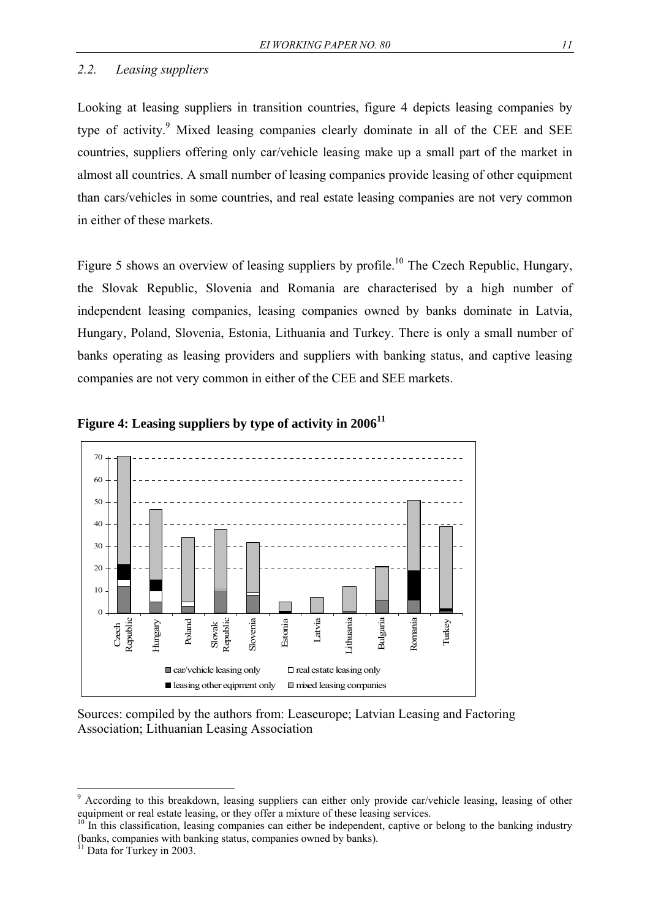### *2.2. Leasing suppliers*

Looking at leasing suppliers in transition countries, figure 4 depicts leasing companies by type of activity.<sup>9</sup> Mixed leasing companies clearly dominate in all of the CEE and SEE countries, suppliers offering only car/vehicle leasing make up a small part of the market in almost all countries. A small number of leasing companies provide leasing of other equipment than cars/vehicles in some countries, and real estate leasing companies are not very common in either of these markets.

Figure 5 shows an overview of leasing suppliers by profile.<sup>10</sup> The Czech Republic, Hungary, the Slovak Republic, Slovenia and Romania are characterised by a high number of independent leasing companies, leasing companies owned by banks dominate in Latvia, Hungary, Poland, Slovenia, Estonia, Lithuania and Turkey. There is only a small number of banks operating as leasing providers and suppliers with banking status, and captive leasing companies are not very common in either of the CEE and SEE markets.





Sources: compiled by the authors from: Leaseurope; Latvian Leasing and Factoring Association; Lithuanian Leasing Association

<sup>&</sup>lt;sup>9</sup> According to this breakdown, leasing suppliers can either only provide car/vehicle leasing, leasing of other equipment or real estate leasing, or they offer a mixture of these leasing services.<br><sup>10</sup> In this classification, leasing companies can either be independent, captive or belong to the banking industry

<sup>(</sup>banks, companies with banking status, companies owned by banks).

<sup>&</sup>lt;sup>11</sup> Data for Turkey in 2003.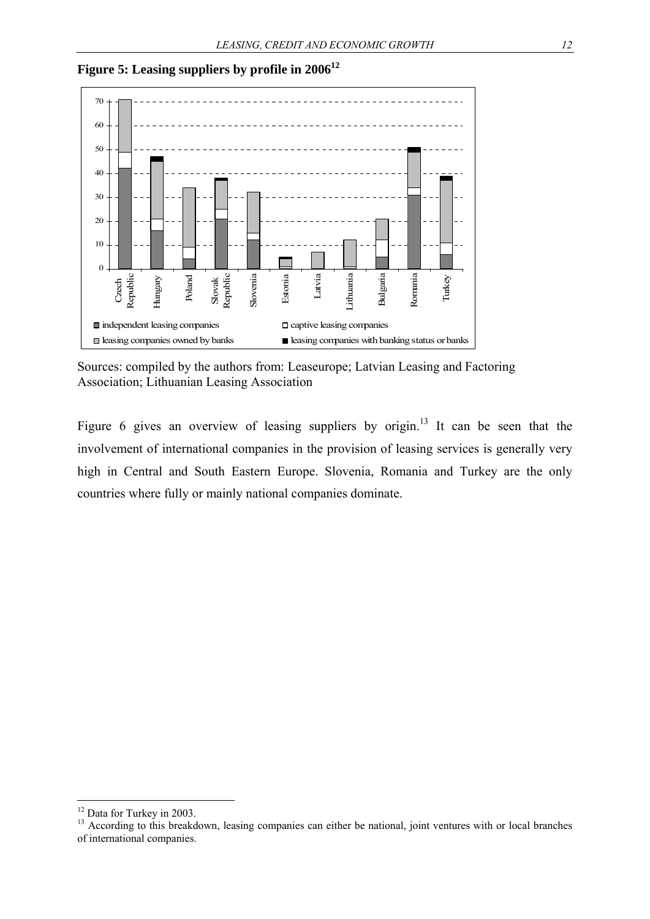

**Figure 5: Leasing suppliers by profile in 200612**

Sources: compiled by the authors from: Leaseurope; Latvian Leasing and Factoring Association; Lithuanian Leasing Association

Figure 6 gives an overview of leasing suppliers by origin.<sup>13</sup> It can be seen that the involvement of international companies in the provision of leasing services is generally very high in Central and South Eastern Europe. Slovenia, Romania and Turkey are the only countries where fully or mainly national companies dominate.

<sup>&</sup>lt;sup>12</sup> Data for Turkey in 2003.

<sup>&</sup>lt;sup>13</sup> According to this breakdown, leasing companies can either be national, joint ventures with or local branches of international companies.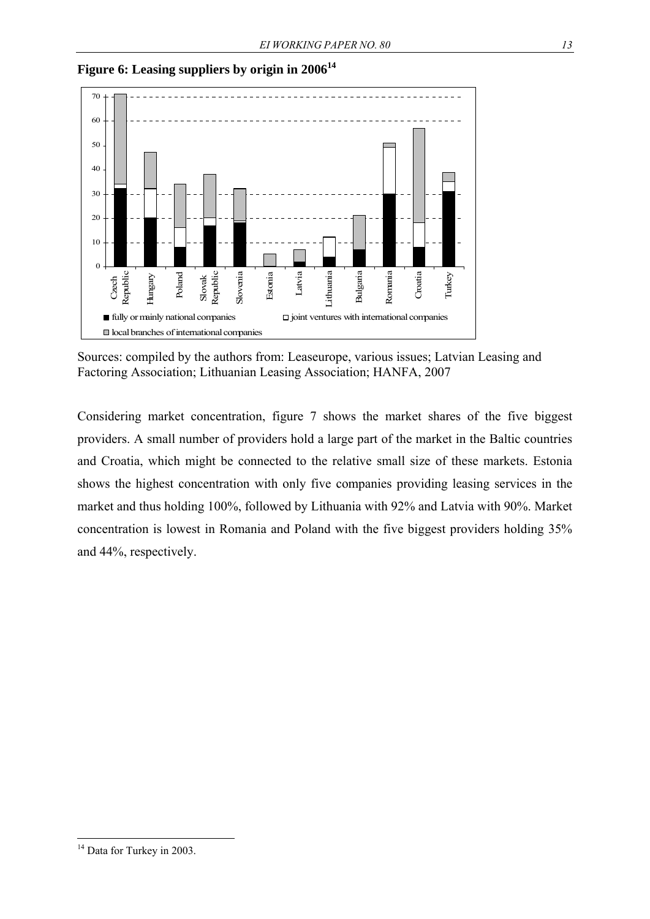

**Figure 6: Leasing suppliers by origin in 200614** 

Sources: compiled by the authors from: Leaseurope, various issues; Latvian Leasing and Factoring Association; Lithuanian Leasing Association; HANFA, 2007

Considering market concentration, figure 7 shows the market shares of the five biggest providers. A small number of providers hold a large part of the market in the Baltic countries and Croatia, which might be connected to the relative small size of these markets. Estonia shows the highest concentration with only five companies providing leasing services in the market and thus holding 100%, followed by Lithuania with 92% and Latvia with 90%. Market concentration is lowest in Romania and Poland with the five biggest providers holding 35% and 44%, respectively.

<sup>&</sup>lt;sup>14</sup> Data for Turkey in 2003.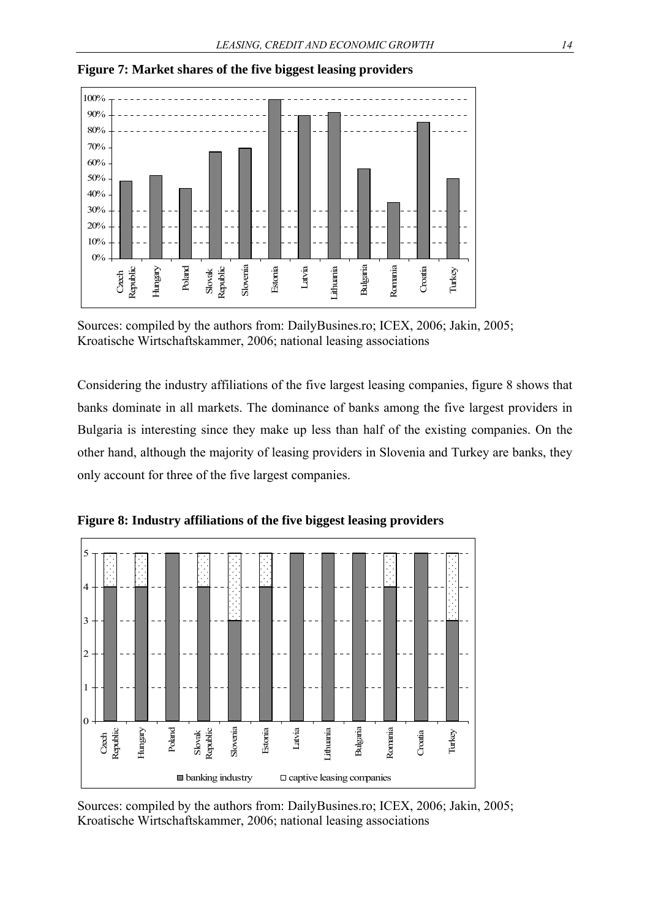

**Figure 7: Market shares of the five biggest leasing providers** 

Sources: compiled by the authors from: DailyBusines.ro; ICEX, 2006; Jakin, 2005; Kroatische Wirtschaftskammer, 2006; national leasing associations

Considering the industry affiliations of the five largest leasing companies, figure 8 shows that banks dominate in all markets. The dominance of banks among the five largest providers in Bulgaria is interesting since they make up less than half of the existing companies. On the other hand, although the majority of leasing providers in Slovenia and Turkey are banks, they only account for three of the five largest companies.



**Figure 8: Industry affiliations of the five biggest leasing providers** 

Sources: compiled by the authors from: DailyBusines.ro; ICEX, 2006; Jakin, 2005; Kroatische Wirtschaftskammer, 2006; national leasing associations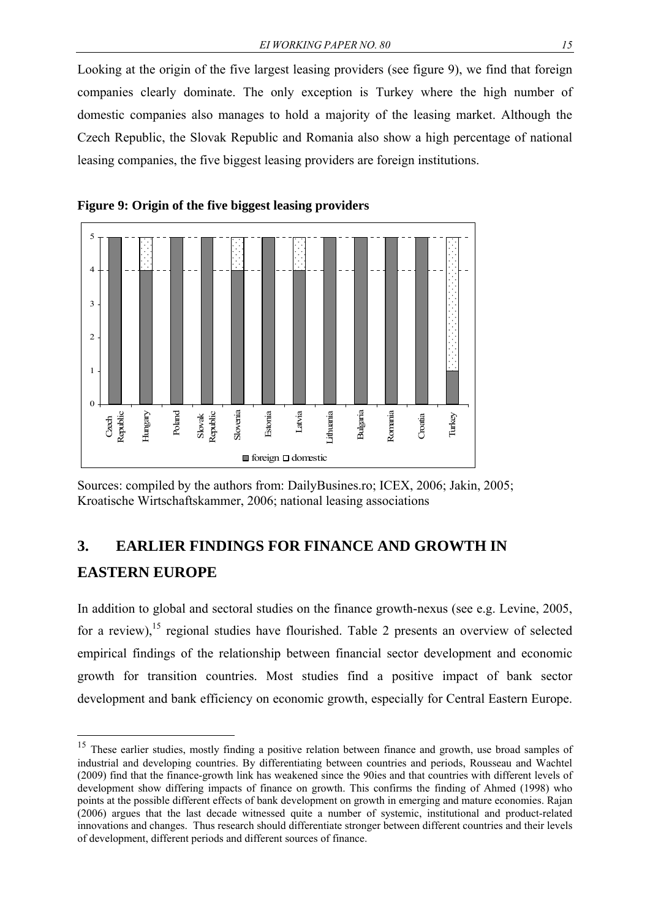Looking at the origin of the five largest leasing providers (see figure 9), we find that foreign companies clearly dominate. The only exception is Turkey where the high number of domestic companies also manages to hold a majority of the leasing market. Although the Czech Republic, the Slovak Republic and Romania also show a high percentage of national leasing companies, the five biggest leasing providers are foreign institutions.





Sources: compiled by the authors from: DailyBusines.ro; ICEX, 2006; Jakin, 2005; Kroatische Wirtschaftskammer, 2006; national leasing associations

## **3. EARLIER FINDINGS FOR FINANCE AND GROWTH IN EASTERN EUROPE**

<u>.</u>

In addition to global and sectoral studies on the finance growth-nexus (see e.g. Levine, 2005, for a review),<sup>15</sup> regional studies have flourished. Table 2 presents an overview of selected empirical findings of the relationship between financial sector development and economic growth for transition countries. Most studies find a positive impact of bank sector development and bank efficiency on economic growth, especially for Central Eastern Europe.

<sup>&</sup>lt;sup>15</sup> These earlier studies, mostly finding a positive relation between finance and growth, use broad samples of industrial and developing countries. By differentiating between countries and periods, Rousseau and Wachtel (2009) find that the finance-growth link has weakened since the 90ies and that countries with different levels of development show differing impacts of finance on growth. This confirms the finding of Ahmed (1998) who points at the possible different effects of bank development on growth in emerging and mature economies. Rajan (2006) argues that the last decade witnessed quite a number of systemic, institutional and product-related innovations and changes. Thus research should differentiate stronger between different countries and their levels of development, different periods and different sources of finance.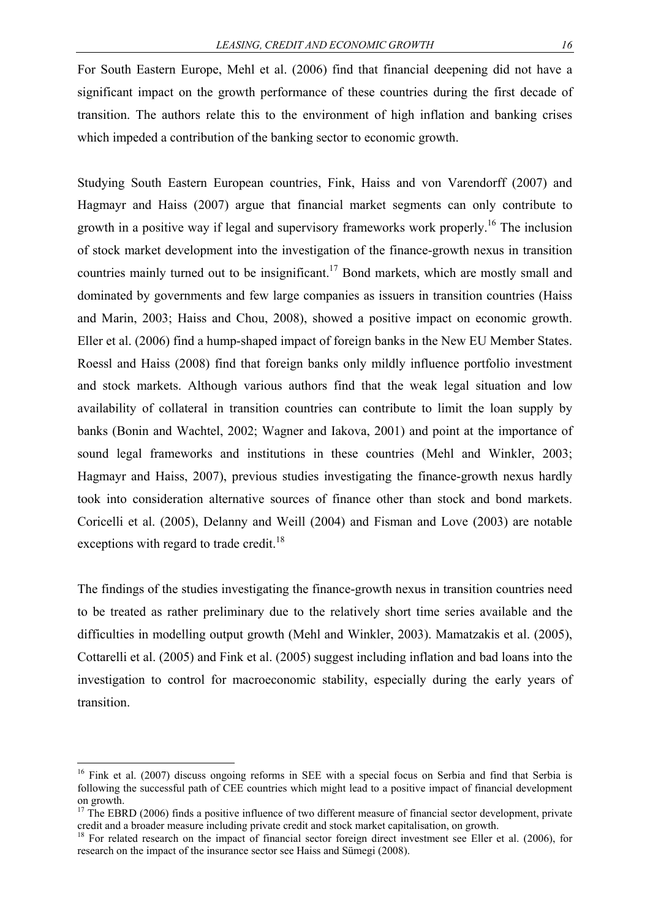For South Eastern Europe, Mehl et al. (2006) find that financial deepening did not have a significant impact on the growth performance of these countries during the first decade of transition. The authors relate this to the environment of high inflation and banking crises which impeded a contribution of the banking sector to economic growth.

Studying South Eastern European countries, Fink, Haiss and von Varendorff (2007) and Hagmayr and Haiss (2007) argue that financial market segments can only contribute to growth in a positive way if legal and supervisory frameworks work properly.<sup>16</sup> The inclusion of stock market development into the investigation of the finance-growth nexus in transition countries mainly turned out to be insignificant.<sup>17</sup> Bond markets, which are mostly small and dominated by governments and few large companies as issuers in transition countries (Haiss and Marin, 2003; Haiss and Chou, 2008), showed a positive impact on economic growth. Eller et al. (2006) find a hump-shaped impact of foreign banks in the New EU Member States. Roessl and Haiss (2008) find that foreign banks only mildly influence portfolio investment and stock markets. Although various authors find that the weak legal situation and low availability of collateral in transition countries can contribute to limit the loan supply by banks (Bonin and Wachtel, 2002; Wagner and Iakova, 2001) and point at the importance of sound legal frameworks and institutions in these countries (Mehl and Winkler, 2003; Hagmayr and Haiss, 2007), previous studies investigating the finance-growth nexus hardly took into consideration alternative sources of finance other than stock and bond markets. Coricelli et al. (2005), Delanny and Weill (2004) and Fisman and Love (2003) are notable exceptions with regard to trade credit.<sup>18</sup>

The findings of the studies investigating the finance-growth nexus in transition countries need to be treated as rather preliminary due to the relatively short time series available and the difficulties in modelling output growth (Mehl and Winkler, 2003). Mamatzakis et al. (2005), Cottarelli et al. (2005) and Fink et al. (2005) suggest including inflation and bad loans into the investigation to control for macroeconomic stability, especially during the early years of transition.

<sup>&</sup>lt;sup>16</sup> Fink et al. (2007) discuss ongoing reforms in SEE with a special focus on Serbia and find that Serbia is following the successful path of CEE countries which might lead to a positive impact of financial development on growth.

 $17$  The EBRD (2006) finds a positive influence of two different measure of financial sector development, private credit and a broader measure including private credit and stock market capitalisation, on growth. 18 For related research on the impact of financial sector foreign direct investment see Eller et al. (2006), for

research on the impact of the insurance sector see Haiss and Sümegi (2008).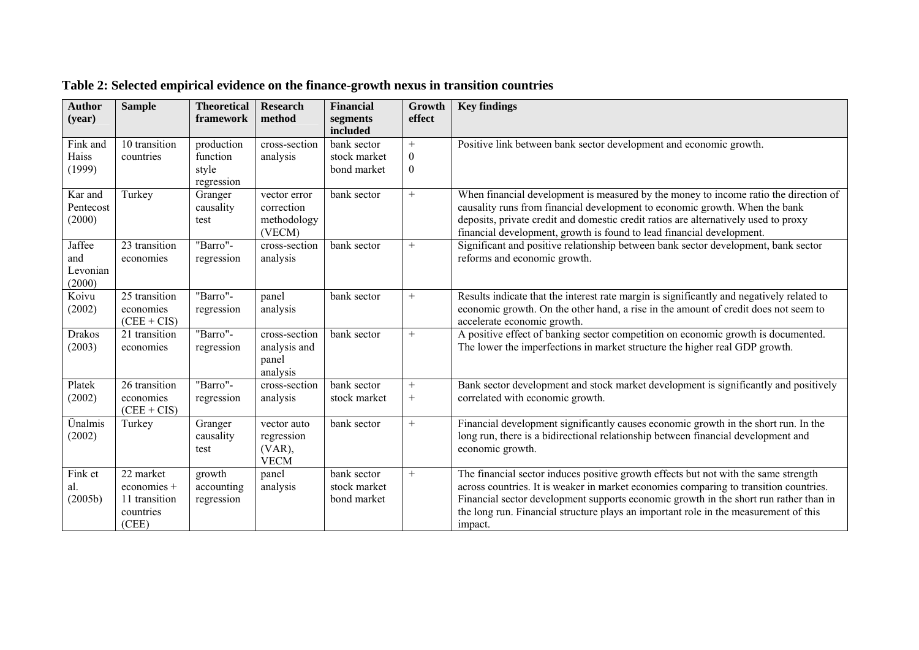| <b>Author</b><br>(year)             | <b>Sample</b>                                                   | <b>Theoretical</b><br>framework               | <b>Research</b><br>method                             | <b>Financial</b><br>segments                           | Growth<br>effect                        | <b>Key findings</b>                                                                                                                                                                                                                                                                                                                                                      |
|-------------------------------------|-----------------------------------------------------------------|-----------------------------------------------|-------------------------------------------------------|--------------------------------------------------------|-----------------------------------------|--------------------------------------------------------------------------------------------------------------------------------------------------------------------------------------------------------------------------------------------------------------------------------------------------------------------------------------------------------------------------|
| Fink and<br>Haiss<br>(1999)         | 10 transition<br>countries                                      | production<br>function<br>style<br>regression | cross-section<br>analysis                             | included<br>bank sector<br>stock market<br>bond market | $+$<br>$\boldsymbol{0}$<br>$\mathbf{0}$ | Positive link between bank sector development and economic growth.                                                                                                                                                                                                                                                                                                       |
| Kar and<br>Pentecost<br>(2000)      | Turkey                                                          | Granger<br>causality<br>test                  | vector error<br>correction<br>methodology<br>(VECM)   | bank sector                                            | $+$                                     | When financial development is measured by the money to income ratio the direction of<br>causality runs from financial development to economic growth. When the bank<br>deposits, private credit and domestic credit ratios are alternatively used to proxy<br>financial development, growth is found to lead financial development.                                      |
| Jaffee<br>and<br>Levonian<br>(2000) | 23 transition<br>economies                                      | "Barro"-<br>regression                        | cross-section<br>analysis                             | bank sector                                            | $+$                                     | Significant and positive relationship between bank sector development, bank sector<br>reforms and economic growth.                                                                                                                                                                                                                                                       |
| Koivu<br>(2002)                     | 25 transition<br>economies<br>$(CEE + CIS)$                     | "Barro"-<br>regression                        | panel<br>analysis                                     | bank sector                                            | $+$                                     | Results indicate that the interest rate margin is significantly and negatively related to<br>economic growth. On the other hand, a rise in the amount of credit does not seem to<br>accelerate economic growth.                                                                                                                                                          |
| <b>Drakos</b><br>(2003)             | 21 transition<br>economies                                      | "Barro"-<br>regression                        | cross-section<br>analysis and<br>panel<br>analysis    | bank sector                                            | $+$                                     | A positive effect of banking sector competition on economic growth is documented.<br>The lower the imperfections in market structure the higher real GDP growth.                                                                                                                                                                                                         |
| Platek<br>(2002)                    | 26 transition<br>economies<br>$(CEE + CIS)$                     | "Barro"-<br>regression                        | cross-section<br>analysis                             | bank sector<br>stock market                            | $^{+}$<br>$^{+}$                        | Bank sector development and stock market development is significantly and positively<br>correlated with economic growth.                                                                                                                                                                                                                                                 |
| Ünalmis<br>(2002)                   | Turkey                                                          | Granger<br>causality<br>test                  | vector auto<br>regression<br>$(VAR)$ ,<br><b>VECM</b> | bank sector                                            | $^{+}$                                  | Financial development significantly causes economic growth in the short run. In the<br>long run, there is a bidirectional relationship between financial development and<br>economic growth.                                                                                                                                                                             |
| Fink et<br>al.<br>(2005b)           | 22 market<br>economies +<br>11 transition<br>countries<br>(CEE) | growth<br>accounting<br>regression            | panel<br>analysis                                     | bank sector<br>stock market<br>bond market             | $+$                                     | The financial sector induces positive growth effects but not with the same strength<br>across countries. It is weaker in market economies comparing to transition countries.<br>Financial sector development supports economic growth in the short run rather than in<br>the long run. Financial structure plays an important role in the measurement of this<br>impact. |

## **Table 2: Selected empirical evidence on the finance-growth nexus in transition countries**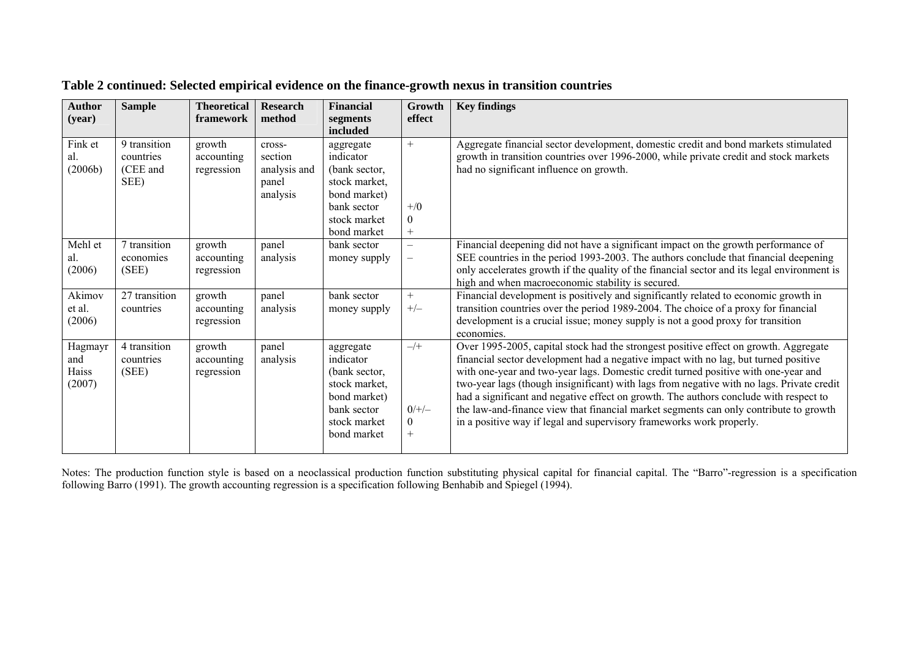| <b>Author</b><br>(year)           | <b>Sample</b>                                 | <b>Theoretical</b><br>framework    | <b>Research</b><br>method                              | <b>Financial</b><br>segments<br>included                                                                               | Growth<br>effect                             | <b>Key findings</b>                                                                                                                                                                                                                                                                                                                                                                                                                                                                                                                                                                                                      |
|-----------------------------------|-----------------------------------------------|------------------------------------|--------------------------------------------------------|------------------------------------------------------------------------------------------------------------------------|----------------------------------------------|--------------------------------------------------------------------------------------------------------------------------------------------------------------------------------------------------------------------------------------------------------------------------------------------------------------------------------------------------------------------------------------------------------------------------------------------------------------------------------------------------------------------------------------------------------------------------------------------------------------------------|
| Fink et<br>al.<br>(2006b)         | 9 transition<br>countries<br>(CEE and<br>SEE) | growth<br>accounting<br>regression | cross-<br>section<br>analysis and<br>panel<br>analysis | aggregate<br>indicator<br>(bank sector,<br>stock market,<br>bond market)<br>bank sector<br>stock market<br>bond market | $^{+}$<br>$+$ /0<br>$\theta$                 | Aggregate financial sector development, domestic credit and bond markets stimulated<br>growth in transition countries over 1996-2000, while private credit and stock markets<br>had no significant influence on growth.                                                                                                                                                                                                                                                                                                                                                                                                  |
| Mehl et<br>al.<br>(2006)          | 7 transition<br>economies<br>(SEE)            | growth<br>accounting<br>regression | panel<br>analysis                                      | bank sector<br>money supply                                                                                            | $\qquad \qquad -$<br>$\qquad \qquad -$       | Financial deepening did not have a significant impact on the growth performance of<br>SEE countries in the period 1993-2003. The authors conclude that financial deepening<br>only accelerates growth if the quality of the financial sector and its legal environment is<br>high and when macroeconomic stability is secured.                                                                                                                                                                                                                                                                                           |
| Akimov<br>et al.<br>(2006)        | 27 transition<br>countries                    | growth<br>accounting<br>regression | panel<br>analysis                                      | bank sector<br>money supply                                                                                            | $+$<br>$+/-$                                 | Financial development is positively and significantly related to economic growth in<br>transition countries over the period 1989-2004. The choice of a proxy for financial<br>development is a crucial issue; money supply is not a good proxy for transition<br>economies.                                                                                                                                                                                                                                                                                                                                              |
| Hagmayr<br>and<br>Haiss<br>(2007) | 4 transition<br>countries<br>(SEE)            | growth<br>accounting<br>regression | panel<br>analysis                                      | aggregate<br>indicator<br>(bank sector,<br>stock market,<br>bond market)<br>bank sector<br>stock market<br>bond market | $-\sqrt{+}$<br>$0/+/-$<br>$\Omega$<br>$^{+}$ | Over 1995-2005, capital stock had the strongest positive effect on growth. Aggregate<br>financial sector development had a negative impact with no lag, but turned positive<br>with one-year and two-year lags. Domestic credit turned positive with one-year and<br>two-year lags (though insignificant) with lags from negative with no lags. Private credit<br>had a significant and negative effect on growth. The authors conclude with respect to<br>the law-and-finance view that financial market segments can only contribute to growth<br>in a positive way if legal and supervisory frameworks work properly. |

| Table 2 continued: Selected empirical evidence on the finance-growth nexus in transition countries |  |  |
|----------------------------------------------------------------------------------------------------|--|--|
|                                                                                                    |  |  |

Notes: The production function style is based on a neoclassical production function substituting physical capital for financial capital. The "Barro"-regression is a specification following Barro (1991). The growth accounting regression is a specification following Benhabib and Spiegel (1994).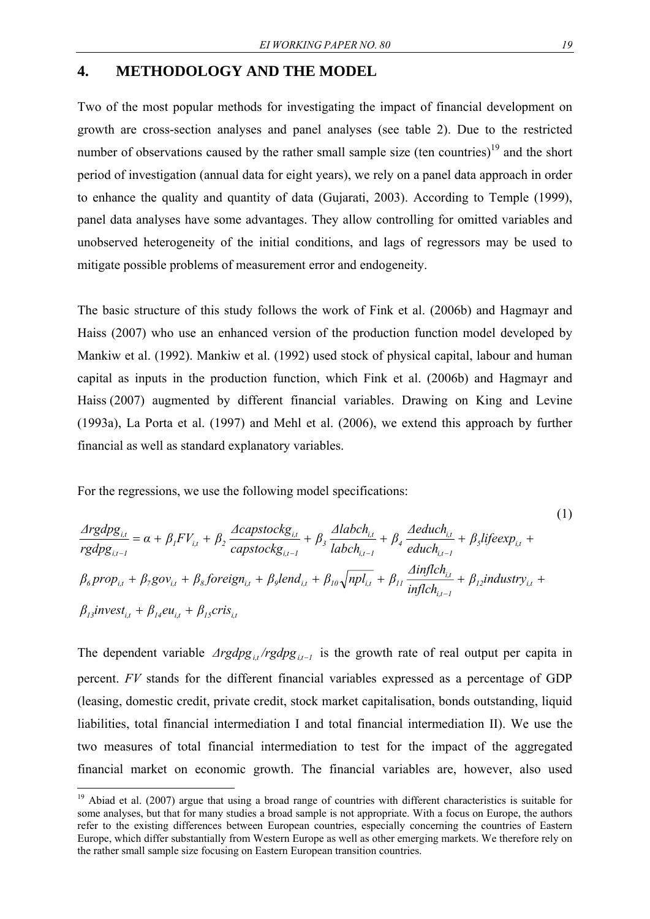### **4. METHODOLOGY AND THE MODEL**

Two of the most popular methods for investigating the impact of financial development on growth are cross-section analyses and panel analyses (see table 2). Due to the restricted number of observations caused by the rather small sample size (ten countries) $19$  and the short period of investigation (annual data for eight years), we rely on a panel data approach in order to enhance the quality and quantity of data (Gujarati, 2003). According to Temple (1999), panel data analyses have some advantages. They allow controlling for omitted variables and unobserved heterogeneity of the initial conditions, and lags of regressors may be used to mitigate possible problems of measurement error and endogeneity.

The basic structure of this study follows the work of Fink et al. (2006b) and Hagmayr and Haiss (2007) who use an enhanced version of the production function model developed by Mankiw et al. (1992). Mankiw et al. (1992) used stock of physical capital, labour and human capital as inputs in the production function, which Fink et al. (2006b) and Hagmayr and Haiss (2007) augmented by different financial variables. Drawing on King and Levine (1993a), La Porta et al. (1997) and Mehl et al. (2006), we extend this approach by further financial as well as standard explanatory variables.

For the regressions, we use the following model specifications:

1

$$
\frac{\Delta rgdpg_{i,t}}{rgdpg_{i,t-1}} = \alpha + \beta_1 FV_{i,t} + \beta_2 \frac{\Delta capstockg_{i,t}}{capstockg_{i,t-1}} + \beta_3 \frac{\Delta labch_{i,t}}{labch_{i,t-1}} + \beta_4 \frac{\Delta educh_{i,t}}{educh_{i,t-1}} + \beta_5 lifeexp_{i,t} + \beta_6 prop_{i,t} + \beta_7 gov_{i,t} + \beta_8 foreign_{i,t} + \beta_9 lend_{i,t} + \beta_{10} \sqrt{npl_{i,t}} + \beta_{11} \frac{\Delta inflch_{i,t}}{inflch_{i,t-1}} + \beta_{12} industry_{i,t} + \beta_{13} invest_{i,t} + \beta_{14} eu_{i,t} + \beta_{15} crisis_{i,t}
$$

The dependent variable  $Arg \frac{g_i}{r}$  *i*,*rgdpg*  $\frac{1}{r}$  is the growth rate of real output per capita in percent. *FV* stands for the different financial variables expressed as a percentage of GDP (leasing, domestic credit, private credit, stock market capitalisation, bonds outstanding, liquid liabilities, total financial intermediation I and total financial intermediation II). We use the two measures of total financial intermediation to test for the impact of the aggregated financial market on economic growth. The financial variables are, however, also used

(1)

 $19$  Abiad et al. (2007) argue that using a broad range of countries with different characteristics is suitable for some analyses, but that for many studies a broad sample is not appropriate. With a focus on Europe, the authors refer to the existing differences between European countries, especially concerning the countries of Eastern Europe, which differ substantially from Western Europe as well as other emerging markets. We therefore rely on the rather small sample size focusing on Eastern European transition countries.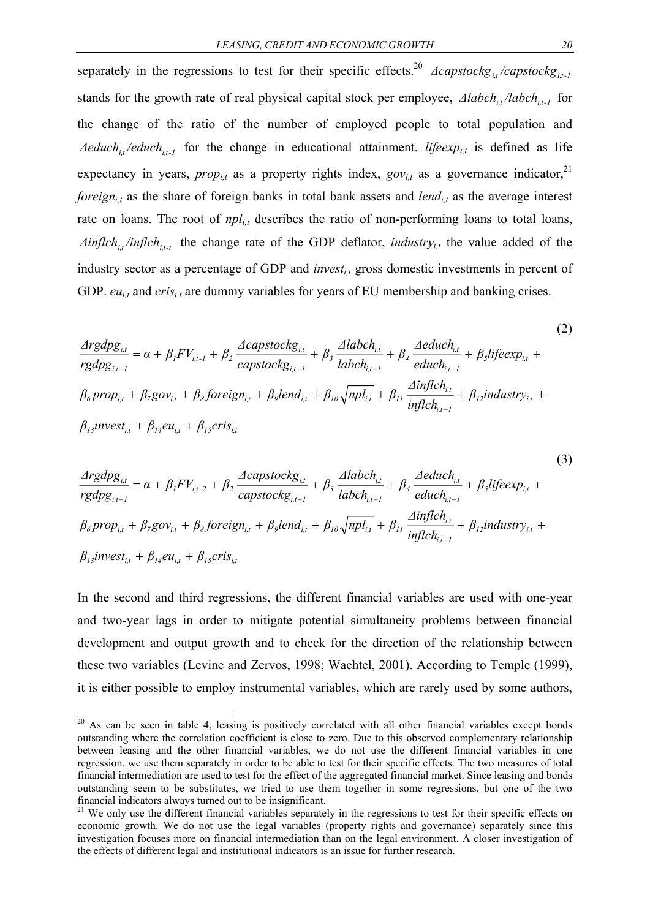separately in the regressions to test for their specific effects.<sup>20</sup>  $\Delta$ *capstockg*<sub>*i,t*</sub>/*capstockg*<sub>*i,t*-*i*</sub> stands for the growth rate of real physical capital stock per employee,  $\Delta$ *labch*<sub>*i,t*</sub> */labch*<sub>*i*,t<sub>-1</sub></sub> for the change of the ratio of the number of employed people to total population and  $A$ *educh<sub>it</sub>*/*educh<sub>it-1</sub>* for the change in educational attainment. *lifeexp<sub>it</sub>* is defined as life expectancy in years,  $prop_{i,t}$  as a property rights index,  $gov_{i,t}$  as a governance indicator,<sup>21</sup> *foreign<sub>i,t</sub>* as the share of foreign banks in total bank assets and *lend<sub>i,t</sub>* as the average interest rate on loans. The root of  $npl_{i,t}$  describes the ratio of non-performing loans to total loans,  $\Delta$ *inflch*<sub>*i,t*</sub> */inflch*<sub>*it-t*</sub> the change rate of the GDP deflator, *industry<sub>i,t</sub>* the value added of the industry sector as a percentage of GDP and *invest<sub>it</sub>* gross domestic investments in percent of GDP. *eu<sub>i,t</sub>* and *cris<sub>i,t</sub>* are dummy variables for years of EU membership and banking crises.

(2)  
\n
$$
\frac{\Delta rgdpg_{i,t}}{rgdpg_{i,t-1}} = \alpha + \beta_1 FV_{i,t-1} + \beta_2 \frac{\Delta capstockg_{i,t}}{capstockg_{i,t-1}} + \beta_3 \frac{\Delta labch_{i,t}}{labch_{i,t-1}} + \beta_4 \frac{\Delta educh_{i,t}}{educh_{i,t-1}} + \beta_5 lifeexp_{i,t} + \beta_6 prop_{i,t} + \beta_7 gov_{i,t} + \beta_8 foreign_{i,t} + \beta_9 lend_{i,t} + \beta_{10} \sqrt{npl_{i,t}} + \beta_{11} \frac{\Delta inflch_{i,t}}{inflch_{i,t-1}} + \beta_{12} industry_{i,t} + \beta_{13} invest_{i,t} + \beta_{14} eu_{i,t} + \beta_{15} cris_{i,t}
$$
\n(2)

(3)  
\n
$$
\frac{\text{Arg}dpg_{i,t}}{rgdpg_{i,t-1}} = \alpha + \beta_1 F V_{i,t-2} + \beta_2 \frac{\text{Acapstock}g_{i,t}}{\text{capstock}g_{i,t-1}} + \beta_3 \frac{\text{Alabch}_{i,t}}{\text{labch}_{i,t-1}} + \beta_4 \frac{\text{Aeduch}_{i,t}}{\text{educh}_{i,t-1}} + \beta_5 \text{lifeexp}_{i,t} + \beta_6 \text{prop}_{i,t} + \beta_7 \text{gov}_{i,t} + \beta_8 \text{foreign}_{i,t} + \beta_9 \text{lend}_{i,t} + \beta_{10} \sqrt{npl_{i,t}} + \beta_{11} \frac{\text{Ainflch}_{i,t}}{\text{inflch}_{i,t-1}} + \beta_{12} \text{industry}_{i,t} + \beta_{13} \text{invest}_{i,t} + \beta_{14} \text{eu}_{i,t} + \beta_{15} \text{cris}_{i,t}
$$
\n(3)

In the second and third regressions, the different financial variables are used with one-year and two-year lags in order to mitigate potential simultaneity problems between financial development and output growth and to check for the direction of the relationship between these two variables (Levine and Zervos, 1998; Wachtel, 2001). According to Temple (1999), it is either possible to employ instrumental variables, which are rarely used by some authors,

<u>.</u>

<sup>&</sup>lt;sup>20</sup> As can be seen in table 4, leasing is positively correlated with all other financial variables except bonds outstanding where the correlation coefficient is close to zero. Due to this observed complementary relationship between leasing and the other financial variables, we do not use the different financial variables in one regression. we use them separately in order to be able to test for their specific effects. The two measures of total financial intermediation are used to test for the effect of the aggregated financial market. Since leasing and bonds outstanding seem to be substitutes, we tried to use them together in some regressions, but one of the two financial indicators always turned out to be insignificant.

<sup>&</sup>lt;sup>21</sup> We only use the different financial variables separately in the regressions to test for their specific effects on economic growth. We do not use the legal variables (property rights and governance) separately since this investigation focuses more on financial intermediation than on the legal environment. A closer investigation of the effects of different legal and institutional indicators is an issue for further research.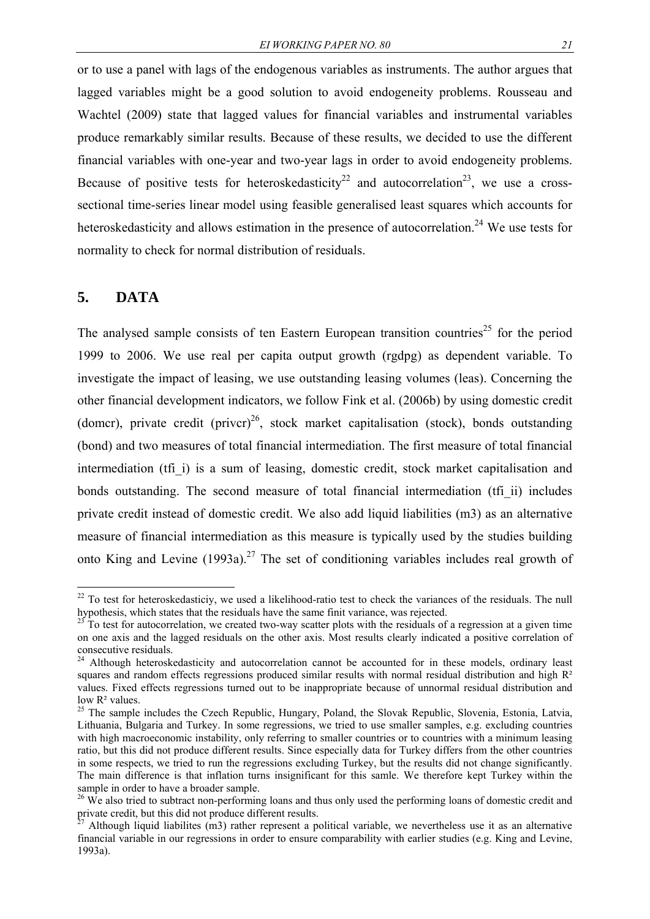or to use a panel with lags of the endogenous variables as instruments. The author argues that lagged variables might be a good solution to avoid endogeneity problems. Rousseau and Wachtel (2009) state that lagged values for financial variables and instrumental variables produce remarkably similar results. Because of these results, we decided to use the different financial variables with one-year and two-year lags in order to avoid endogeneity problems. Because of positive tests for heteroskedasticity<sup>22</sup> and autocorrelation<sup>23</sup>, we use a crosssectional time-series linear model using feasible generalised least squares which accounts for heteroskedasticity and allows estimation in the presence of autocorrelation.<sup>24</sup> We use tests for normality to check for normal distribution of residuals.

#### **5. DATA**

<u>.</u>

The analysed sample consists of ten Eastern European transition countries<sup>25</sup> for the period 1999 to 2006. We use real per capita output growth (rgdpg) as dependent variable. To investigate the impact of leasing, we use outstanding leasing volumes (leas). Concerning the other financial development indicators, we follow Fink et al. (2006b) by using domestic credit (domcr), private credit (privcr)<sup>26</sup>, stock market capitalisation (stock), bonds outstanding (bond) and two measures of total financial intermediation. The first measure of total financial intermediation (tfi) is a sum of leasing, domestic credit, stock market capitalisation and bonds outstanding. The second measure of total financial intermediation (tfi\_ii) includes private credit instead of domestic credit. We also add liquid liabilities (m3) as an alternative measure of financial intermediation as this measure is typically used by the studies building onto King and Levine  $(1993a)^{27}$  The set of conditioning variables includes real growth of

 $22$  To test for heteroskedasticiy, we used a likelihood-ratio test to check the variances of the residuals. The null hypothesis, which states that the residuals have the same finit variance, was rejected.<br><sup>23</sup> To test for autocorrelation, we created two-way scatter plots with the residuals of a regression at a given time

on one axis and the lagged residuals on the other axis. Most results clearly indicated a positive correlation of consecutive residuals.

<sup>&</sup>lt;sup>24</sup> Although heteroskedasticity and autocorrelation cannot be accounted for in these models, ordinary least squares and random effects regressions produced similar results with normal residual distribution and high R<sup>2</sup> values. Fixed effects regressions turned out to be inappropriate because of unnormal residual distribution and low R² values.

<sup>&</sup>lt;sup>25</sup> The sample includes the Czech Republic, Hungary, Poland, the Slovak Republic, Slovenia, Estonia, Latvia, Lithuania, Bulgaria and Turkey. In some regressions, we tried to use smaller samples, e.g. excluding countries with high macroeconomic instability, only referring to smaller countries or to countries with a minimum leasing ratio, but this did not produce different results. Since especially data for Turkey differs from the other countries in some respects, we tried to run the regressions excluding Turkey, but the results did not change significantly. The main difference is that inflation turns insignificant for this samle. We therefore kept Turkey within the sample in order to have a broader sample.

<sup>&</sup>lt;sup>26</sup> We also tried to subtract non-performing loans and thus only used the performing loans of domestic credit and private credit, but this did not produce different results.

Although liquid liabilites (m3) rather represent a political variable, we nevertheless use it as an alternative financial variable in our regressions in order to ensure comparability with earlier studies (e.g. King and Levine, 1993a).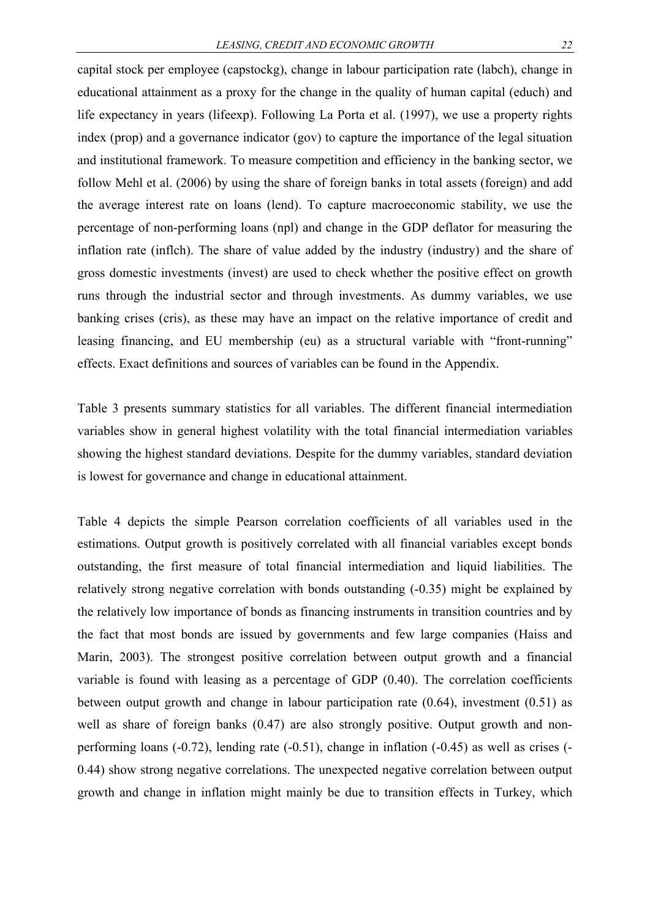capital stock per employee (capstockg), change in labour participation rate (labch), change in educational attainment as a proxy for the change in the quality of human capital (educh) and life expectancy in years (lifeexp). Following La Porta et al. (1997), we use a property rights index (prop) and a governance indicator (gov) to capture the importance of the legal situation and institutional framework. To measure competition and efficiency in the banking sector, we follow Mehl et al. (2006) by using the share of foreign banks in total assets (foreign) and add the average interest rate on loans (lend). To capture macroeconomic stability, we use the percentage of non-performing loans (npl) and change in the GDP deflator for measuring the inflation rate (inflch). The share of value added by the industry (industry) and the share of gross domestic investments (invest) are used to check whether the positive effect on growth runs through the industrial sector and through investments. As dummy variables, we use banking crises (cris), as these may have an impact on the relative importance of credit and leasing financing, and EU membership (eu) as a structural variable with "front-running" effects. Exact definitions and sources of variables can be found in the Appendix.

Table 3 presents summary statistics for all variables. The different financial intermediation variables show in general highest volatility with the total financial intermediation variables showing the highest standard deviations. Despite for the dummy variables, standard deviation is lowest for governance and change in educational attainment.

Table 4 depicts the simple Pearson correlation coefficients of all variables used in the estimations. Output growth is positively correlated with all financial variables except bonds outstanding, the first measure of total financial intermediation and liquid liabilities. The relatively strong negative correlation with bonds outstanding (-0.35) might be explained by the relatively low importance of bonds as financing instruments in transition countries and by the fact that most bonds are issued by governments and few large companies (Haiss and Marin, 2003). The strongest positive correlation between output growth and a financial variable is found with leasing as a percentage of GDP (0.40). The correlation coefficients between output growth and change in labour participation rate (0.64), investment (0.51) as well as share of foreign banks  $(0.47)$  are also strongly positive. Output growth and nonperforming loans (-0.72), lending rate (-0.51), change in inflation (-0.45) as well as crises (- 0.44) show strong negative correlations. The unexpected negative correlation between output growth and change in inflation might mainly be due to transition effects in Turkey, which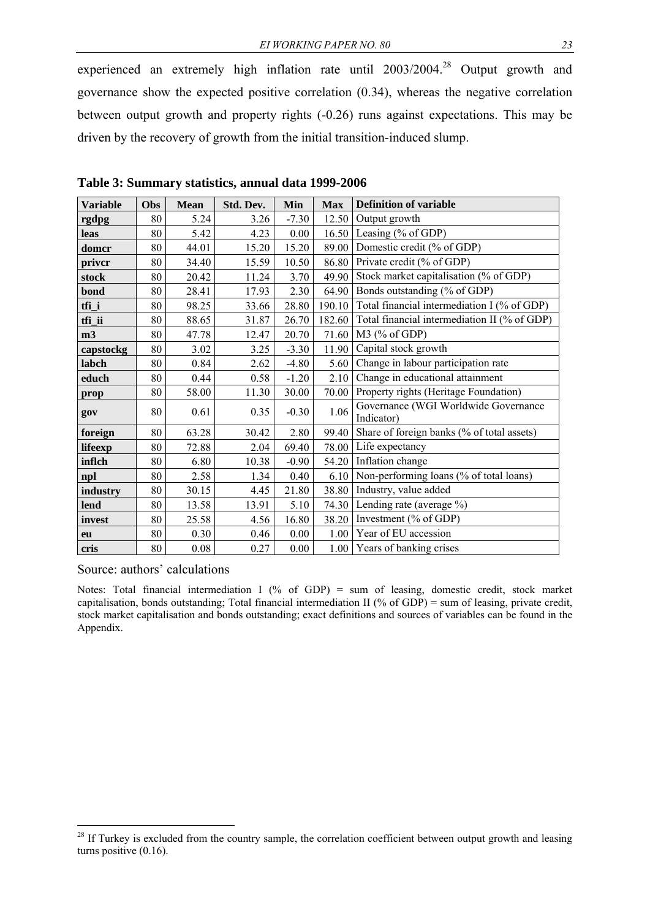experienced an extremely high inflation rate until 2003/2004.<sup>28</sup> Output growth and governance show the expected positive correlation (0.34), whereas the negative correlation between output growth and property rights (-0.26) runs against expectations. This may be driven by the recovery of growth from the initial transition-induced slump.

| <b>Variable</b> | Obs | <b>Mean</b> | Std. Dev. | <b>Min</b> | <b>Max</b> | <b>Definition of variable</b>                      |  |
|-----------------|-----|-------------|-----------|------------|------------|----------------------------------------------------|--|
| rgdpg           | 80  | 5.24        | 3.26      | $-7.30$    | 12.50      | Output growth                                      |  |
| leas            | 80  | 5.42        | 4.23      | 0.00       | 16.50      | Leasing (% of GDP)                                 |  |
| domcr           | 80  | 44.01       | 15.20     | 15.20      | 89.00      | Domestic credit (% of GDP)                         |  |
| priver          | 80  | 34.40       | 15.59     | 10.50      | 86.80      | Private credit (% of GDP)                          |  |
| stock           | 80  | 20.42       | 11.24     | 3.70       | 49.90      | Stock market capitalisation (% of GDP)             |  |
| bond            | 80  | 28.41       | 17.93     | 2.30       | 64.90      | Bonds outstanding (% of GDP)                       |  |
| tfi_i           | 80  | 98.25       | 33.66     | 28.80      | 190.10     | Total financial intermediation I (% of GDP)        |  |
| tfi_ii          | 80  | 88.65       | 31.87     | 26.70      | 182.60     | Total financial intermediation II (% of GDP)       |  |
| m <sub>3</sub>  | 80  | 47.78       | 12.47     | 20.70      | 71.60      | $M3$ (% of GDP)                                    |  |
| capstockg       | 80  | 3.02        | 3.25      | $-3.30$    | 11.90      | Capital stock growth                               |  |
| labch           | 80  | 0.84        | 2.62      | $-4.80$    | 5.60       | Change in labour participation rate                |  |
| educh           | 80  | 0.44        | 0.58      | $-1.20$    | 2.10       | Change in educational attainment                   |  |
| prop            | 80  | 58.00       | 11.30     | 30.00      | 70.00      | Property rights (Heritage Foundation)              |  |
| gov             | 80  | 0.61        | 0.35      | $-0.30$    | 1.06       | Governance (WGI Worldwide Governance<br>Indicator) |  |
| foreign         | 80  | 63.28       | 30.42     | 2.80       | 99.40      | Share of foreign banks (% of total assets)         |  |
| lifeexp         | 80  | 72.88       | 2.04      | 69.40      | 78.00      | Life expectancy                                    |  |
| inflch          | 80  | 6.80        | 10.38     | $-0.90$    | 54.20      | Inflation change                                   |  |
| npl             | 80  | 2.58        | 1.34      | 0.40       | 6.10       | Non-performing loans (% of total loans)            |  |
| industry        | 80  | 30.15       | 4.45      | 21.80      | 38.80      | Industry, value added                              |  |
| lend            | 80  | 13.58       | 13.91     | 5.10       | 74.30      | Lending rate (average %)                           |  |
| invest          | 80  | 25.58       | 4.56      | 16.80      | 38.20      | Investment (% of GDP)                              |  |
| eu              | 80  | 0.30        | 0.46      | $0.00\,$   | 1.00       | Year of EU accession                               |  |
| cris            | 80  | $0.08\,$    | 0.27      | 0.00       | 1.00       | Years of banking crises                            |  |

**Table 3: Summary statistics, annual data 1999-2006** 

Source: authors' calculations

1

Notes: Total financial intermediation I (% of GDP) = sum of leasing, domestic credit, stock market capitalisation, bonds outstanding; Total financial intermediation II (% of GDP) = sum of leasing, private credit, stock market capitalisation and bonds outstanding; exact definitions and sources of variables can be found in the Appendix.

<sup>&</sup>lt;sup>28</sup> If Turkey is excluded from the country sample, the correlation coefficient between output growth and leasing turns positive (0.16).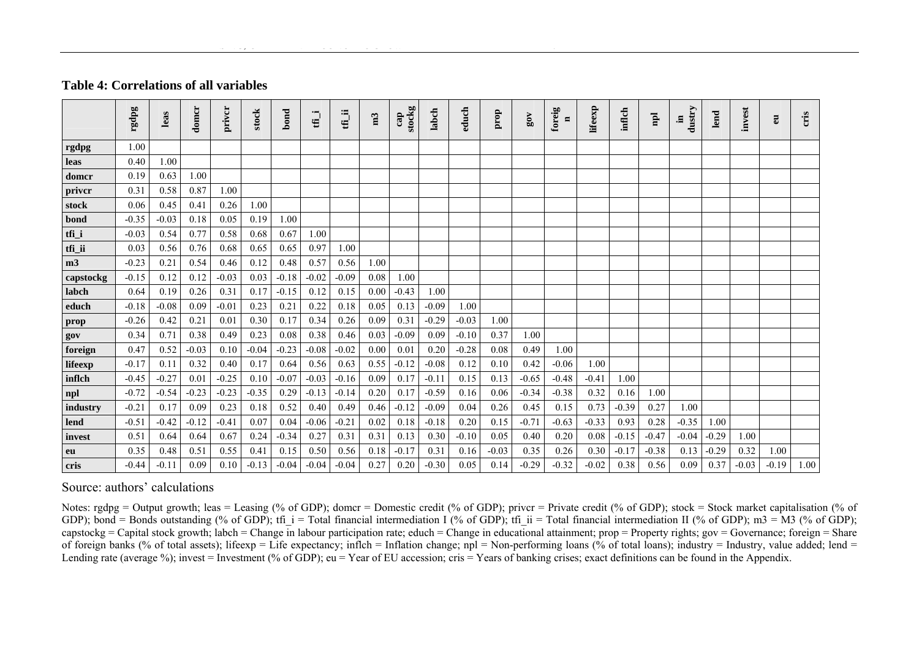#### **Table 4: Correlations of all variables**

|           | rgdpg   | leas    | domer   | priver  | stock   | bond    | $\bullet$<br>₩ | ≔<br>Έ  | m3   | stockg<br>cap | labch   | educh   | prop    | 80V     | foreig<br>$\blacksquare$ | lifeexp | inflch  | $\mathbf{p}$ | dustry<br>, | lend    | invest  | E       | cris |
|-----------|---------|---------|---------|---------|---------|---------|----------------|---------|------|---------------|---------|---------|---------|---------|--------------------------|---------|---------|--------------|-------------|---------|---------|---------|------|
|           |         |         |         |         |         |         |                |         |      |               |         |         |         |         |                          |         |         |              |             |         |         |         |      |
| rgdpg     | 1.00    |         |         |         |         |         |                |         |      |               |         |         |         |         |                          |         |         |              |             |         |         |         |      |
| leas      | 0.40    | 1.00    |         |         |         |         |                |         |      |               |         |         |         |         |                          |         |         |              |             |         |         |         |      |
| domer     | 0.19    | 0.63    | 1.00    |         |         |         |                |         |      |               |         |         |         |         |                          |         |         |              |             |         |         |         |      |
| priver    | 0.31    | 0.58    | 0.87    | 1.00    |         |         |                |         |      |               |         |         |         |         |                          |         |         |              |             |         |         |         |      |
| stock     | 0.06    | 0.45    | 0.41    | 0.26    | 1.00    |         |                |         |      |               |         |         |         |         |                          |         |         |              |             |         |         |         |      |
| bond      | $-0.35$ | $-0.03$ | 0.18    | 0.05    | 0.19    | 1.00    |                |         |      |               |         |         |         |         |                          |         |         |              |             |         |         |         |      |
| tfi_i     | $-0.03$ | 0.54    | 0.77    | 0.58    | 0.68    | 0.67    | 1.00           |         |      |               |         |         |         |         |                          |         |         |              |             |         |         |         |      |
| $tfi$ _ii | 0.03    | 0.56    | 0.76    | 0.68    | 0.65    | 0.65    | 0.97           | 1.00    |      |               |         |         |         |         |                          |         |         |              |             |         |         |         |      |
| m3        | $-0.23$ | 0.21    | 0.54    | 0.46    | 0.12    | 0.48    | 0.57           | 0.56    | 1.00 |               |         |         |         |         |                          |         |         |              |             |         |         |         |      |
| capstockg | $-0.15$ | 0.12    | 0.12    | $-0.03$ | 0.03    | $-0.18$ | $-0.02$        | $-0.09$ | 0.08 | 1.00          |         |         |         |         |                          |         |         |              |             |         |         |         |      |
| labch     | 0.64    | 0.19    | 0.26    | 0.31    | 0.17    | $-0.15$ | 0.12           | 0.15    | 0.00 | $-0.43$       | 1.00    |         |         |         |                          |         |         |              |             |         |         |         |      |
| educh     | $-0.18$ | $-0.08$ | 0.09    | $-0.01$ | 0.23    | 0.21    | 0.22           | 0.18    | 0.05 | 0.13          | $-0.09$ | 1.00    |         |         |                          |         |         |              |             |         |         |         |      |
| prop      | $-0.26$ | 0.42    | 0.21    | 0.01    | 0.30    | 0.17    | 0.34           | 0.26    | 0.09 | 0.31          | $-0.29$ | $-0.03$ | 1.00    |         |                          |         |         |              |             |         |         |         |      |
| gov       | 0.34    | 0.71    | 0.38    | 0.49    | 0.23    | 0.08    | 0.38           | 0.46    | 0.03 | $-0.09$       | 0.09    | $-0.10$ | 0.37    | 1.00    |                          |         |         |              |             |         |         |         |      |
| foreign   | 0.47    | 0.52    | $-0.03$ | 0.10    | $-0.04$ | $-0.23$ | $-0.08$        | $-0.02$ | 0.00 | 0.01          | 0.20    | $-0.28$ | 0.08    | 0.49    | 1.00                     |         |         |              |             |         |         |         |      |
| lifeexp   | $-0.17$ | 0.11    | 0.32    | 0.40    | 0.17    | 0.64    | 0.56           | 0.63    | 0.55 | $-0.12$       | $-0.08$ | 0.12    | 0.10    | 0.42    | $-0.06$                  | 1.00    |         |              |             |         |         |         |      |
| inflch    | $-0.45$ | $-0.27$ | 0.01    | $-0.25$ | 0.10    | $-0.07$ | $-0.03$        | $-0.16$ | 0.09 | 0.17          | $-0.11$ | 0.15    | 0.13    | $-0.65$ | $-0.48$                  | $-0.41$ | 1.00    |              |             |         |         |         |      |
| npl       | $-0.72$ | $-0.54$ | $-0.23$ | $-0.23$ | $-0.35$ | 0.29    | $-0.13$        | $-0.14$ | 0.20 | 0.17          | $-0.59$ | 0.16    | 0.06    | $-0.34$ | $-0.38$                  | 0.32    | 0.16    | 1.00         |             |         |         |         |      |
| industry  | $-0.21$ | 0.17    | 0.09    | 0.23    | 0.18    | 0.52    | 0.40           | 0.49    | 0.46 | $-0.12$       | $-0.09$ | 0.04    | 0.26    | 0.45    | 0.15                     | 0.73    | $-0.39$ | 0.27         | 1.00        |         |         |         |      |
| lend      | $-0.51$ | $-0.42$ | $-0.12$ | $-0.41$ | 0.07    | 0.04    | $-0.06$        | $-0.21$ | 0.02 | 0.18          | $-0.18$ | 0.20    | 0.15    | $-0.71$ | $-0.63$                  | $-0.33$ | 0.93    | 0.28         | $-0.35$     | 1.00    |         |         |      |
| invest    | 0.51    | 0.64    | 0.64    | 0.67    | 0.24    | $-0.34$ | 0.27           | 0.31    | 0.31 | 0.13          | 0.30    | $-0.10$ | 0.05    | 0.40    | 0.20                     | 0.08    | $-0.15$ | $-0.47$      | $-0.04$     | $-0.29$ | 1.00    |         |      |
| eu        | 0.35    | 0.48    | 0.51    | 0.55    | 0.41    | 0.15    | 0.50           | 0.56    | 0.18 | $-0.17$       | 0.31    | 0.16    | $-0.03$ | 0.35    | 0.26                     | 0.30    | $-0.17$ | $-0.38$      | 0.13        | $-0.29$ | 0.32    | 1.00    |      |
| cris      | $-0.44$ | $-0.11$ | 0.09    | 0.10    | $-0.13$ | $-0.04$ | $-0.04$        | $-0.04$ | 0.27 | 0.20          | $-0.30$ | 0.05    | 0.14    | $-0.29$ | $-0.32$                  | $-0.02$ | 0.38    | 0.56         | 0.09        | 0.37    | $-0.03$ | $-0.19$ | 1.00 |

#### Source: authors' calculations

Notes: rgdpg = Output growth; leas = Leasing (% of GDP); domcr = Domestic credit (% of GDP); privcr = Private credit (% of GDP); stock = Stock market capitalisation (% of GDP); bond = Bonds outstanding (% of GDP); tfi\_i = Total financial intermediation I (% of GDP); tfi\_ii = Total financial intermediation II (% of GDP); m3 = M3 (% of GDP); capstockg = Capital stock growth; labch = Change in labour participation rate; educh = Change in educational attainment; prop = Property rights; gov = Governance; foreign = Share of foreign banks (% of total assets); lifeexp = Life expectancy; inflch = Inflation change; npl = Non-performing loans (% of total loans); industry = Industry, value added; lend = Lending rate (average %); invest = Investment (% of GDP); eu = Year of EU accession; cris = Years of banking crises; exact definitions can be found in the Appendix.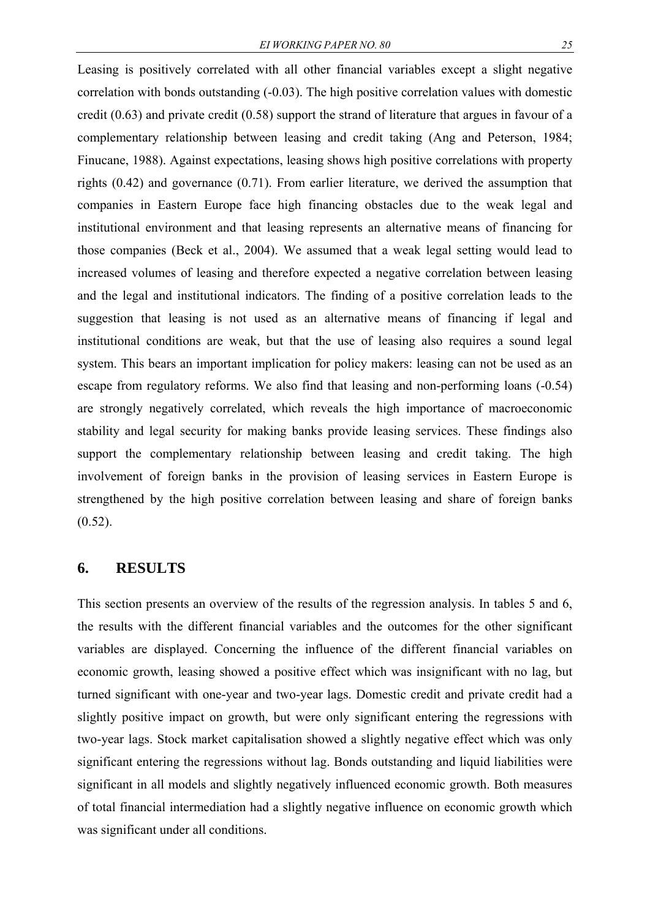Leasing is positively correlated with all other financial variables except a slight negative correlation with bonds outstanding (-0.03). The high positive correlation values with domestic credit (0.63) and private credit (0.58) support the strand of literature that argues in favour of a complementary relationship between leasing and credit taking (Ang and Peterson, 1984; Finucane, 1988). Against expectations, leasing shows high positive correlations with property rights (0.42) and governance (0.71). From earlier literature, we derived the assumption that companies in Eastern Europe face high financing obstacles due to the weak legal and institutional environment and that leasing represents an alternative means of financing for those companies (Beck et al., 2004). We assumed that a weak legal setting would lead to increased volumes of leasing and therefore expected a negative correlation between leasing and the legal and institutional indicators. The finding of a positive correlation leads to the suggestion that leasing is not used as an alternative means of financing if legal and institutional conditions are weak, but that the use of leasing also requires a sound legal system. This bears an important implication for policy makers: leasing can not be used as an escape from regulatory reforms. We also find that leasing and non-performing loans (-0.54) are strongly negatively correlated, which reveals the high importance of macroeconomic stability and legal security for making banks provide leasing services. These findings also support the complementary relationship between leasing and credit taking. The high involvement of foreign banks in the provision of leasing services in Eastern Europe is strengthened by the high positive correlation between leasing and share of foreign banks

 $(0.52)$ .

#### **6. RESULTS**

This section presents an overview of the results of the regression analysis. In tables 5 and 6, the results with the different financial variables and the outcomes for the other significant variables are displayed. Concerning the influence of the different financial variables on economic growth, leasing showed a positive effect which was insignificant with no lag, but turned significant with one-year and two-year lags. Domestic credit and private credit had a slightly positive impact on growth, but were only significant entering the regressions with two-year lags. Stock market capitalisation showed a slightly negative effect which was only significant entering the regressions without lag. Bonds outstanding and liquid liabilities were significant in all models and slightly negatively influenced economic growth. Both measures of total financial intermediation had a slightly negative influence on economic growth which was significant under all conditions.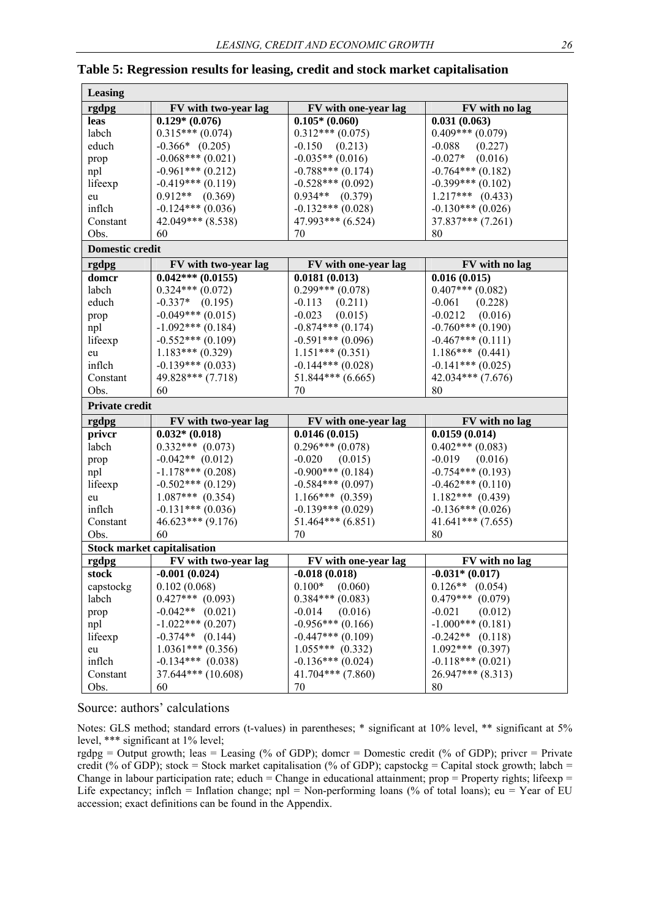| Leasing                |                                    |                      |                       |  |  |
|------------------------|------------------------------------|----------------------|-----------------------|--|--|
| rgdpg                  | FV with two-year lag               | FV with one-year lag | FV with no lag        |  |  |
| leas                   | $0.129*(0.076)$                    | $0.105* (0.060)$     | 0.031(0.063)          |  |  |
| labch                  | $0.315***(0.074)$                  | $0.312***(0.075)$    | $0.409***(0.079)$     |  |  |
| educh                  | $-0.366*$ $(0.205)$                | $-0.150$ $(0.213)$   | $-0.088$<br>(0.227)   |  |  |
| prop                   | $-0.068***(0.021)$                 | $-0.035**$ (0.016)   | $-0.027*$ (0.016)     |  |  |
| npl                    | $-0.961***(0.212)$                 | $-0.788***$ (0.174)  | $-0.764***(0.182)$    |  |  |
| lifeexp                | $-0.419***$ (0.119)                | $-0.528***$ (0.092)  | $-0.399***$ (0.102)   |  |  |
| eu                     | $0.912**$ (0.369)                  | $0.934**$ $(0.379)$  | $1.217***$ (0.433)    |  |  |
| inflch                 | $-0.124***$ (0.036)                | $-0.132***$ (0.028)  | $-0.130***$ (0.026)   |  |  |
| Constant               | $42.049***$ $(8.538)$              | 47.993*** (6.524)    | $37.837***$ $(7.261)$ |  |  |
| Obs.                   | 60                                 | 70                   | 80                    |  |  |
| <b>Domestic credit</b> |                                    |                      |                       |  |  |
| rgdpg                  | FV with two-year lag               | FV with one-year lag | FV with no lag        |  |  |
| domer                  | $0.042***(0.0155)$                 | 0.0181(0.013)        | 0.016(0.015)          |  |  |
| labch                  | $0.324***(0.072)$                  | $0.299***(0.078)$    | $0.407***$ (0.082)    |  |  |
| educh                  | $-0.337*$ (0.195)                  | $-0.113$<br>(0.211)  | $-0.061$<br>(0.228)   |  |  |
| prop                   | $-0.049***$ (0.015)                | $-0.023$<br>(0.015)  | $-0.0212$ $(0.016)$   |  |  |
| npl                    | $-1.092***$ (0.184)                | $-0.874***$ (0.174)  | $-0.760***(0.190)$    |  |  |
| lifeexp                | $-0.552***(0.109)$                 | $-0.591***(0.096)$   | $-0.467***(0.111)$    |  |  |
| eu                     | $1.183***(0.329)$                  | $1.151***(0.351)$    | $1.186***$ (0.441)    |  |  |
| inflch                 | $-0.139***$ (0.033)                | $-0.144***(0.028)$   | $-0.141***$ (0.025)   |  |  |
| Constant               | 49.828*** (7.718)                  | $51.844***$ (6.665)  | $42.034***$ (7.676)   |  |  |
| Obs.                   | 60                                 | 70                   | 80                    |  |  |
| <b>Private credit</b>  |                                    |                      |                       |  |  |
| rgdpg                  | FV with two-year lag               | FV with one-year lag | FV with no lag        |  |  |
| priver                 | $0.032*(0.018)$                    | 0.0146(0.015)        | 0.0159(0.014)         |  |  |
| labch                  | $0.332***$ (0.073)                 | $0.296***(0.078)$    | $0.402***$ (0.083)    |  |  |
| prop                   | $-0.042**$ (0.012)                 | $-0.020$ $(0.015)$   | $-0.019$ $(0.016)$    |  |  |
| npl                    | $-1.178***$ (0.208)                | $-0.900***$ (0.184)  | $-0.754***(0.193)$    |  |  |
| lifeexp                | $-0.502***(0.129)$                 | $-0.584***$ (0.097)  | $-0.462***(0.110)$    |  |  |
| eu                     | $1.087***$ (0.354)                 | $1.166***$ (0.359)   | $1.182***$ (0.439)    |  |  |
| inflch                 | $-0.131***$ (0.036)                | $-0.139***$ (0.029)  | $-0.136***$ (0.026)   |  |  |
| Constant               | $46.623***$ (9.176)                | $51.464***(6.851)$   | $41.641***$ (7.655)   |  |  |
| Obs.                   | 60                                 | 70                   | 80                    |  |  |
|                        | <b>Stock market capitalisation</b> |                      |                       |  |  |
| rgdpg                  | FV with two-year lag               | FV with one-year lag | FV with no lag        |  |  |
| stock                  | $-0.001(0.024)$                    | $-0.018(0.018)$      | $-0.031*$ (0.017)     |  |  |
| capstockg              | 0.102(0.068)                       | $0.100*$<br>(0.060)  | $0.126**$ (0.054)     |  |  |
| labch                  | $0.427***$ (0.093)                 | $0.384***(0.083)$    | $0.479***$ (0.079)    |  |  |
| prop                   | $-0.042**$ (0.021)                 | $-0.014$<br>(0.016)  | $-0.021$<br>(0.012)   |  |  |
| npl                    | $-1.022***(0.207)$                 | $-0.956***(0.166)$   | $-1.000***(0.181)$    |  |  |
| lifeexp                | $-0.374**$ (0.144)                 | $-0.447***(0.109)$   | $-0.242**$ (0.118)    |  |  |
| eu                     | $1.0361***(0.356)$                 | $1.055***$ (0.332)   | $1.092***$ (0.397)    |  |  |
| inflch                 | $-0.134***$ (0.038)                | $-0.136***$ (0.024)  | $-0.118***$ (0.021)   |  |  |
| Constant               | $37.644***$ (10.608)               | $41.704***$ (7.860)  | $26.947***$ (8.313)   |  |  |
| Obs.                   | 60                                 | 70                   | 80                    |  |  |

#### **Table 5: Regression results for leasing, credit and stock market capitalisation**

#### Source: authors' calculations

Notes: GLS method; standard errors (t-values) in parentheses; \* significant at 10% level, \*\* significant at 5% level, \*\*\* significant at 1% level;

rgdpg = Output growth; leas = Leasing (% of GDP); domcr = Domestic credit (% of GDP); privcr = Private credit (% of GDP); stock = Stock market capitalisation (% of GDP); capstockg = Capital stock growth; labch = Change in labour participation rate; educh = Change in educational attainment; prop = Property rights; lifeexp = Life expectancy; inflch = Inflation change; npl = Non-performing loans (% of total loans); eu = Year of EU accession; exact definitions can be found in the Appendix.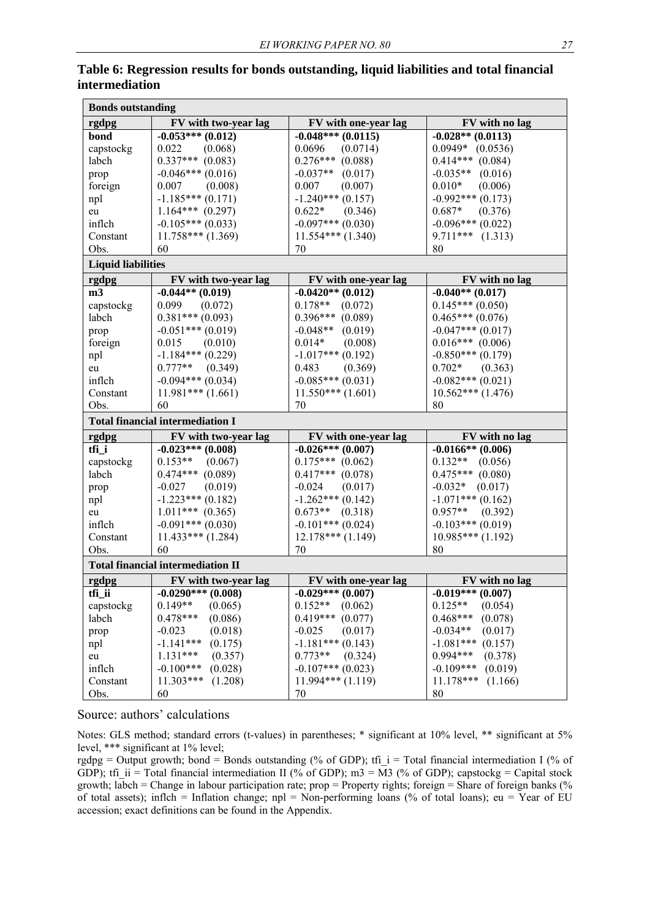|                           | <b>Bonds outstanding</b>                 |                       |                        |  |  |  |  |  |  |  |  |
|---------------------------|------------------------------------------|-----------------------|------------------------|--|--|--|--|--|--|--|--|
| rgdpg                     | FV with two-year lag                     | FV with one-year lag  | FV with no lag         |  |  |  |  |  |  |  |  |
| bond                      | $-0.053***(0.012)$                       | $-0.048***$ (0.0115)  | $-0.028**$ (0.0113)    |  |  |  |  |  |  |  |  |
| capstockg                 | 0.022<br>(0.068)                         | 0.0696<br>(0.0714)    | $0.0949*$ $(0.0536)$   |  |  |  |  |  |  |  |  |
| labch                     | $0.337***$ (0.083)                       | $0.276***$ (0.088)    | $0.414***$ (0.084)     |  |  |  |  |  |  |  |  |
| prop                      | $-0.046***(0.016)$                       | $-0.037**$<br>(0.017) | $-0.035**$ (0.016)     |  |  |  |  |  |  |  |  |
| foreign                   | 0.007<br>(0.008)                         | 0.007<br>(0.007)      | $0.010*$<br>(0.006)    |  |  |  |  |  |  |  |  |
| npl                       | $-1.185***(0.171)$                       | $-1.240***$ (0.157)   | $-0.992***(0.173)$     |  |  |  |  |  |  |  |  |
| eu                        | $1.164***$ (0.297)                       | $0.622*$<br>(0.346)   | $0.687*$<br>(0.376)    |  |  |  |  |  |  |  |  |
| inflch                    | $-0.105***(0.033)$                       | $-0.097***(0.030)$    | $-0.096***$ (0.022)    |  |  |  |  |  |  |  |  |
| Constant                  | $11.758***(1.369)$                       | $11.554***$ $(1.340)$ | $9.711***$ $(1.313)$   |  |  |  |  |  |  |  |  |
| Obs.                      | 60                                       | 70                    | 80                     |  |  |  |  |  |  |  |  |
| <b>Liquid liabilities</b> |                                          |                       |                        |  |  |  |  |  |  |  |  |
| rgdpg                     | FV with two-year lag                     | FV with one-year lag  | FV with no lag         |  |  |  |  |  |  |  |  |
| m3                        | $-0.044**$ (0.019)                       | $-0.0420**$ (0.012)   | $-0.040**$ (0.017)     |  |  |  |  |  |  |  |  |
| capstockg                 | 0.099<br>(0.072)                         | $0.178**$<br>(0.072)  | $0.145***(0.050)$      |  |  |  |  |  |  |  |  |
| labch                     | $0.381***(0.093)$                        | $0.396***$ (0.089)    | $0.465***(0.076)$      |  |  |  |  |  |  |  |  |
| prop                      | $-0.051***(0.019)$                       | $-0.048**$<br>(0.019) | $-0.047***(0.017)$     |  |  |  |  |  |  |  |  |
| foreign                   | 0.015<br>(0.010)                         | $0.014*$<br>(0.008)   | $0.016***$ (0.006)     |  |  |  |  |  |  |  |  |
| npl                       | $-1.184***(0.229)$                       | $-1.017***$ (0.192)   | $-0.850***(0.179)$     |  |  |  |  |  |  |  |  |
| eu                        | $0.777**$<br>(0.349)                     | 0.483<br>(0.369)      | $0.702*$<br>(0.363)    |  |  |  |  |  |  |  |  |
| inflch                    | $-0.094***$ (0.034)                      | $-0.085***(0.031)$    | $-0.082***(0.021)$     |  |  |  |  |  |  |  |  |
| Constant                  | $11.981***$ $(1.661)$                    | $11.550***(1.601)$    | $10.562***(1.476)$     |  |  |  |  |  |  |  |  |
| Obs.                      | 60                                       | 70                    | 80                     |  |  |  |  |  |  |  |  |
|                           |                                          |                       |                        |  |  |  |  |  |  |  |  |
|                           | <b>Total financial intermediation I</b>  |                       |                        |  |  |  |  |  |  |  |  |
| rgdpg                     | FV with two-year lag                     | FV with one-year lag  | FV with no lag         |  |  |  |  |  |  |  |  |
| tfi i                     | $-0.023***(0.008)$                       | $-0.026***(0.007)$    | $-0.0166**$ (0.006)    |  |  |  |  |  |  |  |  |
| capstockg                 | $0.153**$<br>(0.067)                     | $0.175***$ (0.062)    | $0.132**$<br>(0.056)   |  |  |  |  |  |  |  |  |
| labch                     | $0.474***$ (0.089)                       | $0.417***$ $(0.078)$  | $0.475***$ (0.080)     |  |  |  |  |  |  |  |  |
| prop                      | $-0.027$<br>(0.019)                      | $-0.024$<br>(0.017)   | $-0.032*$<br>(0.017)   |  |  |  |  |  |  |  |  |
| npl                       | $-1.223***$ (0.182)                      | $-1.262***(0.142)$    | $-1.071***$ (0.162)    |  |  |  |  |  |  |  |  |
| eu                        | $1.011***$ (0.365)                       | $0.673**$ (0.318)     | $0.957**$<br>(0.392)   |  |  |  |  |  |  |  |  |
| inflch                    | $-0.091***(0.030)$                       | $-0.101***$ (0.024)   | $-0.103***$ (0.019)    |  |  |  |  |  |  |  |  |
| Constant                  | $11.433***$ (1.284)                      | $12.178***(1.149)$    | $10.985***(1.192)$     |  |  |  |  |  |  |  |  |
| Obs.                      | 60                                       | 70                    | 80                     |  |  |  |  |  |  |  |  |
|                           | <b>Total financial intermediation II</b> |                       |                        |  |  |  |  |  |  |  |  |
| rgdpg                     | FV with two-year lag                     | FV with one-year lag  | FV with no lag         |  |  |  |  |  |  |  |  |
| tfi ii                    | $-0.0290***$<br>(0.008)                  | $-0.029***(0.007)$    | $-0.019***(0.007)$     |  |  |  |  |  |  |  |  |
| capstockg                 | $0.149**$<br>(0.065)                     | $0.152**$<br>(0.062)  | $0.125**$<br>(0.054)   |  |  |  |  |  |  |  |  |
| labch                     | $0.478***$<br>(0.086)                    | $0.419***$<br>(0.077) | $0.468***$<br>(0.078)  |  |  |  |  |  |  |  |  |
| prop                      | $-0.023$<br>(0.018)                      | $-0.025$<br>(0.017)   | $-0.034**$<br>(0.017)  |  |  |  |  |  |  |  |  |
| npl                       | $-1.141***$<br>(0.175)                   | $-1.181***$ (0.143)   | $-1.081***$<br>(0.157) |  |  |  |  |  |  |  |  |
| eu                        | $1.131***$<br>(0.357)                    | $0.773**$<br>(0.324)  | $0.994***$<br>(0.378)  |  |  |  |  |  |  |  |  |
| inflch                    | $-0.100***$<br>(0.028)                   | $-0.107***$ (0.023)   | $-0.109***$<br>(0.019) |  |  |  |  |  |  |  |  |
| Constant                  | 11.303***<br>(1.208)                     | $11.994***(1.119)$    | 11.178***<br>(1.166)   |  |  |  |  |  |  |  |  |
| Obs.                      | 60                                       | 70                    | 80                     |  |  |  |  |  |  |  |  |

#### **Table 6: Regression results for bonds outstanding, liquid liabilities and total financial intermediation**

#### Source: authors' calculations

Notes: GLS method; standard errors (t-values) in parentheses; \* significant at 10% level, \*\* significant at 5% level, \*\*\* significant at 1% level;

rgdpg = Output growth; bond = Bonds outstanding (% of GDP); tfi\_i = Total financial intermediation I (% of GDP); tfi\_ii = Total financial intermediation II (% of GDP); m3 =  $\overline{M}3$  (% of GDP); capstockg = Capital stock growth; labch = Change in labour participation rate; prop = Property rights; foreign = Share of foreign banks (% of total assets); inflch = Inflation change; npl = Non-performing loans (% of total loans); eu = Year of EU accession; exact definitions can be found in the Appendix.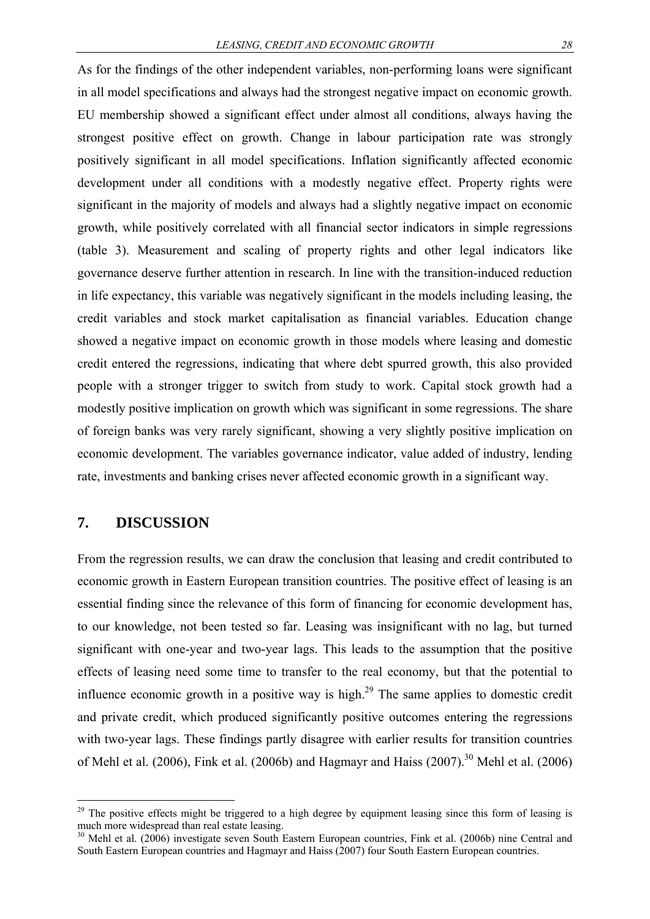As for the findings of the other independent variables, non-performing loans were significant in all model specifications and always had the strongest negative impact on economic growth. EU membership showed a significant effect under almost all conditions, always having the strongest positive effect on growth. Change in labour participation rate was strongly positively significant in all model specifications. Inflation significantly affected economic development under all conditions with a modestly negative effect. Property rights were significant in the majority of models and always had a slightly negative impact on economic growth, while positively correlated with all financial sector indicators in simple regressions (table 3). Measurement and scaling of property rights and other legal indicators like governance deserve further attention in research. In line with the transition-induced reduction in life expectancy, this variable was negatively significant in the models including leasing, the credit variables and stock market capitalisation as financial variables. Education change showed a negative impact on economic growth in those models where leasing and domestic credit entered the regressions, indicating that where debt spurred growth, this also provided people with a stronger trigger to switch from study to work. Capital stock growth had a modestly positive implication on growth which was significant in some regressions. The share of foreign banks was very rarely significant, showing a very slightly positive implication on economic development. The variables governance indicator, value added of industry, lending rate, investments and banking crises never affected economic growth in a significant way.

## **7. DISCUSSION**

1

From the regression results, we can draw the conclusion that leasing and credit contributed to economic growth in Eastern European transition countries. The positive effect of leasing is an essential finding since the relevance of this form of financing for economic development has, to our knowledge, not been tested so far. Leasing was insignificant with no lag, but turned significant with one-year and two-year lags. This leads to the assumption that the positive effects of leasing need some time to transfer to the real economy, but that the potential to influence economic growth in a positive way is high.<sup>29</sup> The same applies to domestic credit and private credit, which produced significantly positive outcomes entering the regressions with two-year lags. These findings partly disagree with earlier results for transition countries of Mehl et al. (2006), Fink et al. (2006b) and Hagmayr and Haiss (2007).<sup>30</sup> Mehl et al. (2006)

<sup>&</sup>lt;sup>29</sup> The positive effects might be triggered to a high degree by equipment leasing since this form of leasing is much more widespread than real estate leasing.

<sup>&</sup>lt;sup>30</sup> Mehl et al. (2006) investigate seven South Eastern European countries, Fink et al. (2006b) nine Central and South Eastern European countries and Hagmayr and Haiss (2007) four South Eastern European countries.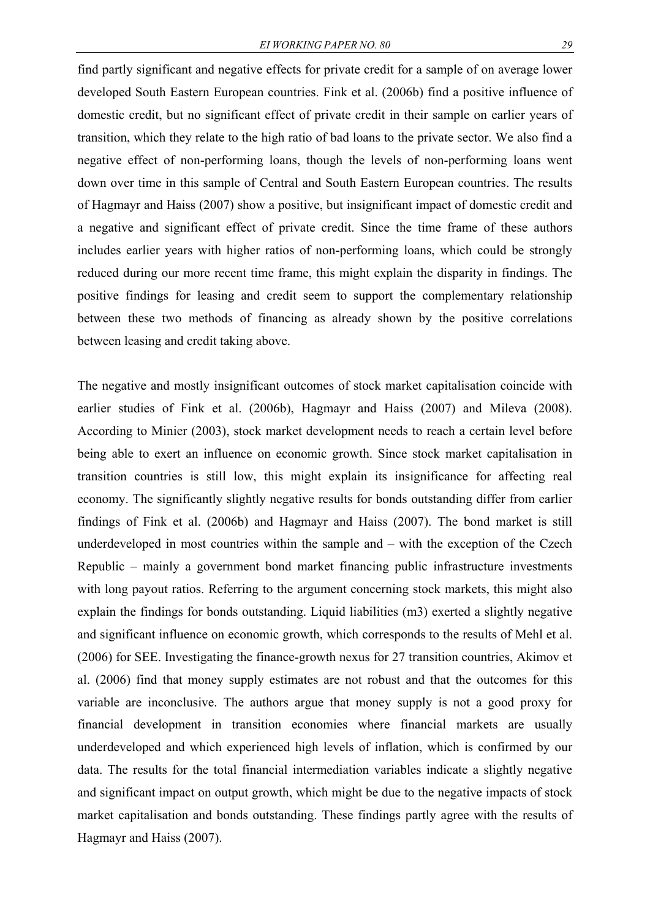find partly significant and negative effects for private credit for a sample of on average lower developed South Eastern European countries. Fink et al. (2006b) find a positive influence of domestic credit, but no significant effect of private credit in their sample on earlier years of transition, which they relate to the high ratio of bad loans to the private sector. We also find a negative effect of non-performing loans, though the levels of non-performing loans went down over time in this sample of Central and South Eastern European countries. The results of Hagmayr and Haiss (2007) show a positive, but insignificant impact of domestic credit and a negative and significant effect of private credit. Since the time frame of these authors includes earlier years with higher ratios of non-performing loans, which could be strongly reduced during our more recent time frame, this might explain the disparity in findings. The positive findings for leasing and credit seem to support the complementary relationship between these two methods of financing as already shown by the positive correlations between leasing and credit taking above.

The negative and mostly insignificant outcomes of stock market capitalisation coincide with earlier studies of Fink et al. (2006b), Hagmayr and Haiss (2007) and Mileva (2008). According to Minier (2003), stock market development needs to reach a certain level before being able to exert an influence on economic growth. Since stock market capitalisation in transition countries is still low, this might explain its insignificance for affecting real economy. The significantly slightly negative results for bonds outstanding differ from earlier findings of Fink et al. (2006b) and Hagmayr and Haiss (2007). The bond market is still underdeveloped in most countries within the sample and – with the exception of the Czech Republic – mainly a government bond market financing public infrastructure investments with long payout ratios. Referring to the argument concerning stock markets, this might also explain the findings for bonds outstanding. Liquid liabilities (m3) exerted a slightly negative and significant influence on economic growth, which corresponds to the results of Mehl et al. (2006) for SEE. Investigating the finance-growth nexus for 27 transition countries, Akimov et al. (2006) find that money supply estimates are not robust and that the outcomes for this variable are inconclusive. The authors argue that money supply is not a good proxy for financial development in transition economies where financial markets are usually underdeveloped and which experienced high levels of inflation, which is confirmed by our data. The results for the total financial intermediation variables indicate a slightly negative and significant impact on output growth, which might be due to the negative impacts of stock market capitalisation and bonds outstanding. These findings partly agree with the results of Hagmayr and Haiss (2007).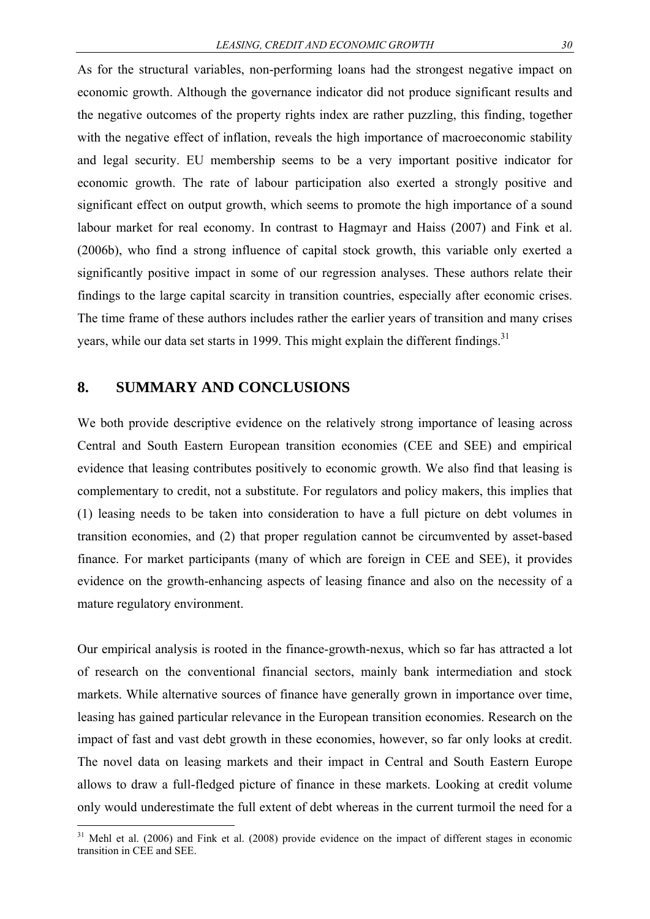As for the structural variables, non-performing loans had the strongest negative impact on economic growth. Although the governance indicator did not produce significant results and the negative outcomes of the property rights index are rather puzzling, this finding, together with the negative effect of inflation, reveals the high importance of macroeconomic stability and legal security. EU membership seems to be a very important positive indicator for economic growth. The rate of labour participation also exerted a strongly positive and significant effect on output growth, which seems to promote the high importance of a sound labour market for real economy. In contrast to Hagmayr and Haiss (2007) and Fink et al. (2006b), who find a strong influence of capital stock growth, this variable only exerted a significantly positive impact in some of our regression analyses. These authors relate their findings to the large capital scarcity in transition countries, especially after economic crises. The time frame of these authors includes rather the earlier years of transition and many crises years, while our data set starts in 1999. This might explain the different findings.<sup>31</sup>

### **8. SUMMARY AND CONCLUSIONS**

1

We both provide descriptive evidence on the relatively strong importance of leasing across Central and South Eastern European transition economies (CEE and SEE) and empirical evidence that leasing contributes positively to economic growth. We also find that leasing is complementary to credit, not a substitute. For regulators and policy makers, this implies that (1) leasing needs to be taken into consideration to have a full picture on debt volumes in transition economies, and (2) that proper regulation cannot be circumvented by asset-based finance. For market participants (many of which are foreign in CEE and SEE), it provides evidence on the growth-enhancing aspects of leasing finance and also on the necessity of a mature regulatory environment.

Our empirical analysis is rooted in the finance-growth-nexus, which so far has attracted a lot of research on the conventional financial sectors, mainly bank intermediation and stock markets. While alternative sources of finance have generally grown in importance over time, leasing has gained particular relevance in the European transition economies. Research on the impact of fast and vast debt growth in these economies, however, so far only looks at credit. The novel data on leasing markets and their impact in Central and South Eastern Europe allows to draw a full-fledged picture of finance in these markets. Looking at credit volume only would underestimate the full extent of debt whereas in the current turmoil the need for a

 $31$  Mehl et al. (2006) and Fink et al. (2008) provide evidence on the impact of different stages in economic transition in CEE and SEE.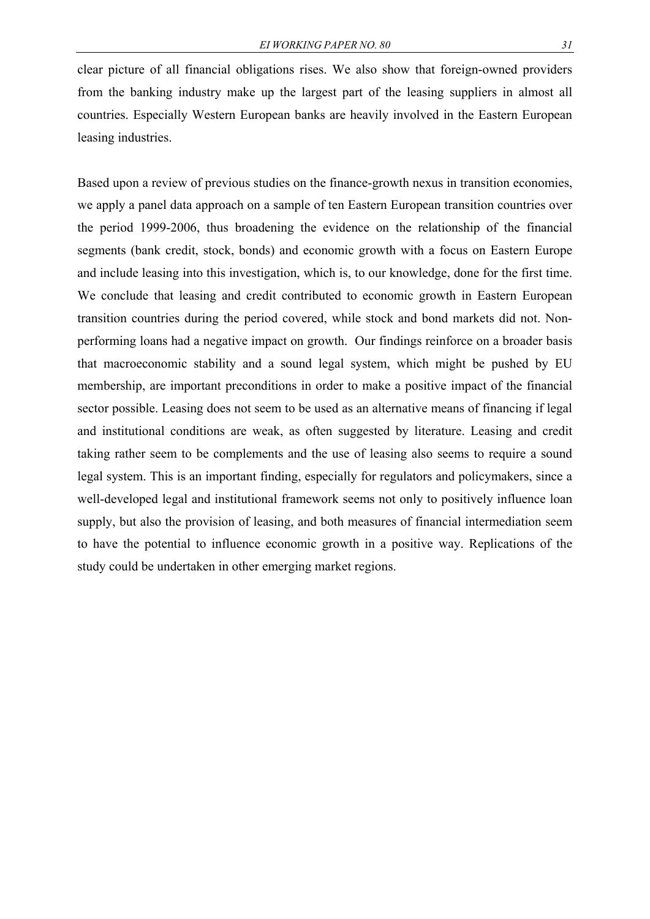clear picture of all financial obligations rises. We also show that foreign-owned providers from the banking industry make up the largest part of the leasing suppliers in almost all countries. Especially Western European banks are heavily involved in the Eastern European leasing industries.

Based upon a review of previous studies on the finance-growth nexus in transition economies, we apply a panel data approach on a sample of ten Eastern European transition countries over the period 1999-2006, thus broadening the evidence on the relationship of the financial segments (bank credit, stock, bonds) and economic growth with a focus on Eastern Europe and include leasing into this investigation, which is, to our knowledge, done for the first time. We conclude that leasing and credit contributed to economic growth in Eastern European transition countries during the period covered, while stock and bond markets did not. Nonperforming loans had a negative impact on growth. Our findings reinforce on a broader basis that macroeconomic stability and a sound legal system, which might be pushed by EU membership, are important preconditions in order to make a positive impact of the financial sector possible. Leasing does not seem to be used as an alternative means of financing if legal and institutional conditions are weak, as often suggested by literature. Leasing and credit taking rather seem to be complements and the use of leasing also seems to require a sound legal system. This is an important finding, especially for regulators and policymakers, since a well-developed legal and institutional framework seems not only to positively influence loan supply, but also the provision of leasing, and both measures of financial intermediation seem to have the potential to influence economic growth in a positive way. Replications of the study could be undertaken in other emerging market regions.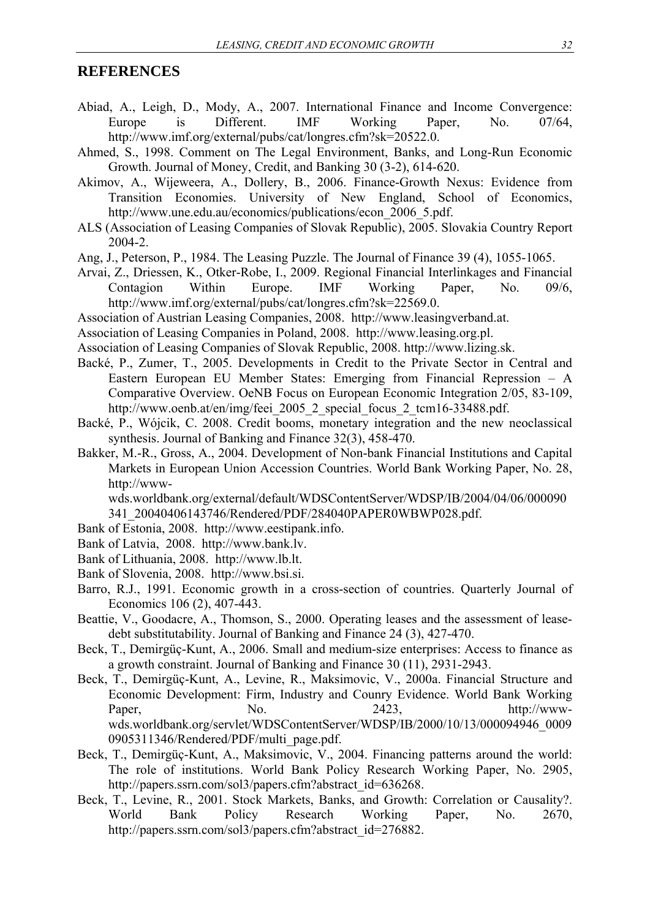### **REFERENCES**

- Abiad, A., Leigh, D., Mody, A., 2007. International Finance and Income Convergence: Europe is Different. IMF Working Paper, No. 07/64, http://www.imf.org/external/pubs/cat/longres.cfm?sk=20522.0.
- Ahmed, S., 1998. Comment on The Legal Environment, Banks, and Long-Run Economic Growth. Journal of Money, Credit, and Banking 30 (3-2), 614-620.
- Akimov, A., Wijeweera, A., Dollery, B., 2006. Finance-Growth Nexus: Evidence from Transition Economies. University of New England, School of Economics, http://www.une.edu.au/economics/publications/econ\_2006\_5.pdf.
- ALS (Association of Leasing Companies of Slovak Republic), 2005. Slovakia Country Report 2004-2.
- Ang, J., Peterson, P., 1984. The Leasing Puzzle. The Journal of Finance 39 (4), 1055-1065.
- Arvai, Z., Driessen, K., Otker-Robe, I., 2009. Regional Financial Interlinkages and Financial Contagion Within Europe. IMF Working Paper, No. 09/6, http://www.imf.org/external/pubs/cat/longres.cfm?sk=22569.0.
- Association of Austrian Leasing Companies, 2008. http://www.leasingverband.at.
- Association of Leasing Companies in Poland, 2008. http://www.leasing.org.pl.
- Association of Leasing Companies of Slovak Republic, 2008. http://www.lizing.sk.
- Backé, P., Zumer, T., 2005. Developments in Credit to the Private Sector in Central and Eastern European EU Member States: Emerging from Financial Repression – A Comparative Overview. OeNB Focus on European Economic Integration 2/05, 83-109, http://www.oenb.at/en/img/feei\_2005\_2\_special\_focus\_2\_tcm16-33488.pdf.
- Backé, P., Wójcik, C. 2008. Credit booms, monetary integration and the new neoclassical synthesis. Journal of Banking and Finance 32(3), 458-470.
- Bakker, M.-R., Gross, A., 2004. Development of Non-bank Financial Institutions and Capital Markets in European Union Accession Countries. World Bank Working Paper, No. 28, http://www-

wds.worldbank.org/external/default/WDSContentServer/WDSP/IB/2004/04/06/000090 341\_20040406143746/Rendered/PDF/284040PAPER0WBWP028.pdf.

- Bank of Estonia, 2008. http://www.eestipank.info.
- Bank of Latvia, 2008. http://www.bank.lv.
- Bank of Lithuania, 2008. http://www.lb.lt.
- Bank of Slovenia, 2008. http://www.bsi.si.
- Barro, R.J., 1991. Economic growth in a cross-section of countries. Quarterly Journal of Economics 106 (2), 407-443.
- Beattie, V., Goodacre, A., Thomson, S., 2000. Operating leases and the assessment of leasedebt substitutability. Journal of Banking and Finance 24 (3), 427-470.
- Beck, T., Demirgüç-Kunt, A., 2006. Small and medium-size enterprises: Access to finance as a growth constraint. Journal of Banking and Finance 30 (11), 2931-2943.
- Beck, T., Demirgüç-Kunt, A., Levine, R., Maksimovic, V., 2000a. Financial Structure and Economic Development: Firm, Industry and Counry Evidence. World Bank Working Paper, No. 2423, http://wwwwds.worldbank.org/servlet/WDSContentServer/WDSP/IB/2000/10/13/000094946\_0009 0905311346/Rendered/PDF/multi\_page.pdf.
- Beck, T., Demirgüç-Kunt, A., Maksimovic, V., 2004. Financing patterns around the world: The role of institutions. World Bank Policy Research Working Paper, No. 2905, http://papers.ssrn.com/sol3/papers.cfm?abstract\_id=636268.
- Beck, T., Levine, R., 2001. Stock Markets, Banks, and Growth: Correlation or Causality?. World Bank Policy Research Working Paper, No. 2670, http://papers.ssrn.com/sol3/papers.cfm?abstract\_id=276882.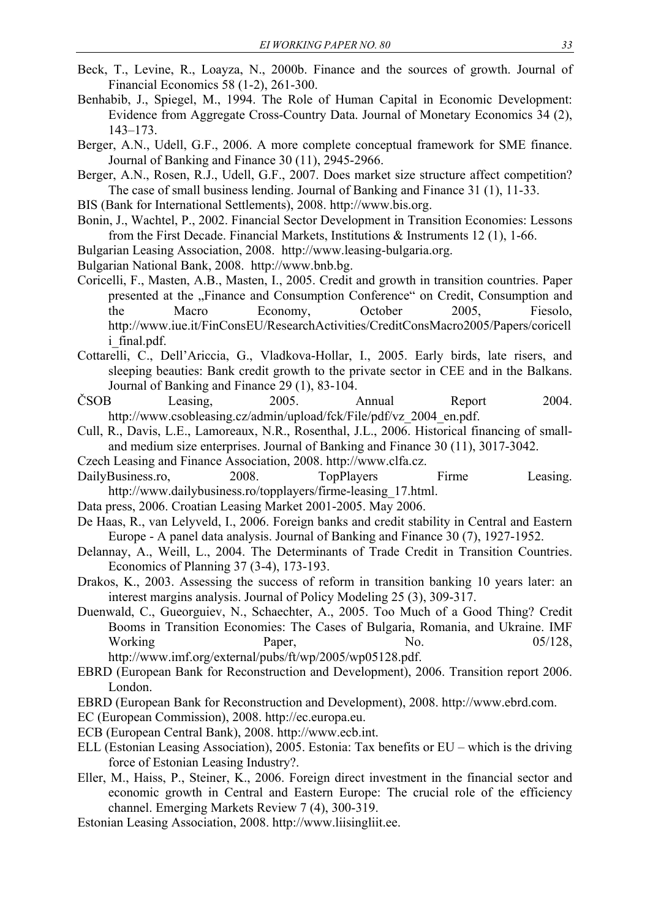- Beck, T., Levine, R., Loayza, N., 2000b. Finance and the sources of growth. Journal of Financial Economics 58 (1-2), 261-300.
- Benhabib, J., Spiegel, M., 1994. The Role of Human Capital in Economic Development: Evidence from Aggregate Cross-Country Data. Journal of Monetary Economics 34 (2), 143–173.
- Berger, A.N., Udell, G.F., 2006. A more complete conceptual framework for SME finance. Journal of Banking and Finance 30 (11), 2945-2966.

Berger, A.N., Rosen, R.J., Udell, G.F., 2007. Does market size structure affect competition? The case of small business lending. Journal of Banking and Finance 31 (1), 11-33.

- BIS (Bank for International Settlements), 2008. http://www.bis.org.
- Bonin, J., Wachtel, P., 2002. Financial Sector Development in Transition Economies: Lessons from the First Decade. Financial Markets, Institutions & Instruments 12 (1), 1-66.
- Bulgarian Leasing Association, 2008. http://www.leasing-bulgaria.org.
- Bulgarian National Bank, 2008. http://www.bnb.bg.
- Coricelli, F., Masten, A.B., Masten, I., 2005. Credit and growth in transition countries. Paper presented at the "Finance and Consumption Conference" on Credit, Consumption and the Macro Economy, October 2005, Fiesolo, http://www.iue.it/FinConsEU/ResearchActivities/CreditConsMacro2005/Papers/coricell i\_final.pdf.
- Cottarelli, C., Dell'Ariccia, G., Vladkova-Hollar, I., 2005. Early birds, late risers, and sleeping beauties: Bank credit growth to the private sector in CEE and in the Balkans. Journal of Banking and Finance 29 (1), 83-104.
- ČSOB Leasing, 2005. Annual Report 2004. http://www.csobleasing.cz/admin/upload/fck/File/pdf/vz\_2004\_en.pdf.
- Cull, R., Davis, L.E., Lamoreaux, N.R., Rosenthal, J.L., 2006. Historical financing of smalland medium size enterprises. Journal of Banking and Finance 30 (11), 3017-3042.
- Czech Leasing and Finance Association, 2008. http://www.clfa.cz.
- DailyBusiness.ro, 2008. TopPlayers Firme Leasing. http://www.dailybusiness.ro/topplayers/firme-leasing 17.html.
- Data press, 2006. Croatian Leasing Market 2001-2005. May 2006.
- De Haas, R., van Lelyveld, I., 2006. Foreign banks and credit stability in Central and Eastern Europe - A panel data analysis. Journal of Banking and Finance 30 (7), 1927-1952.
- Delannay, A., Weill, L., 2004. The Determinants of Trade Credit in Transition Countries. Economics of Planning 37 (3-4), 173-193.
- Drakos, K., 2003. Assessing the success of reform in transition banking 10 years later: an interest margins analysis. Journal of Policy Modeling 25 (3), 309-317.
- Duenwald, C., Gueorguiev, N., Schaechter, A., 2005. Too Much of a Good Thing? Credit Booms in Transition Economies: The Cases of Bulgaria, Romania, and Ukraine. IMF Working Paper, No. 15/128, http://www.imf.org/external/pubs/ft/wp/2005/wp05128.pdf.
- EBRD (European Bank for Reconstruction and Development), 2006. Transition report 2006. London.
- EBRD (European Bank for Reconstruction and Development), 2008. http://www.ebrd.com.
- EC (European Commission), 2008. http://ec.europa.eu.
- ECB (European Central Bank), 2008. http://www.ecb.int.
- ELL (Estonian Leasing Association), 2005. Estonia: Tax benefits or EU which is the driving force of Estonian Leasing Industry?.
- Eller, M., Haiss, P., Steiner, K., 2006. Foreign direct investment in the financial sector and economic growth in Central and Eastern Europe: The crucial role of the efficiency channel. Emerging Markets Review 7 (4), 300-319.
- Estonian Leasing Association, 2008. http://www.liisingliit.ee.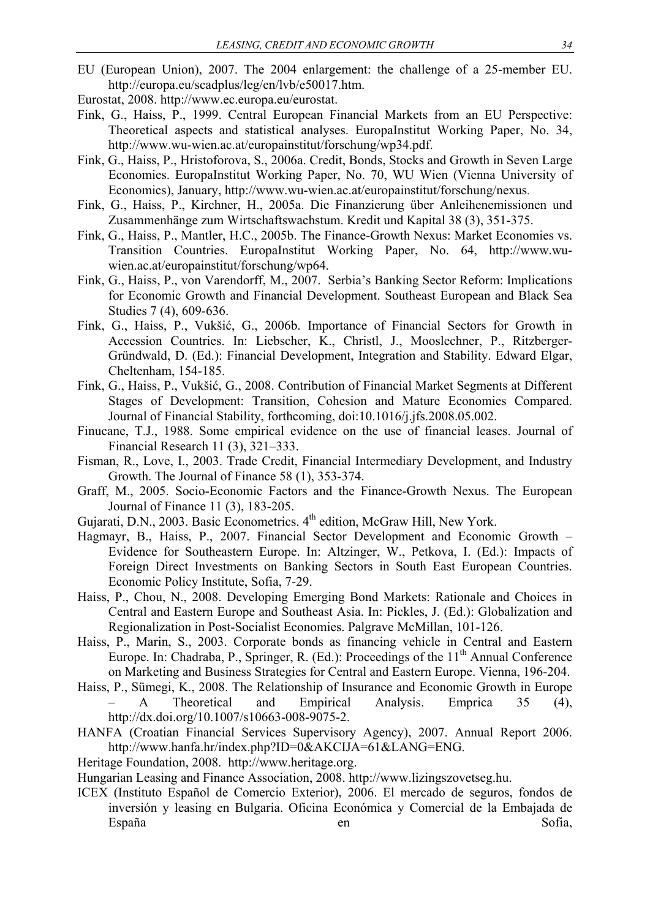- EU (European Union), 2007. The 2004 enlargement: the challenge of a 25-member EU. http://europa.eu/scadplus/leg/en/lvb/e50017.htm.
- Eurostat, 2008. http://www.ec.europa.eu/eurostat.
- Fink, G., Haiss, P., 1999. Central European Financial Markets from an EU Perspective: Theoretical aspects and statistical analyses. EuropaInstitut Working Paper, No. 34, http://www.wu-wien.ac.at/europainstitut/forschung/wp34.pdf.
- Fink, G., Haiss, P., Hristoforova, S., 2006a. Credit, Bonds, Stocks and Growth in Seven Large Economies. EuropaInstitut Working Paper, No. 70, WU Wien (Vienna University of Economics), January, http://www.wu-wien.ac.at/europainstitut/forschung/nexus.
- Fink, G., Haiss, P., Kirchner, H., 2005a. Die Finanzierung über Anleihenemissionen und Zusammenhänge zum Wirtschaftswachstum. Kredit und Kapital 38 (3), 351-375.
- Fink, G., Haiss, P., Mantler, H.C., 2005b. The Finance-Growth Nexus: Market Economies vs. Transition Countries. EuropaInstitut Working Paper, No. 64, http://www.wuwien.ac.at/europainstitut/forschung/wp64.
- Fink, G., Haiss, P., von Varendorff, M., 2007. Serbia's Banking Sector Reform: Implications for Economic Growth and Financial Development. Southeast European and Black Sea Studies 7 (4), 609-636.
- Fink, G., Haiss, P., Vukšić, G., 2006b. Importance of Financial Sectors for Growth in Accession Countries. In: Liebscher, K., Christl, J., Mooslechner, P., Ritzberger-Gründwald, D. (Ed.): Financial Development, Integration and Stability. Edward Elgar, Cheltenham, 154-185.
- Fink, G., Haiss, P., Vukšić, G., 2008. Contribution of Financial Market Segments at Different Stages of Development: Transition, Cohesion and Mature Economies Compared. Journal of Financial Stability, forthcoming, doi:10.1016/j.jfs.2008.05.002.
- Finucane, T.J., 1988. Some empirical evidence on the use of financial leases. Journal of Financial Research 11 (3), 321–333.
- Fisman, R., Love, I., 2003. Trade Credit, Financial Intermediary Development, and Industry Growth. The Journal of Finance 58 (1), 353-374.
- Graff, M., 2005. Socio-Economic Factors and the Finance-Growth Nexus. The European Journal of Finance 11 (3), 183-205.
- Gujarati, D.N., 2003. Basic Econometrics. 4<sup>th</sup> edition, McGraw Hill, New York.
- Hagmayr, B., Haiss, P., 2007. Financial Sector Development and Economic Growth Evidence for Southeastern Europe. In: Altzinger, W., Petkova, I. (Ed.): Impacts of Foreign Direct Investments on Banking Sectors in South East European Countries. Economic Policy Institute, Sofia, 7-29.
- Haiss, P., Chou, N., 2008. Developing Emerging Bond Markets: Rationale and Choices in Central and Eastern Europe and Southeast Asia. In: Pickles, J. (Ed.): Globalization and Regionalization in Post-Socialist Economies. Palgrave McMillan, 101-126.
- Haiss, P., Marin, S., 2003. Corporate bonds as financing vehicle in Central and Eastern Europe. In: Chadraba, P., Springer, R. (Ed.): Proceedings of the  $11<sup>th</sup>$  Annual Conference on Marketing and Business Strategies for Central and Eastern Europe. Vienna, 196-204.
- Haiss, P., Sümegi, K., 2008. The Relationship of Insurance and Economic Growth in Europe – A Theoretical and Empirical Analysis. Emprica 35 (4), http://dx.doi.org/10.1007/s10663-008-9075-2.
- HANFA (Croatian Financial Services Supervisory Agency), 2007. Annual Report 2006. http://www.hanfa.hr/index.php?ID=0&AKCIJA=61&LANG=ENG.
- Heritage Foundation, 2008. http://www.heritage.org.

Hungarian Leasing and Finance Association, 2008. http://www.lizingszovetseg.hu.

ICEX (Instituto Español de Comercio Exterior), 2006. El mercado de seguros, fondos de inversión y leasing en Bulgaria. Oficina Económica y Comercial de la Embajada de España en en Sofia,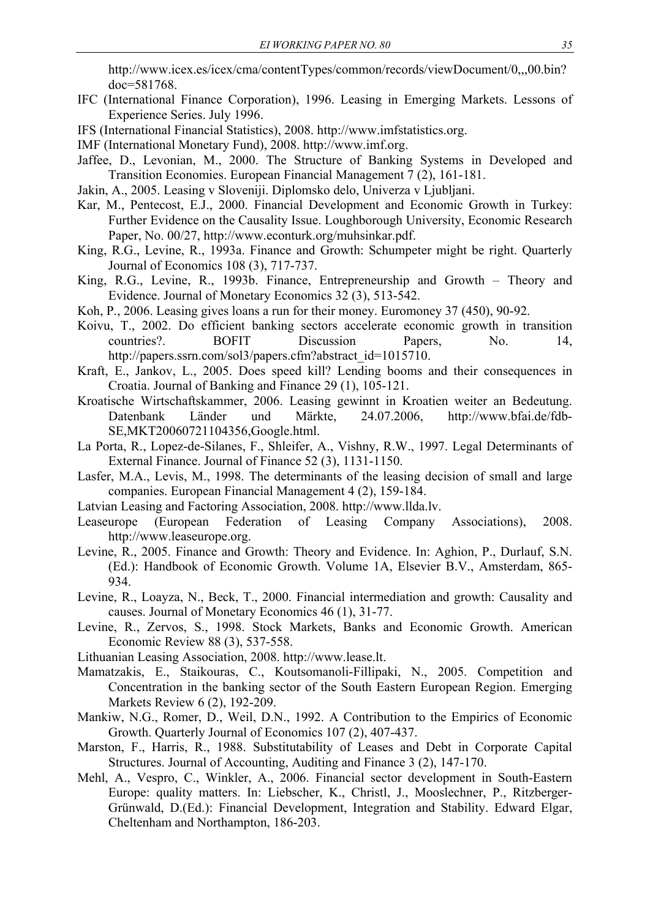http://www.icex.es/icex/cma/contentTypes/common/records/viewDocument/0,,,00.bin? doc=581768.

- IFC (International Finance Corporation), 1996. Leasing in Emerging Markets. Lessons of Experience Series. July 1996.
- IFS (International Financial Statistics), 2008. http://www.imfstatistics.org.
- IMF (International Monetary Fund), 2008. http://www.imf.org.
- Jaffee, D., Levonian, M., 2000. The Structure of Banking Systems in Developed and Transition Economies. European Financial Management 7 (2), 161-181.
- Jakin, A., 2005. Leasing v Sloveniji. Diplomsko delo, Univerza v Ljubljani.
- Kar, M., Pentecost, E.J., 2000. Financial Development and Economic Growth in Turkey: Further Evidence on the Causality Issue. Loughborough University, Economic Research Paper, No. 00/27, http://www.econturk.org/muhsinkar.pdf.
- King, R.G., Levine, R., 1993a. Finance and Growth: Schumpeter might be right. Quarterly Journal of Economics 108 (3), 717-737.
- King, R.G., Levine, R., 1993b. Finance, Entrepreneurship and Growth Theory and Evidence. Journal of Monetary Economics 32 (3), 513-542.
- Koh, P., 2006. Leasing gives loans a run for their money. Euromoney 37 (450), 90-92.
- Koivu, T., 2002. Do efficient banking sectors accelerate economic growth in transition countries?. BOFIT Discussion Papers, No. 14, http://papers.ssrn.com/sol3/papers.cfm?abstract\_id=1015710.
- Kraft, E., Jankov, L., 2005. Does speed kill? Lending booms and their consequences in Croatia. Journal of Banking and Finance 29 (1), 105-121.
- Kroatische Wirtschaftskammer, 2006. Leasing gewinnt in Kroatien weiter an Bedeutung. Datenbank Länder und Märkte, 24.07.2006, http://www.bfai.de/fdb-SE,MKT20060721104356,Google.html.
- La Porta, R., Lopez-de-Silanes, F., Shleifer, A., Vishny, R.W., 1997. Legal Determinants of External Finance. Journal of Finance 52 (3), 1131-1150.
- Lasfer, M.A., Levis, M., 1998. The determinants of the leasing decision of small and large companies. European Financial Management 4 (2), 159-184.
- Latvian Leasing and Factoring Association, 2008. http://www.llda.lv.
- Leaseurope (European Federation of Leasing Company Associations), 2008. http://www.leaseurope.org.
- Levine, R., 2005. Finance and Growth: Theory and Evidence. In: Aghion, P., Durlauf, S.N. (Ed.): Handbook of Economic Growth. Volume 1A, Elsevier B.V., Amsterdam, 865- 934.
- Levine, R., Loayza, N., Beck, T., 2000. Financial intermediation and growth: Causality and causes. Journal of Monetary Economics 46 (1), 31-77.
- Levine, R., Zervos, S., 1998. Stock Markets, Banks and Economic Growth. American Economic Review 88 (3), 537-558.
- Lithuanian Leasing Association, 2008. http://www.lease.lt.
- Mamatzakis, E., Staikouras, C., Koutsomanoli-Fillipaki, N., 2005. Competition and Concentration in the banking sector of the South Eastern European Region. Emerging Markets Review 6 (2), 192-209.
- Mankiw, N.G., Romer, D., Weil, D.N., 1992. A Contribution to the Empirics of Economic Growth. Quarterly Journal of Economics 107 (2), 407-437.
- Marston, F., Harris, R., 1988. Substitutability of Leases and Debt in Corporate Capital Structures. Journal of Accounting, Auditing and Finance 3 (2), 147-170.
- Mehl, A., Vespro, C., Winkler, A., 2006. Financial sector development in South-Eastern Europe: quality matters. In: Liebscher, K., Christl, J., Mooslechner, P., Ritzberger-Grünwald, D.(Ed.): Financial Development, Integration and Stability. Edward Elgar, Cheltenham and Northampton, 186-203.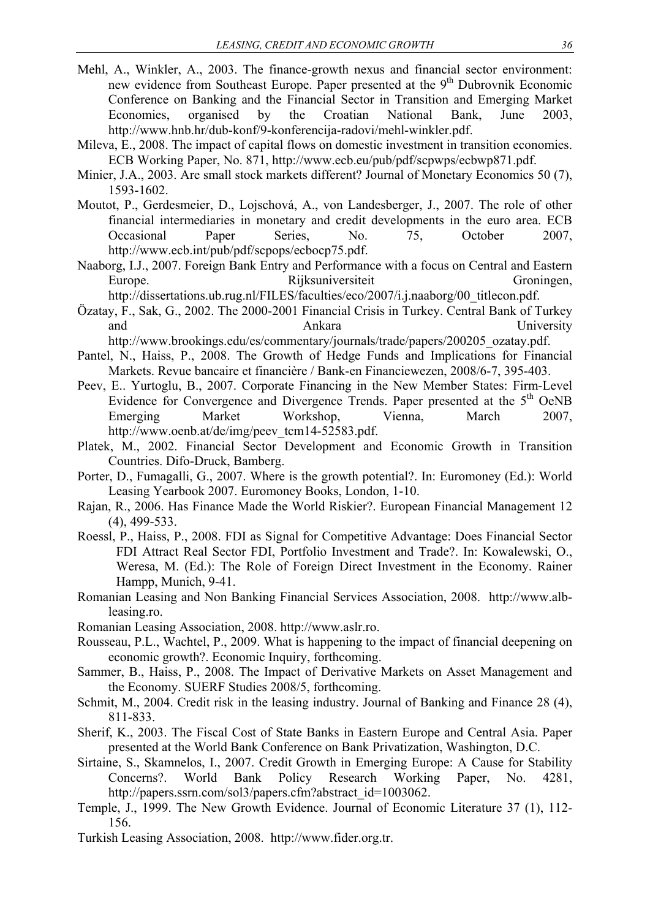- Mehl, A., Winkler, A., 2003. The finance-growth nexus and financial sector environment: new evidence from Southeast Europe. Paper presented at the  $9<sup>th</sup>$  Dubrovnik Economic Conference on Banking and the Financial Sector in Transition and Emerging Market Economies, organised by the Croatian National Bank, June 2003, http://www.hnb.hr/dub-konf/9-konferencija-radovi/mehl-winkler.pdf.
- Mileva, E., 2008. The impact of capital flows on domestic investment in transition economies. ECB Working Paper, No. 871, http://www.ecb.eu/pub/pdf/scpwps/ecbwp871.pdf.
- Minier, J.A., 2003. Are small stock markets different? Journal of Monetary Economics 50 (7), 1593-1602.
- Moutot, P., Gerdesmeier, D., Lojschová, A., von Landesberger, J., 2007. The role of other financial intermediaries in monetary and credit developments in the euro area. ECB Occasional Paper Series, No. 75, October 2007, http://www.ecb.int/pub/pdf/scpops/ecbocp75.pdf.
- Naaborg, I.J., 2007. Foreign Bank Entry and Performance with a focus on Central and Eastern Europe. Rijksuniversiteit Groningen, http://dissertations.ub.rug.nl/FILES/faculties/eco/2007/i.j.naaborg/00\_titlecon.pdf.
- Özatay, F., Sak, G., 2002. The 2000-2001 Financial Crisis in Turkey. Central Bank of Turkey and Ankara Christopher Ankara University

http://www.brookings.edu/es/commentary/journals/trade/papers/200205\_ozatay.pdf.

- Pantel, N., Haiss, P., 2008. The Growth of Hedge Funds and Implications for Financial Markets. Revue bancaire et financière / Bank-en Financiewezen, 2008/6-7, 395-403.
- Peev, E.. Yurtoglu, B., 2007. Corporate Financing in the New Member States: Firm-Level Evidence for Convergence and Divergence Trends. Paper presented at the  $5<sup>th</sup>$  OeNB Emerging Market Workshop, Vienna, March 2007, http://www.oenb.at/de/img/peev\_tcm14-52583.pdf.
- Platek, M., 2002. Financial Sector Development and Economic Growth in Transition Countries. Difo-Druck, Bamberg.
- Porter, D., Fumagalli, G., 2007. Where is the growth potential?. In: Euromoney (Ed.): World Leasing Yearbook 2007. Euromoney Books, London, 1-10.
- Rajan, R., 2006. Has Finance Made the World Riskier?. European Financial Management 12 (4), 499-533.
- Roessl, P., Haiss, P., 2008. FDI as Signal for Competitive Advantage: Does Financial Sector FDI Attract Real Sector FDI, Portfolio Investment and Trade?. In: Kowalewski, O., Weresa, M. (Ed.): The Role of Foreign Direct Investment in the Economy. Rainer Hampp, Munich, 9-41.
- Romanian Leasing and Non Banking Financial Services Association, 2008. http://www.albleasing.ro.
- Romanian Leasing Association, 2008. http://www.aslr.ro.
- Rousseau, P.L., Wachtel, P., 2009. What is happening to the impact of financial deepening on economic growth?. Economic Inquiry, forthcoming.
- Sammer, B., Haiss, P., 2008. The Impact of Derivative Markets on Asset Management and the Economy. SUERF Studies 2008/5, forthcoming.
- Schmit, M., 2004. Credit risk in the leasing industry. Journal of Banking and Finance 28 (4), 811-833.
- Sherif, K., 2003. The Fiscal Cost of State Banks in Eastern Europe and Central Asia. Paper presented at the World Bank Conference on Bank Privatization, Washington, D.C.
- Sirtaine, S., Skamnelos, I., 2007. Credit Growth in Emerging Europe: A Cause for Stability Concerns?. World Bank Policy Research Working Paper, No. 4281, http://papers.ssrn.com/sol3/papers.cfm?abstract\_id=1003062.
- Temple, J., 1999. The New Growth Evidence. Journal of Economic Literature 37 (1), 112- 156.
- Turkish Leasing Association, 2008. http://www.fider.org.tr.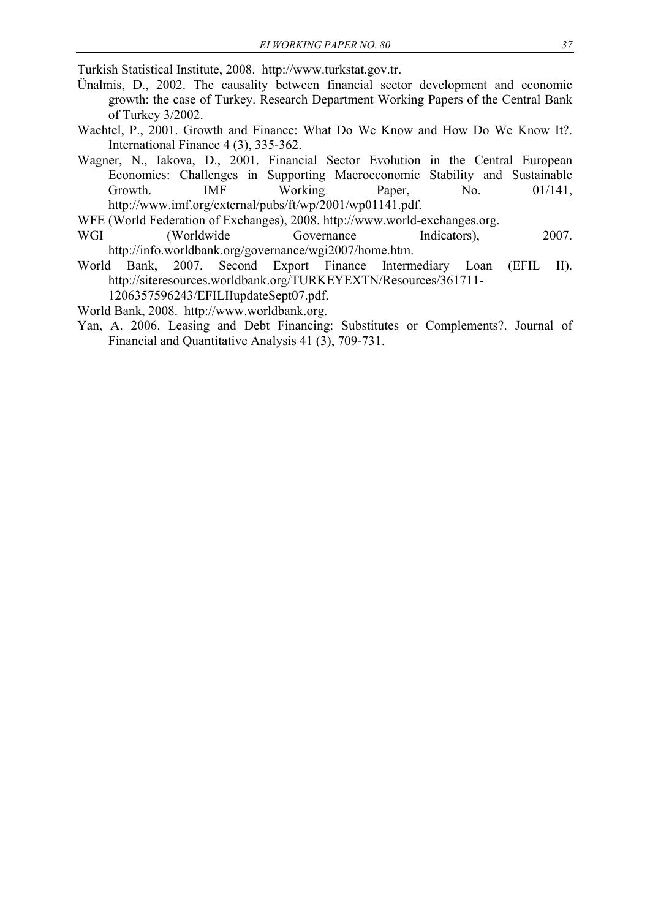Turkish Statistical Institute, 2008. http://www.turkstat.gov.tr.

- Ünalmis, D., 2002. The causality between financial sector development and economic growth: the case of Turkey. Research Department Working Papers of the Central Bank of Turkey 3/2002.
- Wachtel, P., 2001. Growth and Finance: What Do We Know and How Do We Know It?. International Finance 4 (3), 335-362.
- Wagner, N., Iakova, D., 2001. Financial Sector Evolution in the Central European Economies: Challenges in Supporting Macroeconomic Stability and Sustainable Growth. **IMF** Working Paper, No. 01/141, http://www.imf.org/external/pubs/ft/wp/2001/wp01141.pdf.
- WFE (World Federation of Exchanges), 2008. http://www.world-exchanges.org.
- WGI (Worldwide Governance Indicators), 2007. http://info.worldbank.org/governance/wgi2007/home.htm.
- World Bank, 2007. Second Export Finance Intermediary Loan (EFIL II). http://siteresources.worldbank.org/TURKEYEXTN/Resources/361711- 1206357596243/EFILIIupdateSept07.pdf.

World Bank, 2008. http://www.worldbank.org.

Yan, A. 2006. Leasing and Debt Financing: Substitutes or Complements?. Journal of Financial and Quantitative Analysis 41 (3), 709-731.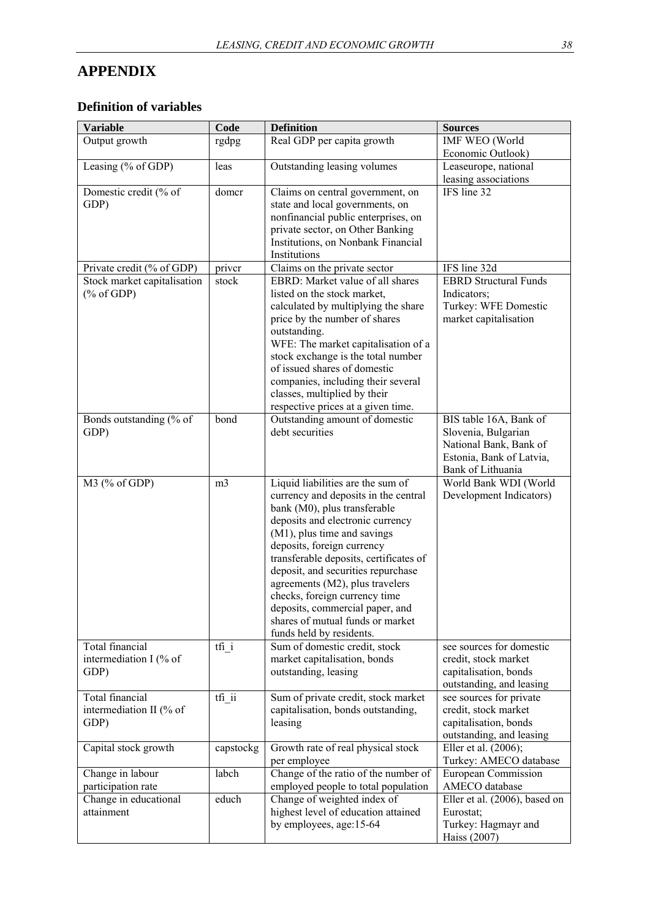## **APPENDIX**

## **Definition of variables**

| <b>Variable</b>                                              | Code           | <b>Definition</b>                                                            | <b>Sources</b>                                  |
|--------------------------------------------------------------|----------------|------------------------------------------------------------------------------|-------------------------------------------------|
| Output growth                                                | rgdpg          | Real GDP per capita growth                                                   | <b>IMF WEO</b> (World                           |
|                                                              |                |                                                                              | Economic Outlook)                               |
| Leasing (% of GDP)                                           | leas           | Outstanding leasing volumes                                                  | Leaseurope, national                            |
|                                                              |                |                                                                              | leasing associations                            |
| Domestic credit (% of                                        | domer          | Claims on central government, on                                             | IFS line $32$                                   |
| GDP)                                                         |                | state and local governments, on                                              |                                                 |
|                                                              |                | nonfinancial public enterprises, on<br>private sector, on Other Banking      |                                                 |
|                                                              |                | Institutions, on Nonbank Financial                                           |                                                 |
|                                                              |                | Institutions                                                                 |                                                 |
| Private credit (% of GDP)                                    | priver         | Claims on the private sector                                                 | IFS line 32d                                    |
| Stock market capitalisation                                  | stock          | EBRD: Market value of all shares                                             | <b>EBRD Structural Funds</b>                    |
| $(% \mathcal{O}(\mathcal{O})\otimes \mathcal{O})$ (% of GDP) |                | listed on the stock market,                                                  | Indicators;                                     |
|                                                              |                | calculated by multiplying the share                                          | Turkey: WFE Domestic                            |
|                                                              |                | price by the number of shares                                                | market capitalisation                           |
|                                                              |                | outstanding.                                                                 |                                                 |
|                                                              |                | WFE: The market capitalisation of a                                          |                                                 |
|                                                              |                | stock exchange is the total number                                           |                                                 |
|                                                              |                | of issued shares of domestic                                                 |                                                 |
|                                                              |                | companies, including their several                                           |                                                 |
|                                                              |                | classes, multiplied by their                                                 |                                                 |
| Bonds outstanding (% of                                      | bond           | respective prices at a given time.<br>Outstanding amount of domestic         | BIS table 16A, Bank of                          |
| GDP)                                                         |                | debt securities                                                              | Slovenia, Bulgarian                             |
|                                                              |                |                                                                              | National Bank, Bank of                          |
|                                                              |                |                                                                              | Estonia, Bank of Latvia,                        |
|                                                              |                |                                                                              | Bank of Lithuania                               |
| M3 (% of GDP)                                                | m <sub>3</sub> | Liquid liabilities are the sum of                                            | World Bank WDI (World                           |
|                                                              |                | currency and deposits in the central                                         | Development Indicators)                         |
|                                                              |                | bank (M0), plus transferable                                                 |                                                 |
|                                                              |                | deposits and electronic currency                                             |                                                 |
|                                                              |                | (M1), plus time and savings                                                  |                                                 |
|                                                              |                | deposits, foreign currency                                                   |                                                 |
|                                                              |                | transferable deposits, certificates of<br>deposit, and securities repurchase |                                                 |
|                                                              |                | agreements (M2), plus travelers                                              |                                                 |
|                                                              |                | checks, foreign currency time                                                |                                                 |
|                                                              |                | deposits, commercial paper, and                                              |                                                 |
|                                                              |                | shares of mutual funds or market                                             |                                                 |
|                                                              |                | funds held by residents.                                                     |                                                 |
| Total financial                                              | tfi i          | Sum of domestic credit, stock                                                | see sources for domestic                        |
| intermediation I (% of                                       |                | market capitalisation, bonds                                                 | credit, stock market                            |
| GDP)                                                         |                | outstanding, leasing                                                         | capitalisation, bonds                           |
| Total financial                                              |                | Sum of private credit, stock market                                          | outstanding, and leasing                        |
| intermediation II (% of                                      | tfi_ii         | capitalisation, bonds outstanding,                                           | see sources for private<br>credit, stock market |
| GDP)                                                         |                | leasing                                                                      | capitalisation, bonds                           |
|                                                              |                |                                                                              | outstanding, and leasing                        |
| Capital stock growth                                         | capstockg      | Growth rate of real physical stock                                           | Eller et al. (2006);                            |
|                                                              |                | per employee                                                                 | Turkey: AMECO database                          |
| Change in labour                                             | labch          | Change of the ratio of the number of                                         | European Commission                             |
| participation rate                                           |                | employed people to total population                                          | AMECO database                                  |
| Change in educational                                        | educh          | Change of weighted index of                                                  | Eller et al. (2006), based on                   |
| attainment                                                   |                | highest level of education attained                                          | Eurostat;                                       |
|                                                              |                | by employees, age:15-64                                                      | Turkey: Hagmayr and                             |
|                                                              |                |                                                                              | Haiss (2007)                                    |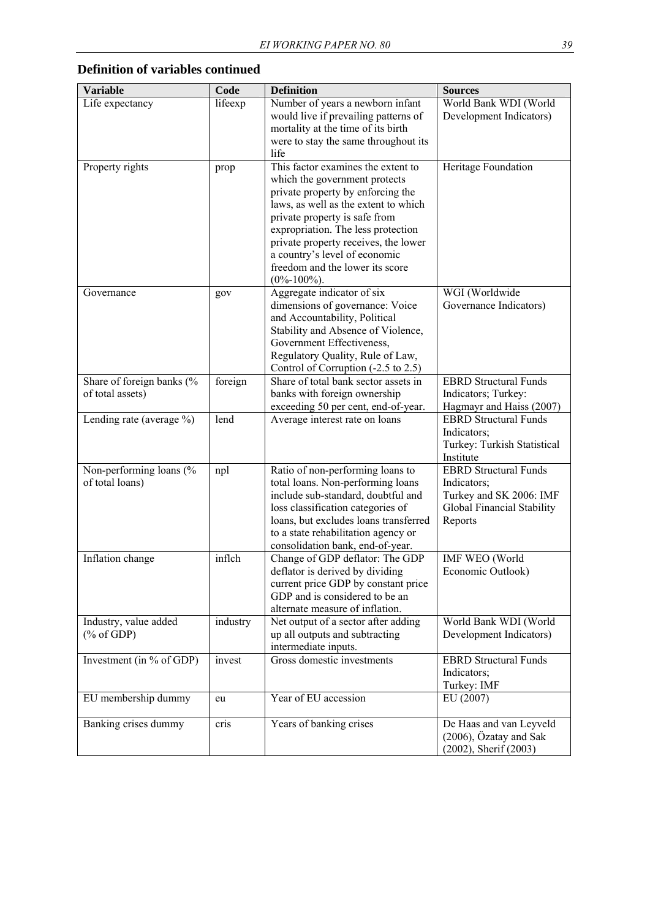| <b>Variable</b>                                                             | Code     | <b>Definition</b>                                                                                                                                                                                                                                                                                                                                        | <b>Sources</b>                                                                                                  |
|-----------------------------------------------------------------------------|----------|----------------------------------------------------------------------------------------------------------------------------------------------------------------------------------------------------------------------------------------------------------------------------------------------------------------------------------------------------------|-----------------------------------------------------------------------------------------------------------------|
| Life expectancy                                                             | lifeexp  | Number of years a newborn infant<br>would live if prevailing patterns of<br>mortality at the time of its birth<br>were to stay the same throughout its<br>life                                                                                                                                                                                           | World Bank WDI (World<br>Development Indicators)                                                                |
| Property rights                                                             | prop     | This factor examines the extent to<br>which the government protects<br>private property by enforcing the<br>laws, as well as the extent to which<br>private property is safe from<br>expropriation. The less protection<br>private property receives, the lower<br>a country's level of economic<br>freedom and the lower its score<br>$(0\% - 100\%)$ . | Heritage Foundation                                                                                             |
| Governance                                                                  | gov      | Aggregate indicator of six<br>dimensions of governance: Voice<br>and Accountability, Political<br>Stability and Absence of Violence,<br>Government Effectiveness,<br>Regulatory Quality, Rule of Law,<br>Control of Corruption (-2.5 to 2.5)                                                                                                             | WGI (Worldwide<br>Governance Indicators)                                                                        |
| Share of foreign banks (%<br>of total assets)                               | foreign  | Share of total bank sector assets in<br>banks with foreign ownership<br>exceeding 50 per cent, end-of-year.                                                                                                                                                                                                                                              | <b>EBRD Structural Funds</b><br>Indicators; Turkey:<br>Hagmayr and Haiss (2007)                                 |
| Lending rate (average %)                                                    | lend     | Average interest rate on loans                                                                                                                                                                                                                                                                                                                           | <b>EBRD Structural Funds</b><br>Indicators;<br>Turkey: Turkish Statistical<br>Institute                         |
| Non-performing loans (%<br>of total loans)                                  | npl      | Ratio of non-performing loans to<br>total loans. Non-performing loans<br>include sub-standard, doubtful and<br>loss classification categories of<br>loans, but excludes loans transferred<br>to a state rehabilitation agency or<br>consolidation bank, end-of-year.                                                                                     | <b>EBRD Structural Funds</b><br>Indicators;<br>Turkey and SK 2006: IMF<br>Global Financial Stability<br>Reports |
| Inflation change                                                            | inflch   | Change of GDP deflator: The GDP<br>deflator is derived by dividing<br>current price GDP by constant price<br>GDP and is considered to be an<br>alternate measure of inflation.                                                                                                                                                                           | <b>IMF WEO</b> (World<br>Economic Outlook)                                                                      |
| Industry, value added<br>$(% \mathcal{L}_{0} \cap \mathcal{L}_{1})$ of GDP) | industry | Net output of a sector after adding<br>up all outputs and subtracting<br>intermediate inputs.                                                                                                                                                                                                                                                            | World Bank WDI (World<br>Development Indicators)                                                                |
| Investment (in % of GDP)                                                    | invest   | Gross domestic investments                                                                                                                                                                                                                                                                                                                               | <b>EBRD Structural Funds</b><br>Indicators;<br>Turkey: IMF                                                      |
| EU membership dummy                                                         | eu       | Year of EU accession                                                                                                                                                                                                                                                                                                                                     | EU (2007)                                                                                                       |
| Banking crises dummy                                                        | cris     | Years of banking crises                                                                                                                                                                                                                                                                                                                                  | De Haas and van Leyveld<br>(2006), Özatay and Sak<br>(2002), Sherif (2003)                                      |

## **Definition of variables continued**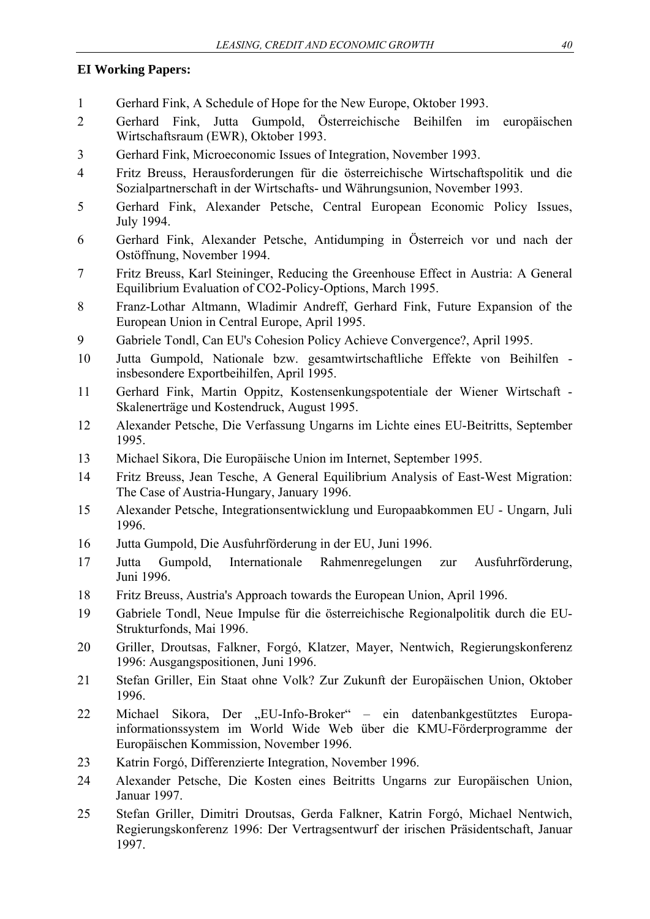#### **EI Working Papers:**

- 1 Gerhard Fink, A Schedule of Hope for the New Europe, Oktober 1993.
- 2 Gerhard Fink, Jutta Gumpold, Österreichische Beihilfen im europäischen Wirtschaftsraum (EWR), Oktober 1993.
- 3 Gerhard Fink, Microeconomic Issues of Integration, November 1993.
- 4 Fritz Breuss, Herausforderungen für die österreichische Wirtschaftspolitik und die Sozialpartnerschaft in der Wirtschafts- und Währungsunion, November 1993.
- 5 Gerhard Fink, Alexander Petsche, Central European Economic Policy Issues, July 1994.
- 6 Gerhard Fink, Alexander Petsche, Antidumping in Österreich vor und nach der Ostöffnung, November 1994.
- 7 Fritz Breuss, Karl Steininger, Reducing the Greenhouse Effect in Austria: A General Equilibrium Evaluation of CO2-Policy-Options, March 1995.
- 8 Franz-Lothar Altmann, Wladimir Andreff, Gerhard Fink, Future Expansion of the European Union in Central Europe, April 1995.
- 9 Gabriele Tondl, Can EU's Cohesion Policy Achieve Convergence?, April 1995.
- 10 Jutta Gumpold, Nationale bzw. gesamtwirtschaftliche Effekte von Beihilfen insbesondere Exportbeihilfen, April 1995.
- 11 Gerhard Fink, Martin Oppitz, Kostensenkungspotentiale der Wiener Wirtschaft Skalenerträge und Kostendruck, August 1995.
- 12 Alexander Petsche, Die Verfassung Ungarns im Lichte eines EU-Beitritts, September 1995.
- 13 Michael Sikora, Die Europäische Union im Internet, September 1995.
- 14 Fritz Breuss, Jean Tesche, A General Equilibrium Analysis of East-West Migration: The Case of Austria-Hungary, January 1996.
- 15 Alexander Petsche, Integrationsentwicklung und Europaabkommen EU Ungarn, Juli 1996.
- 16 Jutta Gumpold, Die Ausfuhrförderung in der EU, Juni 1996.
- 17 Jutta Gumpold, Internationale Rahmenregelungen zur Ausfuhrförderung, Juni 1996.
- 18 Fritz Breuss, Austria's Approach towards the European Union, April 1996.
- 19 Gabriele Tondl, Neue Impulse für die österreichische Regionalpolitik durch die EU-Strukturfonds, Mai 1996.
- 20 Griller, Droutsas, Falkner, Forgó, Klatzer, Mayer, Nentwich, Regierungskonferenz 1996: Ausgangspositionen, Juni 1996.
- 21 Stefan Griller, Ein Staat ohne Volk? Zur Zukunft der Europäischen Union, Oktober 1996.
- 22 Michael Sikora, Der "EU-Info-Broker" ein datenbankgestütztes Europainformationssystem im World Wide Web über die KMU-Förderprogramme der Europäischen Kommission, November 1996.
- 23 Katrin Forgó, Differenzierte Integration, November 1996.
- 24 Alexander Petsche, Die Kosten eines Beitritts Ungarns zur Europäischen Union, Januar 1997.
- 25 Stefan Griller, Dimitri Droutsas, Gerda Falkner, Katrin Forgó, Michael Nentwich, Regierungskonferenz 1996: Der Vertragsentwurf der irischen Präsidentschaft, Januar 1997.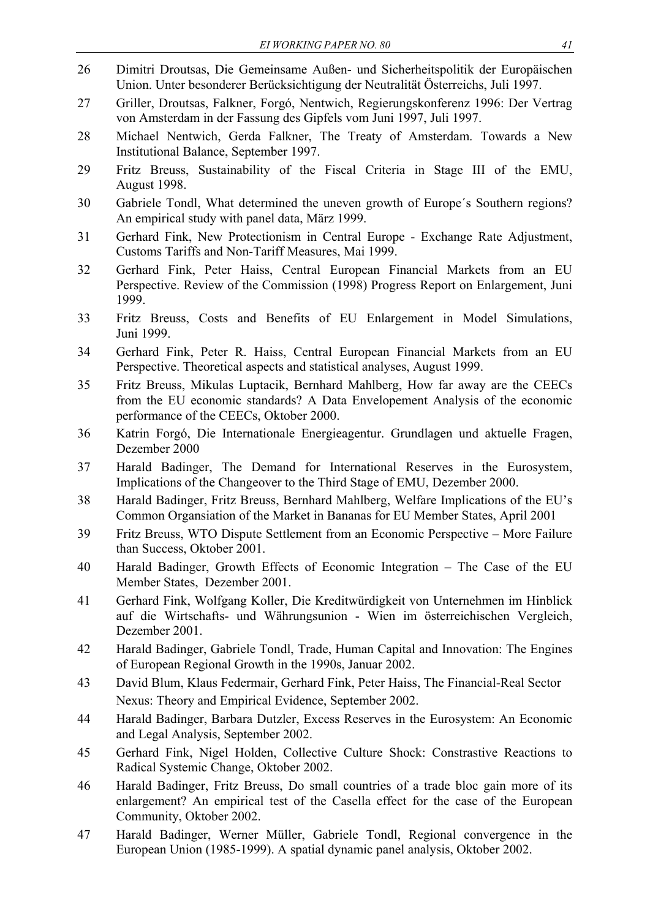- 26 Dimitri Droutsas, Die Gemeinsame Außen- und Sicherheitspolitik der Europäischen Union. Unter besonderer Berücksichtigung der Neutralität Österreichs, Juli 1997.
- 27 Griller, Droutsas, Falkner, Forgó, Nentwich, Regierungskonferenz 1996: Der Vertrag von Amsterdam in der Fassung des Gipfels vom Juni 1997, Juli 1997.
- 28 Michael Nentwich, Gerda Falkner, The Treaty of Amsterdam. Towards a New Institutional Balance, September 1997.
- 29 Fritz Breuss, Sustainability of the Fiscal Criteria in Stage III of the EMU, August 1998.
- 30 Gabriele Tondl, What determined the uneven growth of Europe´s Southern regions? An empirical study with panel data, März 1999.
- 31 Gerhard Fink, New Protectionism in Central Europe Exchange Rate Adjustment, Customs Tariffs and Non-Tariff Measures, Mai 1999.
- 32 Gerhard Fink, Peter Haiss, Central European Financial Markets from an EU Perspective. Review of the Commission (1998) Progress Report on Enlargement, Juni 1999.
- 33 Fritz Breuss, Costs and Benefits of EU Enlargement in Model Simulations, Juni 1999.
- 34 Gerhard Fink, Peter R. Haiss, Central European Financial Markets from an EU Perspective. Theoretical aspects and statistical analyses, August 1999.
- 35 Fritz Breuss, Mikulas Luptacik, Bernhard Mahlberg, How far away are the CEECs from the EU economic standards? A Data Envelopement Analysis of the economic performance of the CEECs, Oktober 2000.
- 36 Katrin Forgó, Die Internationale Energieagentur. Grundlagen und aktuelle Fragen, Dezember 2000
- 37 Harald Badinger, The Demand for International Reserves in the Eurosystem, Implications of the Changeover to the Third Stage of EMU, Dezember 2000.
- 38 Harald Badinger, Fritz Breuss, Bernhard Mahlberg, Welfare Implications of the EU's Common Organsiation of the Market in Bananas for EU Member States, April 2001
- 39 Fritz Breuss, WTO Dispute Settlement from an Economic Perspective More Failure than Success, Oktober 2001.
- 40 Harald Badinger, Growth Effects of Economic Integration The Case of the EU Member States, Dezember 2001.
- 41 Gerhard Fink, Wolfgang Koller, Die Kreditwürdigkeit von Unternehmen im Hinblick auf die Wirtschafts- und Währungsunion - Wien im österreichischen Vergleich, Dezember 2001.
- 42 Harald Badinger, Gabriele Tondl, Trade, Human Capital and Innovation: The Engines of European Regional Growth in the 1990s, Januar 2002.
- 43 David Blum, Klaus Federmair, Gerhard Fink, Peter Haiss, The Financial-Real Sector Nexus: Theory and Empirical Evidence, September 2002.
- 44 Harald Badinger, Barbara Dutzler, Excess Reserves in the Eurosystem: An Economic and Legal Analysis, September 2002.
- 45 Gerhard Fink, Nigel Holden, Collective Culture Shock: Constrastive Reactions to Radical Systemic Change, Oktober 2002.
- 46 Harald Badinger, Fritz Breuss, Do small countries of a trade bloc gain more of its enlargement? An empirical test of the Casella effect for the case of the European Community, Oktober 2002.
- 47 Harald Badinger, Werner Müller, Gabriele Tondl, Regional convergence in the European Union (1985-1999). A spatial dynamic panel analysis, Oktober 2002.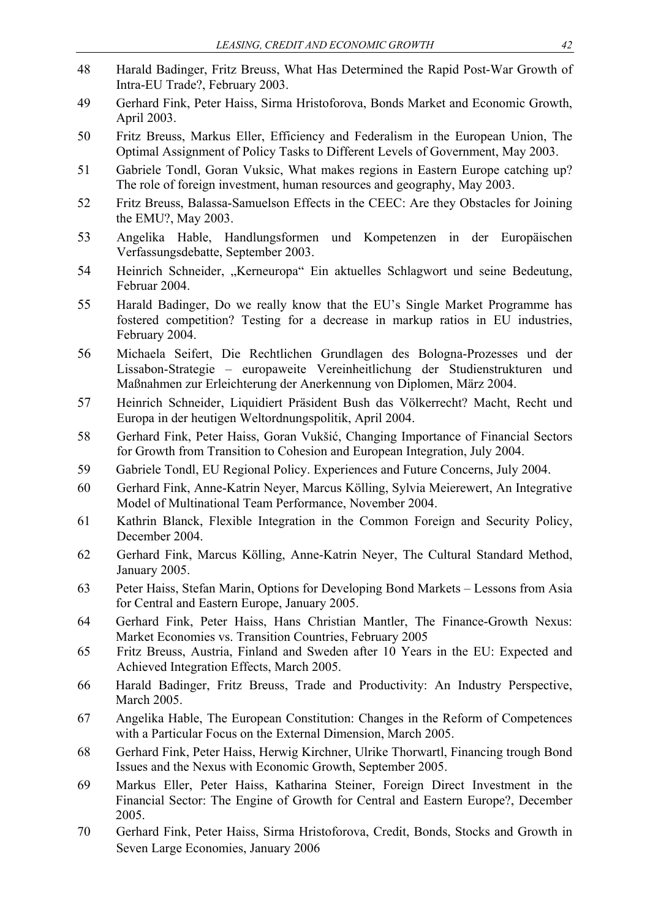- *LEASING, CREDIT AND ECONOMIC GROWTH 42*  48 Harald Badinger, Fritz Breuss, What Has Determined the Rapid Post-War Growth of Intra-EU Trade?, February 2003. 49 Gerhard Fink, Peter Haiss, Sirma Hristoforova, Bonds Market and Economic Growth, April 2003. 50 Fritz Breuss, Markus Eller, Efficiency and Federalism in the European Union, The Optimal Assignment of Policy Tasks to Different Levels of Government, May 2003. 51 Gabriele Tondl, Goran Vuksic, What makes regions in Eastern Europe catching up? The role of foreign investment, human resources and geography, May 2003. 52 Fritz Breuss, Balassa-Samuelson Effects in the CEEC: Are they Obstacles for Joining the EMU?, May 2003. 53 Angelika Hable, Handlungsformen und Kompetenzen in der Europäischen Verfassungsdebatte, September 2003. 54 Heinrich Schneider, "Kerneuropa" Ein aktuelles Schlagwort und seine Bedeutung, Februar 2004. 55 Harald Badinger, Do we really know that the EU's Single Market Programme has fostered competition? Testing for a decrease in markup ratios in EU industries, February 2004. 56 Michaela Seifert, Die Rechtlichen Grundlagen des Bologna-Prozesses und der Lissabon-Strategie – europaweite Vereinheitlichung der Studienstrukturen und Maßnahmen zur Erleichterung der Anerkennung von Diplomen, März 2004. 57 Heinrich Schneider, Liquidiert Präsident Bush das Völkerrecht? Macht, Recht und Europa in der heutigen Weltordnungspolitik, April 2004. 58 Gerhard Fink, Peter Haiss, Goran Vukšić, Changing Importance of Financial Sectors for Growth from Transition to Cohesion and European Integration, July 2004. 59 Gabriele Tondl, EU Regional Policy. Experiences and Future Concerns, July 2004. 60 Gerhard Fink, Anne-Katrin Neyer, Marcus Kölling, Sylvia Meierewert, An Integrative Model of Multinational Team Performance, November 2004. 61 Kathrin Blanck, Flexible Integration in the Common Foreign and Security Policy, December 2004. 62 Gerhard Fink, Marcus Kölling, Anne-Katrin Neyer, The Cultural Standard Method, January 2005. 63 Peter Haiss, Stefan Marin, Options for Developing Bond Markets – Lessons from Asia for Central and Eastern Europe, January 2005. 64 Gerhard Fink, Peter Haiss, Hans Christian Mantler, The Finance-Growth Nexus: Market Economies vs. Transition Countries, February 2005 65 Fritz Breuss, Austria, Finland and Sweden after 10 Years in the EU: Expected and Achieved Integration Effects, March 2005. 66 Harald Badinger, Fritz Breuss, Trade and Productivity: An Industry Perspective, March 2005. 67 Angelika Hable, The European Constitution: Changes in the Reform of Competences with a Particular Focus on the External Dimension, March 2005. 68 Gerhard Fink, Peter Haiss, Herwig Kirchner, Ulrike Thorwartl, Financing trough Bond Issues and the Nexus with Economic Growth, September 2005. 69 Markus Eller, Peter Haiss, Katharina Steiner, Foreign Direct Investment in the Financial Sector: The Engine of Growth for Central and Eastern Europe?, December
- 70 Gerhard Fink, Peter Haiss, Sirma Hristoforova, Credit, Bonds, Stocks and Growth in Seven Large Economies, January 2006

2005.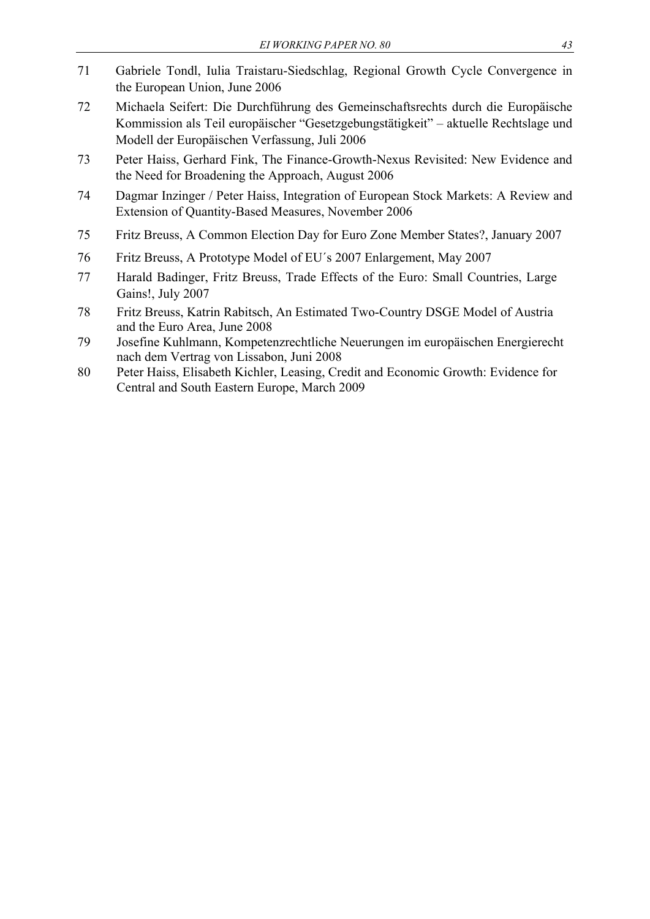- 71 Gabriele Tondl, Iulia Traistaru-Siedschlag, Regional Growth Cycle Convergence in the European Union, June 2006
- 72 Michaela Seifert: Die Durchführung des Gemeinschaftsrechts durch die Europäische Kommission als Teil europäischer "Gesetzgebungstätigkeit" – aktuelle Rechtslage und Modell der Europäischen Verfassung, Juli 2006
- 73 Peter Haiss, Gerhard Fink, The Finance-Growth-Nexus Revisited: New Evidence and the Need for Broadening the Approach, August 2006
- 74 Dagmar Inzinger / Peter Haiss, Integration of European Stock Markets: A Review and Extension of Quantity-Based Measures, November 2006
- 75 Fritz Breuss, A Common Election Day for Euro Zone Member States?, January 2007
- 76 Fritz Breuss, A Prototype Model of EU´s 2007 Enlargement, May 2007
- 77 Harald Badinger, Fritz Breuss, Trade Effects of the Euro: Small Countries, Large Gains!, July 2007
- 78 Fritz Breuss, Katrin Rabitsch, An Estimated Two-Country DSGE Model of Austria and the Euro Area, June 2008
- 79 Josefine Kuhlmann, Kompetenzrechtliche Neuerungen im europäischen Energierecht nach dem Vertrag von Lissabon, Juni 2008
- 80 Peter Haiss, Elisabeth Kichler, Leasing, Credit and Economic Growth: Evidence for Central and South Eastern Europe, March 2009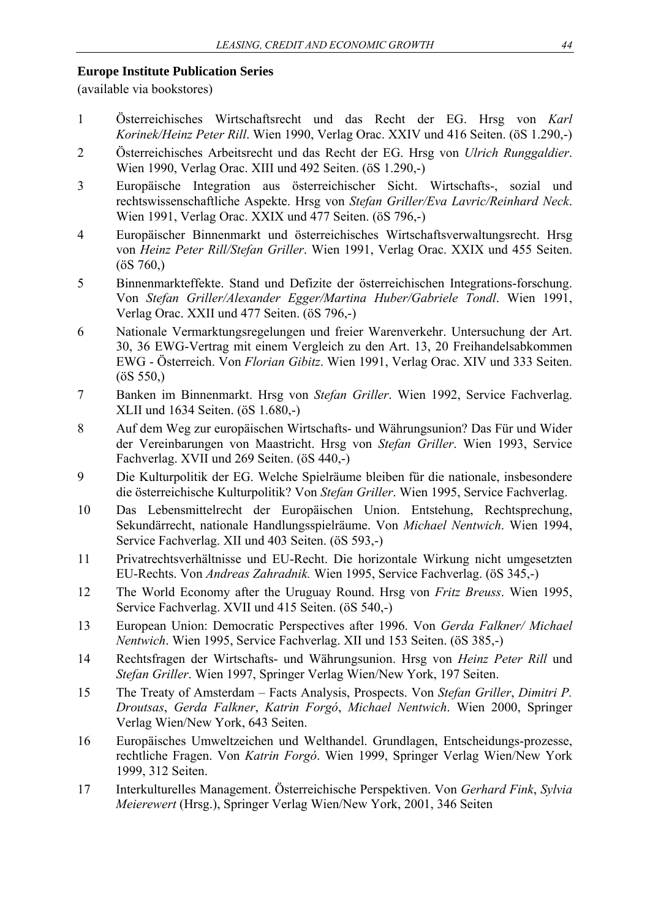#### **Europe Institute Publication Series**

(available via bookstores)

- 1 Österreichisches Wirtschaftsrecht und das Recht der EG. Hrsg von *Karl Korinek/Heinz Peter Rill*. Wien 1990, Verlag Orac. XXIV und 416 Seiten. (öS 1.290,-)
- 2 Österreichisches Arbeitsrecht und das Recht der EG. Hrsg von *Ulrich Runggaldier*. Wien 1990, Verlag Orac. XIII und 492 Seiten. (öS 1.290,-)
- 3 Europäische Integration aus österreichischer Sicht. Wirtschafts-, sozial und rechtswissenschaftliche Aspekte. Hrsg von *Stefan Griller/Eva Lavric/Reinhard Neck*. Wien 1991, Verlag Orac. XXIX und 477 Seiten. (öS 796,-)
- 4 Europäischer Binnenmarkt und österreichisches Wirtschaftsverwaltungsrecht. Hrsg von *Heinz Peter Rill/Stefan Griller*. Wien 1991, Verlag Orac. XXIX und 455 Seiten.  $(0S\,760)$
- 5 Binnenmarkteffekte. Stand und Defizite der österreichischen Integrations-forschung. Von *Stefan Griller/Alexander Egger/Martina Huber/Gabriele Tondl*. Wien 1991, Verlag Orac. XXII und 477 Seiten. (öS 796,-)
- 6 Nationale Vermarktungsregelungen und freier Warenverkehr. Untersuchung der Art. 30, 36 EWG-Vertrag mit einem Vergleich zu den Art. 13, 20 Freihandelsabkommen EWG - Österreich. Von *Florian Gibitz*. Wien 1991, Verlag Orac. XIV und 333 Seiten.  $(0S 550)$
- 7 Banken im Binnenmarkt. Hrsg von *Stefan Griller*. Wien 1992, Service Fachverlag. XLII und 1634 Seiten. (öS 1.680,-)
- 8 Auf dem Weg zur europäischen Wirtschafts- und Währungsunion? Das Für und Wider der Vereinbarungen von Maastricht. Hrsg von *Stefan Griller*. Wien 1993, Service Fachverlag. XVII und 269 Seiten. (öS 440,-)
- 9 Die Kulturpolitik der EG. Welche Spielräume bleiben für die nationale, insbesondere die österreichische Kulturpolitik? Von *Stefan Griller*. Wien 1995, Service Fachverlag.
- 10 Das Lebensmittelrecht der Europäischen Union. Entstehung, Rechtsprechung, Sekundärrecht, nationale Handlungsspielräume. Von *Michael Nentwich*. Wien 1994, Service Fachverlag. XII und 403 Seiten. (öS 593,-)
- 11 Privatrechtsverhältnisse und EU-Recht. Die horizontale Wirkung nicht umgesetzten EU-Rechts. Von *Andreas Zahradnik.* Wien 1995, Service Fachverlag. (öS 345,-)
- 12 The World Economy after the Uruguay Round. Hrsg von *Fritz Breuss*. Wien 1995, Service Fachverlag. XVII und 415 Seiten. (öS 540,-)
- 13 European Union: Democratic Perspectives after 1996. Von *Gerda Falkner/ Michael Nentwich*. Wien 1995, Service Fachverlag. XII und 153 Seiten. (öS 385,-)
- 14 Rechtsfragen der Wirtschafts- und Währungsunion. Hrsg von *Heinz Peter Rill* und *Stefan Griller*. Wien 1997, Springer Verlag Wien/New York, 197 Seiten.
- 15 The Treaty of Amsterdam Facts Analysis, Prospects. Von *Stefan Griller*, *Dimitri P. Droutsas*, *Gerda Falkner*, *Katrin Forgó*, *Michael Nentwich*. Wien 2000, Springer Verlag Wien/New York, 643 Seiten.
- 16 Europäisches Umweltzeichen und Welthandel. Grundlagen, Entscheidungs-prozesse, rechtliche Fragen. Von *Katrin Forgó*. Wien 1999, Springer Verlag Wien/New York 1999, 312 Seiten.
- 17 Interkulturelles Management. Österreichische Perspektiven. Von *Gerhard Fink*, *Sylvia Meierewert* (Hrsg.), Springer Verlag Wien/New York, 2001, 346 Seiten